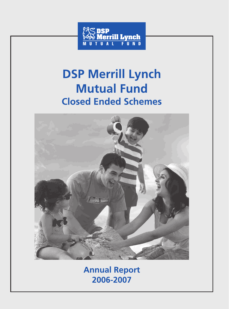

# **DSP Merrill Lynch Mutual Fund Closed Ended Schemes**



# **Annual Report** 2006-2007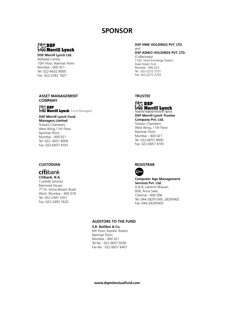## **SPONSOR**

# ⁄3SDSP<br>Merrill Lynch

**DSP Merrill Lynch Ltd.** Mafatlal Centre 10th Floor, Nariman Point Mumbai - 400 021 Tel: 022-6632 8000 Fax: 022-2282 1827

## **ASSET MANAGEMENT COMPANY**

 $R < 1$ SP **Merrill Lynch** Fund Managers

## **DSP Merrill Lynch Fund**

**Managers Limited** Tulsiani Chambers, West Wing,11th Floor, Nariman Point, Mumbai - 400 021 Tel: 022- 6657 8000 Fax: 022-6657 8181

## **CUSTODIAN**

## citibank **Citibank, N.A.**

Custody Services Ramnord House, 77 Dr. Annie Besant Road Worli, Mumbai - 400 018 Tel: 022-2497 5301 Fax: 022-2493 7620

## **DSP HMK HOLDINGS PVT. LTD.**

#### and **DSP ADIKO HOLDINGS PVT. LTD.**

(Collectively) 1103, Stock Exchange Towers, Dalal Street, Fort, Mumbai - 400 023. Tel.: 022-2272 2731 Fax: 022-2272 2753

## **TRUSTEE**



TRUSTEE COMPANY PRIVATE LIMITED **DSP Merrill Lynch Trustee Company Pvt. Ltd.** Tulsiani Chambers West Wing, 11th Floor Nariman Point Mumbai - 400 021 Tel: 022-6657 8000 Fax: 022-6657 8181

## **REGISTRAR**



**Computer Age Management Services Pvt. Ltd.** A & B, Lakshmi Bhavan, 609, Anna Salai, Chennai - 600 006 Tel: 044-28291549, 28295402 Fax: 044-28295403

#### **AUDITORS TO THE FUND**

**S.R. Batliboi & Co.** 6th Floor, Express Towers Nariman Point Mumbai - 400 021 Tel No : 022 6657 9200 Fax No : 022 6657 6401

**www.dspmlmutualfund.com**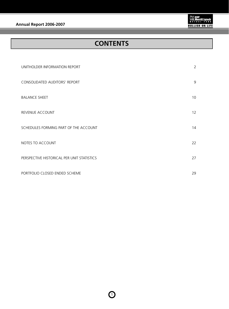## **CONTENTS**

| UNITHOLDER INFORMATION REPORT              | $\overline{2}$  |
|--------------------------------------------|-----------------|
| <b>CONSOLIDATED AUDITORS' REPORT</b>       | 9               |
| <b>BALANCE SHEET</b>                       | 10 <sup>°</sup> |
| REVENUE ACCOUNT                            | 12              |
| SCHEDULES FORMING PART OF THE ACCOUNT      | 14              |
| NOTES TO ACCOUNT                           | 22              |
| PERSPECTIVE HISTORICAL PER UNIT STATISTICS | 27              |
| PORTFOLIO CLOSED ENDED SCHEME              | 29              |

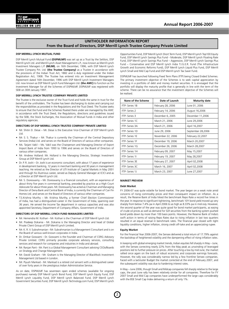## **UNITHOLDER INFORMATION REPORT From the Board of Directors, DSP Merrill Lynch Trustee Company Private Limited**

#### **DSP MERRILL LYNCH MUTUAL FUND**

DSP Merrill Lynch Mutual Fund **(DSPMLMF)** was set up as <sup>a</sup> Trust by the Settlors, DSP Merrill Lynch Ltd. and Merrill Lynch Asset Management L.P., now known as Merrill Lynch Investment Managers L.P. **(MLIM)**, on 16th December, 1996, with DSP Merrill Lynch Trustee Company Pvt. Ltd. **(the Trustee Company)** as <sup>a</sup> Trustee in accordance with the provisions of the Indian Trust Act, 1882 and is duly registered under the Indian Registration Act, 1908. The Trustee has entered into an Investment Management Agreement dated 16th December, 1996 with DSP Merrill Lynch Investment Managers Ltd. now known as DSP Merrill Lynch Fund Managers Ltd. **(the AMC)** to function as the Investment Manager for all the Schemes of DSPMLMF. DSPMLMF was registered with SEBI on 30th January 1997.

#### **DSP MERRILL LYNCH TRUSTEE COMPANY PRIVATE LIMITED**

The Trustee is the exclusive owner of the Trust Fund and holds the same in trust for the benefit of the unitholders. The Trustee has been discharging its duties and carrying out the responsibilities as provided in the Regulations and the Trust Deed. The Trustee seeks to ensure that the Fund and the Schemes floated there under are managed by the AMC in accordance with the Trust Deed, the Regulations, directions and guidelines issued by the SEBI, the Stock Exchanges, the Association of Mutual Funds in India and other regulatory agencies.

#### **DIRECTORS OF DSP MERRILL LYNCH TRUSTEE COMPANY PRIVATE LIMITED**

- Mr. Shitin D. Desai Mr. Desai is the Executive Vice-Chairman of DSP Merrill Lynch Ltd.
- Mr. S. S. Thakur Mr. Thakur is currently the Chairman of the Central Depository Services (India) Ltd. and serves on the Board of Directors of various other companies.
- Ms. Tarjani Vakil Ms. Vakil was the Chairperson and Managing Director of Export Import Bank of India from 1993 to 1996 and serves on the Board of Directors of various other companies.
- Mr. Andrew Holland: Mr. Holland is the Managing Director, Strategic Investment Group at DSP Merrill Lynch Ltd.
- Dr. P. R. Joshi Dr. Joshi is an economic consultant, with about 17 years of experience in development banking, 12 years in merchant banking and 30 years in management teaching. He retired as the Director of UTI Institute of Capital Markets in May 2001 and through his illustrious career, served as Deputy General Manager at ICICI and as a Director at DSP Merrill Lynch Ltd.
- Mr. S. Doreswamy Mr. Doreswamy is a financial consultant, with an experience of about thirty five years in commercial banking, preceded by practice as a High Court Advocate for about three years. Mr. Doreswamy has acted as Chairman and Managing Director of Dena Bank and Central Bank of India, is currently the Chairman of Can Fin Homes Ltd. and serves on the Board of Directors of various other companies.
- T.S.Krishna Murthy Mr. Krishna Murthy, a former Chief Election Commissioner of India, has had a distinguished career in the Government of India, spanning over 36 years. He served the Income Tax department in various capacities and was also appointed Secretary, Department of Company Affairs, Government of India.

#### **DIRECTORS OF DSP MERRILL LYNCH FUND MANAGERS LIMITED**

- Mr. Hemendra M. Kothari Mr. Kothari is the Chairman of DSP Merrill Lynch Ltd.
- Mr. Pradeep Dokania Mr. Dokania is the Managing Director and head of Global Private Client Group of DSP Merrill Lynch Limited.
- Mr. K. R. V. Subrahmanian Mr. Subrahmanian is a Management Consultant and is on the Board of various well-known corporates in India.
- Dr. Omkar Goswami Dr. Goswami is the Founder and Chairman of CERG Advisory Private Limited. CERG primarily provides corporate advisory services, consulting services and research for companies and industries in India and abroad.
- Mr. Ranjan Pant Mr. Pant is a Global Management Consultant advising CEOs/Boards on Strategy and Change Management.
- Mr. David Graham Mr. Graham is the Managing Director of BlackRock Investment Management Ltd based in London.
- Mr. Piyush Mankad Mr. Mankad is a retired civil servant with a distinguished career of over forty years in the prestigious Indian Administrative Service.

As on date, DSPMLMF has seventeen open ended schemes (available for ongoing purchases) namely DSP Merrill Lynch Bond Fund, DSP Merrill Lynch Equity Fund, DSP Merrill Lynch Liquidity Fund, DSP Merrill Lynch Balanced Fund, DSP Merrill Lynch Government Securities Fund, DSP Merrill Lynch Technology.com Fund, DSP Merrill Lynch

Opportunities Fund, DSP Merrill Lynch Short Term Fund, DSP Merrill Lynch Top100 Equity Fund, DSP Merrill Lynch Savings Plus Fund - Moderate, DSP Merrill Lynch Floating Rate Fund, DSP Merrill Lynch Savings Plus Fund – Aggressive, DSP Merrill Lynch Savings Plus Fund – Conservative and DSP Merrill Lynch India T.I.G.E.R. Fund (The Infrastructure Growth and Economic Reforms Fund), DSP Merrill Lynch Liquid Plus Fund, DSP Merrill Lynch Small and Mid Cap Fund and DSP Merrill Lynch Tax Saver Fund.

DSPMLMF has launched following Fixed Term Plans (FTP) being Closed Ended Schemes. The primary investment objective of the Schemes is to seek capital appreciation by investing in a portfolio of debt and money market securities. It is envisaged that the portfolio will display the maturity profile that is generally in line with the term of the scheme. There can be no assurance that the investment objective of the Schemes will be realised.

| Nane of the Scheme | Date of Launch    | <b>Maturity date</b> |
|--------------------|-------------------|----------------------|
| FTP- Series 1B     | February 28, 2006 | June 01, 2006        |
| FTP- Series 2      | February 14, 2006 | August 16,2006       |
| FTP- Series 3      | December 6, 2005  | December 11,2006     |
| FTP- Series 1C     | March 21, 2006    | June 29,2006         |
| FTP- Series 3A     | March 21, 2006    | April 16,2007        |
| FTP- Series 1D     | June 29, 2006     | September 28,2006    |
| FTP- Series 1E     | November 22, 2006 | February 22,2007     |
| FTP- Series 1F     | December 19, 2006 | March 20,2007        |
| FTP- Series 1G     | December 26, 2006 | March 28,2007        |
| FTP- Series 1H     | February 09, 2007 | May 15,2007          |
| FTP- Series 11     | February 19, 2007 | May 28,2007          |
| FTP- Series 3E     | February 27, 2007 | April 02,2008        |
| FTP- Series 3C     | March 16, 2007    | April 02,2008        |
| FTP- Series 11     | March 23, 2007    | June 27,2007         |

#### **MARKET PREVIEW**

#### **Debt Market**

FY 2006-07 was quite volatile for bond market. The year began on a weak note amid concerns of rising commodity prices and their consequent impact on inflation. As a result, the Reserve Bank of India hiked the benchmark Repo Rate a record five times in the year. In response to significant tightening, benchmark 10Y bond yield moved up very sharply from below 7.4% pa in April 2006 to as high as 8.33% pa in mid-July. However, the second quarter of the year was quite good for bond market participants, as easing of crude oil prices as well as demand for SLR securities from the banking system pushed bond yields down by more than 100 basis points. However, the Reserve Bank of India's swift action in terms of raising Repo Rates due to rising inflation in last two quarters resulted in an equal reversal in benchmark rates. The financial year closed with tight liquidity conditions, higher inflation, strong credit off-take and an appreciating rupee.

#### **Equity Market**

For the Financial Year 2006-2007, the Sensex delivered a total return of 17.79% against the backdrop of heightened volatility and the dampening effect of rising inflation rates.

In keeping with global emerging market trends, Indian equities fell sharply in May – June, with the Sensex correcting nearly 22% from the May peak as unwinding of leveraged positions led to further pressure on prices. After touching a low by mid June, the market rallied once again on the back of robust economic and corporate earnings forecasts. However, the rally was considerably narrow led by a few frontline Sensex companies. Faced with a lackluster Budget the market corrected at the end of February 2007, and the subsequent volatility was due to hardening interest rates.

In May – June 2006, though Small and Midcap companies fell sharply relative to the large caps, the post June rally has been relatively similar for all companies. Therefore for FY 2007 Small and Mid Cap companies have underperformed the large caps considerably with the BSE Small Cap Index delivering a return of only 1%.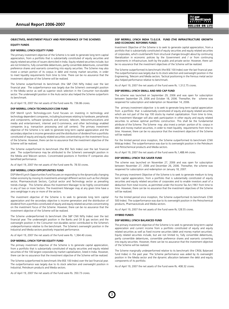## **OBJECTIVES, INVESTMENT POLICY AND PERFORMANCE OF THE SCHEMES**

#### **EQUITY FUNDS**

#### **DSP MERRILL LYNCH EQUITY FUND**

The primary investment objective of the Scheme is to seek to generate long term capital appreciation, from a portfolio that is substantially constituted of equity securities and equity related securities of issuers domiciled in India. Equity related securities include, but are not limited to, fully convertible debentures, partly convertible debentures, convertible preference shares and warrants converting into equity securities. The Scheme may also invest a certain portion of its corpus in debt and money market securities, in order to meet liquidity requirements from time to time. There can be no assurance that the investment objective of the Scheme will be realized.

The Scheme outperformed its benchmark (the S&P CNX Nifty Index) over the last financial year. The outperformance was largely due the Scheme's overweight position in the Media sector as well as superior stock selection in the Consumer non-durable sector. The underweight position in the Auto sector also helped the Scheme outperform its benchmark.

As of April 19, 2007 the net assets of the Fund were Rs. 736.86 crores.

#### **DSP MERRILL LYNCH TECHNOLOGY.COM FUND**

DSP Merrill Lynch Technology.com Fund focuses on investing in technology and technology dependent companies, including businesses relating to hardware, peripherals and components, software (products and services), telecom, telecommunications and media and entertainment, internet and E-commerce, and other technology enabled companies (e.g. transaction processing and call centers). The primary investment objective of the Scheme is to seek to generate long term capital appreciation and the secondary objective is income generation and the distribution of dividend from a portfolio constituted of equity and equity related securities concentrating on the investment focus of the Scheme. However, there can be no assurance that the investment objective of the Scheme will be realized.

The Scheme outperformed its benchmark (the BSE Teck Index) over the last financial year. The outperformance may be attributed to the Scheme's overweight position in the Media and Telecom sectors. Concentrated positions in frontline IT companies also benefited performance.

As of April 19, 2007 the net assets of the Fund were Rs. 78.50 crores.

#### **DSP MERRILL LYNCH OPPORTUNITIES FUND**

DSP Merrill Lynch Opportunities Fund focuses on responding to the dynamically changing Indian economy by moving its investments amongst different sectors such as the Lifestyle sector, Pharmaceuticals Sectors, Cyclical sector and Technology sector as prevailing trends change. This Scheme allows the Investment Manager to be highly concentrated in any of two or more Sectors. The Investment Manager may at any given time have a zero weightage in any or more of the sectors.

The investment objective of the Scheme is to seek to generate long term capital appreciation and the secondary objective is income generation and the distribution of dividend from a portfolio constituted of equity and equity related securities concentrating on the investment focus of the Scheme. However, there can be no assurance that the investment objective of the Scheme will be realized.

The Scheme underperformed its benchmark (the S&P CNX Nifty Index) over the last financial year. The underweight position in the Banks and Oil & gas sectors and the overweight position in the Consumer non-durables sector contributed to the Scheme's underperformance relative to the benchmark. The Scheme's overweight position in the Industrial and Media sectors positively impacted performance.

As of April 19, 2007 the net assets of the Fund were Rs. 1,364.40 crores.

#### **DSP MERRILL LYNCH TOP100 EQUITY FUND**

The primary investment objective of the Scheme is to generate capital appreciation, from a portfolio that is substantially constituted of equity securities and equity related securities of the 100 largest corporates by market capitalisation, listed in India. However, there can be no assurance that the investment objective of the Scheme will be realized.

The Scheme outperformed its benchmark (the BSE 100 Index) over the last financial year. The outperformance was largely due to its stock selection and overweight position in Industrial, Petroleum products and Media sectors.

As of April 19, 2007 the net assets of the Fund were Rs. 350.73 crores.

#### **DSP MERRILL LYNCH INDIA T.I.G.E.R. FUND (THE INFRASTRUCTURE GROWTH AND ECONOMIC REFORMS FUND)**

Investment Objective of the Scheme is to seek to generate capital appreciation, from a portfolio that is substantially constituted of equity securities and equity related securities of corporates, which could benefit from structural changes brought about by continuing liberalization in economic policies by the Government and / or from continuing investments in infrastructure, both by the public and private sector. However, there can be no assurance that the investment objectives of the Scheme will be realized.

The Scheme outperformed its benchmark (the BSE 100 Index) over the last financial year. The outperformance was largely due to its stock selection and overweight position in the Engineering, Telecom and Media sectors. Tactical positioning in the Ferrous metal sector also helped performance relative to benchmark.

As of April 19, 2007 the net assets of the Fund were Rs. 1,512.75 crores.

#### **DSP MERRILL LYNCH SMALL AND MID CAP FUND**

The scheme was launched on September 29, 2006 and was open for subscription between September 29, 2006 and October 18, 2006. Thereafter, the scheme was reopened for subscription and redemption on November 14, 2006.

The primary investment objective is to seek to generate long term capital appreciation from a portfolio that is substantially constituted of equity and equity related securities which are not part of the top 100 stocks by market capitalization. From time to time, the Investment Manager will also seek participation in other equity and equity related securities to achieve optimal portfolio construction. This shall be the fundamental attribute of the Scheme. The Scheme may also invest a certain portion of its corpus in debt and money market securities, in order to meet liquidity requirements from time to time. However, there can be no assurance that the investment objective of the Scheme will be realised.

For the limited period since inception, the Scheme outperformed its benchmark (CNX Midcap Index). The outperformance was due to its overweight position in the Petroleum and Petrochemical products and Media sectors.

As of April 19, 2007 the net assets of the Fund were Rs.1,488.44 crores.

#### **DSP MERRILL LYNCH TAX SAVER FUND**

The scheme was launched on November 27, 2006 and was open for subscription between November 27, 2006 and December 26, 2006. Thereafter, the scheme was reopened for subscription and redemption on January 18, 2007.

The primary investment Objective of the Scheme is to seek to generate medium to long term capital appreciation, from a portfolio that is substantially constituted of equity securities and equity related securities of corporates and to enable investors avail of a deduction from total income, as permitted under the Income Tax Act,1961 from time to time. However, there can be no assurance that the investment objectives of the Scheme will be realized.

For the limited period since inception, the Scheme outperformed its benchmark (CNX 500 Index). The outperformance was due to its overweight position in the Petrochemical products, Pharmaceuticals and Media sectors.

As of April 19, 2007 the net assets of the Fund were Rs.128.55 crores.

#### **HYBRID FUNDS**

3

#### **DSP MERRILL LYNCH BALANCED FUND**

The primary investment objective of the Scheme is to seek to generate long-term capital appreciation and current income from a portfolio constituted of equity and equity related securities as well as fixed income securities (debt and money market securities). Equity related securities include, but are not limited to, fully convertible debentures, partly convertible debentures, convertible preference shares and warrants converting into equity securities. However, there can be no assurance that the investment objective of the Scheme will be realized.

The Scheme marginally underperformed relative to its benchmark (the CRISIL Balanced fund Index) in the past year. The Scheme performance was aided by its overweight position in the Media sector and the dynamic allocation between the debt and equity components of its portfolio.

As of April 19, 2007 the net assets of the Fund were Rs. 408.32 crores.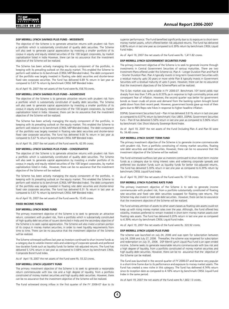#### **DSP MERRILL LYNCH SAVINGS PLUS FUND - MODERATE**

The objective of the Scheme is to generate attractive returns with prudent risk from a portfolio which is substantially constituted of quality debt securities. The Scheme will also seek to generate capital appreciation by investing a smaller portfolio of its corpus in equity and equity related securities of the 100 largest corporates, by market capitalization listed in India However, there can be no assurance that the investment objective of the Scheme will be realized.

The Scheme has been actively managing the equity component of the portfolio, in keeping with its prevailing outlook on the equity market. This enabled the Scheme to perform well relative to its benchmark (CRISIL MIP Blended Index). The debt component of the portfolio was largely invested in floating rate debt securities and shorter-tenor fixed rate corporate securities. The fund has delivered 6.89 % return in last year as compared to 5.67 % return by benchmark CRISIL MIP Blended Index.

As of April 19, 2007 the net assets of the Fund were Rs.158.70 crores.

#### **DSP MERRILL LYNCH SAVINGS PLUS FUND - AGGRESSIVE**

The objective of the Scheme is to generate attractive returns with prudent risk from a portfolio which is substantially constituted of quality debt securities. The Scheme will also seek to generate capital appreciation by investing a smaller portfolio of its corpus in equity and equity related securities of the 100 largest corporates, by market capitalization listed in India. However, there can be no assurance that the investment objective of the Scheme will be realized.

The Scheme has been actively managing the equity component of the portfolio, in keeping with its prevailing outlook on the equity market. This enabled the Scheme to perform well relative to its benchmark (CRISIL MIP Blended Index). The debt component of the portfolio was largely invested in floating rate debt securities and shorter-tenor fixed rate corporate securities. The fund has delivered 9.00 % return in last year as compared to 5.67 % return by benchmark CRISIL MIP Blended Index.

As of April 19, 2007 the net assets of the Fund were Rs. 62.95 crores.

#### **DSP MERRILL LYNCH SAVINGS PLUS FUND - CONSERVATIVE**

The objective of the Scheme is to generate attractive returns with prudent risk from a portfolio which is substantially constituted of quality debt securities. The Scheme will also seek to generate capital appreciation by investing a smaller portfolio of its corpus in equity and equity related securities of the 100 largest corporates, by market capitalization listed in India. However, there can be no assurance that the investment objective of the Scheme will be realized.

The Scheme has been actively managing the equity component of the portfolio, in keeping with its prevailing outlook on the equity market. This enabled the Scheme to perform well relative to its benchmark (CRISIL MIP Blended Index). The debt component of the portfolio was largely invested in floating rate debt securities and shorter-tenor fixed rate corporate securities. The fund has delivered 6.31 % return in last year as compared to 5.67 % return by benchmark CRISIL MIP Blended Index.

As of April 19, 2007 the net assets of the Fund were Rs. 10.45 crores.

#### **FIXED INCOME FUNDS**

#### **DSP MERRILL LYNCH BOND FUND**

The primary investment objective of the Scheme is to seek to generate an attractive return, consistent with prudent risk, from a portfolio which is substantially constituted of high quality debt securities of issuers domiciled in India and the secondary objective of the Scheme is to seek capital appreciation. The Scheme will also invest a certain portion of its corpus in money market securities, in order to meet liquidity requirements from time to time. There can be no assurance that the investment objective of the Scheme will be realized.

The Scheme witnessed outflows last year as investors continued to shun income funds as a category due to volatile interest rates and widening of corporate spreads and preferred low duration funds such as liquidity funds for better risk-adjusted returns. The fund has delivered 5.12% return in last year as compared to 3.68% return by benchmark CRISIL Composite Bond Fund Index.

As of April 19, 2007 the net assets of the Fund were Rs. 55.32 crores.

#### **DSP MERRILL LYNCH LIQUIDITY FUND**

The primary investment objective of the Scheme is to seek to generate a reasonable return commensurate with low risk and a high degree of liquidity, from a portfolio constituted of money market securities and high quality debt securities. However, there can be no assurance that the investment objective of the Scheme will be realized.

The Fund witnessed strong inflow in the first quarter of the FY 2006-07 due to its

superior performance. The Fund benefited significantly due to its exposure to short-term money market assets, which offered better risk-adjusted returns. The fund has delivered 6.80% return in last one year as compared to 6.39% return by benchmark CRISIL Liquid Fund Index.

As of April 19, 2007 the net assets of the Fund were Rs. 1,411.82 crores.

#### **DSP MERRILL LYNCH GOVERNMENT SECURITIES FUND**

The primary investment objective of the Scheme is to seek to generate income through investments in Central Government Securities of various maturities. There are two Investment Plans offered under this Scheme viz. Plan A - Longer Duration Plan and Plan B – Shorter Duration Plan. Plan A typically invests in long-term Government Securities with a residual maturity upto 30 years or more while Plan B typically invests in Government Securities with a residual maturity of upto 5 years. However, there can be no assurance that the investment objectives of the Scheme/Plans will be realized.

The G-Sec market was quite volatile in FY 2006-07. Benchmark 10Y bond yields rose sharply from less than 7.4% pa to 8.33% pa in response to high commodity prices and consequent fear of inflation. However, the second quarter was better for government bonds as lower crude oil prices and demand from the banking system brought bond yields down from their recent peak. However, government bonds gave up most of their gains due to RBI's Repo rate hikes in response to higher headline inflation.

DSPML Government Securities Fund – Plan A has delivered 3.61% return in last one year as compared to 6.07% return by benchmark I-Sec LIBEX. DSPML Government Securities Funs – Plan B has delivered 5.56% return in last one year as compared to 5.96% return by benchmark I-Sec Short Maturity Sovereign Bond Index.

As of April 19, 2007 the net assets of the Fund (including Plan A and Plan B) were Rs. 34.48 crores.

#### **DSP MERRILL LYNCH SHORT TERM FUND**

The primary investment objective of the Scheme is to generate income commensurate with prudent risk, from a portfolio constituting of money market securities, floating rate debt securities and debt securities. However, there can be no assurance that the investment objective of the Scheme will be realized.

The Fund witnessed outflows last year as investors continued to shun short-term income funds as a category due to rising interest rates and widening corporate spreads and preferred low duration funds such as liquidity funds for better risk-adjusted returns. The fund has delivered 5.30% return in last one year as compared to 6.39% return by benchmark CRISIL Liquid Fund Index.

As of April 19, 2007 the net assets of the Fund were Rs. 57.18 crores.

#### **DSP MERRILL LYNCH FLOATING RATE FUND**

The primary investment objective of the Scheme is to seek to generate income commensurate with prudent risk, from a portfolio substantially constituted of floating rate securities and fixed rate debt securities swapped for floating rate returns. The Scheme may also invest in fixed rate debt securities. However, there can be no assurance that the investment objective of the Scheme will be realized.

The Fund witness attrition of assets to other asset classes as floating rate assets could not keep up with rising money market rates over the year. Although, the Fund offered less volatility, investors preferred to remain invested in short-term money market assets over floating rate assets. The Fund has delivered 6.20% return in last one year as compared to 6.39% return by benchmark CRISIL Liquid Fund Index.

As of April 19, 2007 the net assets of the Fund were Rs. 320.92 crores.

#### **DSP MERRILL LYNCH LIQUID PLUS FUND**

4

The scheme was launched on July 24, 2006 and was open for subscription between July 24, 2006 and July 27, 2006. Thereafter, the scheme was reopened for subscription and redemption on July 31, 2006. DSP Merrill Lynch Liquid Plus Fund is an open ended income. Scheme seeks to generate reasonable returns commensurate with low risk and a high degree of liquidity, from a portfolio constituted of money market securities and high quality debt securities. However, there can be no assurance that the objective of the Scheme can be realised.

The Fund was launched in the second quarter of FY 2006-07 and became very popular in a short-time frame due to its performance and exposure to money market assets. The Fund has created a new niche in this category. The fund has delivered 4.74% return since its inception date as compared to 4.18% return by benchmark CRISIL Liquid Fund Index in the same period.

As of April 19, 2007 the net assets of the Fund were Rs.1,802.13 crores.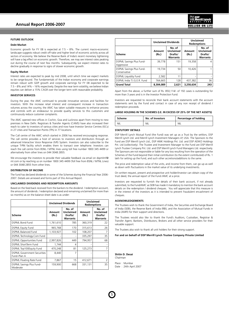#### **FUTURE OUTLOOK**

#### **Debt Market**

Economic growth for FY 08 is expected at 7.5 – 8%. The current macro-economic landscape suggests robust credit off-take and higher level of economic activity across all sectors of economy. We believe the Reserve Bank of India's recent monetary tightening will have a lag effect on economic growth. Therefore, we may see interest rates peaking out during the course of next few months. Subsequently, we expect interest rates to decline gradually in response to signs of slower economic growth.

#### **Equity Market**

Interest rates are expected to peak by mid 2008, until which time we expect markets to be range-bound. The fundamentals of the Indian economy and corporate earnings remain robust with GDP growth and corporate earnings for FY 08 expected to be 7.5 – 8% and 14% – 16% respectively. Despite the near term volatility, we believe Indian equities can deliver a 15% CAGR over the longer term with reasonable probability.

#### **INVESTOR SERVICES**

During the year, the AMC continued to provide innovative services and facilities for investors. With the increase retail interest and consequent increase in transaction volumes across the country, the AMC has taken suitable measures to enhance process and controls with an endeavour to provide quality services to this customers and continuously reduce customer complaints.

The AMC opened new offices in Cochin, Goa and Lucknow apart from moving to new premises in New Delhi. Registrars & Transfer Agents (CAMS) have also increased their reach to cater to investors of various cities and now have Investor Service Centres (ISCs) in 27 cities and Transaction Points (TPs) in 77 locations.

The Call centre of the AMC which started in 2006 has received encouraging response. The call centre provides a host of services to investors and distributors through an advanced Interactive Voice Response (IVR) System. Investors can also subscribe to the unique T-PIN facility which enables them to transact over telephone. Investors can reach the call centre from BSNL / MTNL lines using toll free number 1800 345 4499 or alternatively from other lines on 044 3048 2855.

We encourage the investors to provide their valuable feedback via email on dspmlmf@ ml.com or by reaching us on number 1800 345 4499 (Toll free from BSNL / MTNL Lines) or 044 3048 2855 from other lines.

#### **DISTRIBUTION OF INCOME**

The fund has declared dividends in some of the Schemes during the Financial Year 2006- 2007. Details are annexed and forms part of this Annual Report.

#### **UNCLAIMED DIVIDENDS AND REDEMPTION AMOUNTS**

Based on the feed back received from the bankers to the dividend / redemption account, the amount of dividends / redemption declared and remaining unclaimed (for more than six months) as on the balance sheet date is as under:

|                                                   | <b>Unclaimed Dividends</b> |                                                          | <b>Unclaimed</b><br><b>Redemptions</b> |                                                          |
|---------------------------------------------------|----------------------------|----------------------------------------------------------|----------------------------------------|----------------------------------------------------------|
| Scheme                                            | Amount<br>(Rs.)            | No. of<br><b>Unclaimed</b><br>Drafts/<br><b>Warrants</b> | Amount<br>(Rs.)                        | No. of<br><b>Unclaimed</b><br>Drafts/<br><b>Warrants</b> |
| <b>DSPML Bond Fund</b>                            | 1,761,610                  | 785                                                      | 360,319                                | 22                                                       |
| <b>DSPML Equity Fund</b>                          | 965,768                    | 170                                                      | 315,613                                | 26                                                       |
| <b>DSPML Balanced Fund</b>                        | 1,103,927                  | 102                                                      | 108,207                                |                                                          |
| DSPML Technology.Com Fund                         |                            |                                                          | 335,297                                | 35                                                       |
| <b>DSPML Opportunities Fund</b>                   | 2,997,826                  | 449                                                      | 794,957                                | 68                                                       |
| DSPML ShortTerm Fund                              | 1,744                      | 4                                                        |                                        |                                                          |
| DSPML Top100Equity Fund                           | 470,248                    | 81                                                       | 125,273                                |                                                          |
| <b>DSPML Government Securities</b><br>Fund-Plan A | 8,440                      | 7                                                        |                                        |                                                          |
| DSPML Floating Rate Fund                          | 7,867                      | 15                                                       | 412,671                                | $\overline{2}$                                           |
| DSPML Savings Plus Fund-<br>Moderate              | 159,900                    | 668                                                      | 331,131                                | 35                                                       |

|                                          | <b>Unclaimed Dividends</b> |                                                          | Unclaimed<br><b>Redemptions</b> |                                                          |
|------------------------------------------|----------------------------|----------------------------------------------------------|---------------------------------|----------------------------------------------------------|
| Scheme                                   | Amount<br>(Rs.)            | No. of<br><b>Unclaimed</b><br>Drafts/<br><b>Warrants</b> | Amount<br>(Rs.)                 | No. of<br><b>Unclaimed</b><br>Drafts/<br><b>Warrants</b> |
| DSPML Savings Plus Fund-<br>Aggressive   | 39.778                     | 151                                                      | 19,358                          | 4                                                        |
| DSPML Savings Plus Fund-<br>Conservative | 19,734                     | 50                                                       | 10,426                          |                                                          |
| <b>DSPML Liquidity Fund</b>              | 2,582                      | 11                                                       |                                 |                                                          |
| DSPML India T.I.G.E.R. Fund              | 764,665                    | 128                                                      | 437,382                         | 36                                                       |
| <b>Grand Total</b>                       | 8,304,089                  | 2.621                                                    | 3,250,634                       | 243                                                      |

Apart from the above, a further sum of Rs. 850,114/- of 192 cases is outstanding for more than 3 years and is in the Investor Protection Fund.

Investors are requested to reconcile their bank account statements with the account statements sent by the Fund and contact in case of any non receipt of dividend / redemption proceeds.

#### **LARGE HOLDING IN THE SCHEMES (I.E. IN EXCESS OF 25% OF THE NET ASSETS)**

| Scheme     | No. of Investors | <b>Percentage of holding</b> |
|------------|------------------|------------------------------|
| <b>NIL</b> | <b>NIL</b>       | <b>NIL</b>                   |

#### **STATUTORY DETAILS**

DSP Merrill Lynch Mutual Fund (the Fund) was set up as a Trust by the settlors, DSP Merrill Lynch Ltd. and Merrill Lynch Investment Managers LP, USA. The Sponsors to the Fund are DSP Merrill Lynch Ltd., DSP HMK Holdings Pvt. Ltd. and DSP ADIKO Holdings Pvt. Ltd (collectively). The Trustee and Investment Manager to the Fund are DSP Merrill Lynch Trustee Company Pvt. Ltd. and DSP Merrill Lynch Fund Managers Ltd. respectively. The Sponsors are not responsible or liable for any loss resulting from the operation of the Schemes of the Fund beyond their initial contribution (to the extent contributed) of Rs. 1 lakh for setting up the Fund, and such other accretions/additions to the same

The price and redemption value of the units, and income from them, can go up as well as down with fluctuations in the market value of its underlying investments.

On written request, present and prospective unit holder/investor can obtain copy of the trust deed, the annual report of the Fund /AMC at a price.

Investors are requested to furnish the details of their bank account, if not already submitted, to the Fund/AMC as SEBI has made it mandatory to mention the bank account details on the redemption / dividend cheques. You will appreciate that this measure is in the interest of the investors as it is intended to prevent fraudulent encashment of cheques.

#### **ACKNOWLEDGEMENTS**

The Trustees wish to thank the Government of India, the Securities and Exchange Board of India (SEBI), the Reserve Bank of India (RBI), and the Association of Mutual Funds in India (AMFI) for their support and directions.

The Trustees would also like to thank the Fund's Auditors, Custodian, Registrar & Transfer Agent, Bankers, Distributors, Brokers and all other service providers for their valuable support.

The Trustees also wish to thank all unit holders for their strong support.

#### **For and on behalf of DSP Merrill Lynch Trustee Company Private Limited**

**Shitin D. Desai** *Chairman*

5

Place : Mumbai Date : 24th April 2007

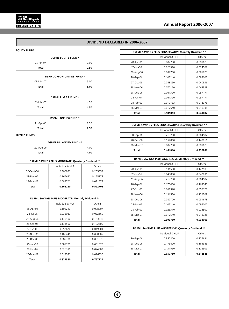## **DIVIDEND DECLARED IN 2006-2007**

**EQUITY FUNDS**

| <b>DSPML EQUITY FUND *</b> |      |  |
|----------------------------|------|--|
| 25-Jan-07                  | 7.00 |  |
| Total                      | 7.00 |  |
|                            |      |  |

| DSPML OPPORTUNITIES FUND * |      |  |
|----------------------------|------|--|
| 08-Mar-07                  | 5.00 |  |
| Total<br>5.00              |      |  |

| <b>DSPML T.I.G.E.R FUND *</b> |      |  |
|-------------------------------|------|--|
| 21-Mar-07                     | 4.50 |  |
| Total                         | 4.50 |  |

| <b>DSPML TOP 100 FUND *</b> |  |  |
|-----------------------------|--|--|
| 11-Apr-06<br>7.50           |  |  |
| Total<br>7.50               |  |  |

## **HYBRID FUNDS**

| <b>DSPML BALANCED FUND **</b> |      |  |
|-------------------------------|------|--|
| 22-Aug-06                     | 4.00 |  |
| Total<br>4.00                 |      |  |

| DSPML SAVINGS PLUS MODERATE: Quarterly Dividend ** |                  |          |
|----------------------------------------------------|------------------|----------|
|                                                    | Individual & HUF | Others   |
| 30-Sept-06                                         | 0.306950         | 0.285854 |
| 28-Dec-06                                          | 0.166630         | 0.155178 |
| 28-Mar-07                                          | 0.087700         | 0.081673 |
| Total                                              | 0.561280         | 0.522705 |

| DSPML SAVINGS PLUS MODERATE: Monthly Dividend ** |                  |          |
|--------------------------------------------------|------------------|----------|
|                                                  | Individual & HUF | Others   |
| 28-Apr-06                                        | 0.105240         | 0.098007 |
| 28-Jul-06                                        | 0.035080         | 0.032669 |
| 28-Aug-06                                        | 0.175400         | 0.163345 |
| 28-Sep-06                                        | 0.131550         | 0.122509 |
| 27-Oct-06                                        | 0.052620         | 0.049004 |
| 28-Nov-06                                        | 0.105240         | 0.098007 |
| 28-Dec-06                                        | 0.087700         | 0.081673 |
| 25-Jan-07                                        | 0.087700         | 0.081673 |
| 28-Feb-07                                        | 0.026310         | 0.024502 |
| 28-Mar-07                                        | 0.017540         | 0.016335 |
| Total                                            | 0.824380         | 0.767724 |

| DSPML SAVINGS PLUS CONSERVATIVE Monthly Dividend ** |                  |          |
|-----------------------------------------------------|------------------|----------|
|                                                     | Individual & HUF | Others   |
| 28-Apr-06                                           | 0.087700         | 0.081673 |
| 28-Jul-06                                           | 0.026310         | 0.024502 |
| 28-Aug-06                                           | 0.087700         | 0.081673 |
| 28-Sep-06                                           | 0.105240         | 0.098007 |
| 27-Oct-06                                           | 0.043850         | 0.040836 |
| 28-Nov-06                                           | 0.070160         | 0.065338 |
| 28-Dec-06                                           | 0.061390         | 0.057171 |
| 25-Jan-07                                           | 0.061390         | 0.057171 |
| 28-Feb-07                                           | 0.019733         | 0.018376 |
| 28-Mar-07                                           | 0.017540         | 0.016335 |
| Total                                               | 0.581013         | 0.541082 |

| DSPML SAVINGS PLUS CONSERVATIVE: Quarterly Dividend ** |                  |          |
|--------------------------------------------------------|------------------|----------|
|                                                        | Individual & HUF | Others   |
| 30-Sep-06                                              | 0.219250         | 0.204182 |
| 28-Dec-06                                              | 0.157860         | 0.147011 |
| 28-Mar-07                                              | 0.087700         | 0.081673 |
| Total                                                  | 0.464810         | 0.432866 |

| DSPML SAVINGS PLUS AGGRESSIVE Monthly Dividend ** |                  |          |
|---------------------------------------------------|------------------|----------|
|                                                   | Individual & HUF | Others   |
| 28-Apr-06                                         | 0.131550         | 0.122509 |
| 28-Jul-06                                         | 0.043850         | 0.040836 |
| 28-Aug-06                                         | 0.219250         | 0.204182 |
| 28-Sep-06                                         | 0.175400         | 0.163345 |
| 27-Oct-06                                         | 0.061390         | 0.057171 |
| 28-Nov-06                                         | 0.131550         | 0.122509 |
| 28-Dec-06                                         | 0.087700         | 0.081673 |
| 25-Jan-07                                         | 0.105240         | 0.098007 |
| 28-Feb-07                                         | 0.026310         | 0.024502 |
| 28-Mar-07                                         | 0.017540         | 0.016335 |
| Total                                             | 0.999780         | 0.931069 |

| DSPML SAVINGS PLUS AGGRESSIVE: Quarterly Dividend ** |                  |          |
|------------------------------------------------------|------------------|----------|
|                                                      | Individual & HUF | Others   |
| 30-Sep-06                                            | 0.350800         | 0.326691 |
| 28-Dec-06                                            | 0.175400         | 0.163345 |
| 28-Mar-07                                            | 0.131550         | 0.122509 |
| Total                                                | 0.657750         | 0.612545 |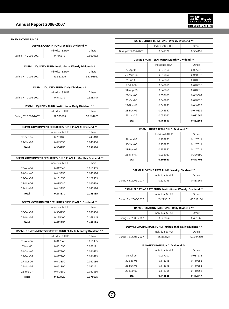## **Annual Report 2006-2007**

## **FIXED INCOME FUNDS**

| DSPML LIQUIDITY FUND: Weekly Dividend ** |                  |          |
|------------------------------------------|------------------|----------|
|                                          | Individual & HUF | Others   |
| During F.Y. 2006-2007                    | 0.716312         | 0.667082 |

| DSPML LIQUIDITY FUND: Institutional Weekly Dividend** |                  |           |
|-------------------------------------------------------|------------------|-----------|
|                                                       | Individual & HUF | Others    |
| During F.Y. 2006-2007                                 | 59.587206        | 55.491922 |

| DSPML LIQUIDITY FUND: Daily Dividend ** |                  |          |
|-----------------------------------------|------------------|----------|
|                                         | Individual & HUF | Others   |
| During F.Y. 2006-2007                   | 0.578079         | 0.538345 |

| DSPML LIQUIDITY FUND: Institutional Daily Dividend ** |                  |           |
|-------------------------------------------------------|------------------|-----------|
|                                                       | Individual & HUF | Others    |
| During F.Y. 2006-2007                                 | 59.587078        | 55.491807 |

| DSPML GOVERNMENT SECURITIES FUND PLAN A: Dividend ** |                 |          |
|------------------------------------------------------|-----------------|----------|
|                                                      | Individual &HUF | Others   |
| 30-Sep-06                                            | 0.263100        | 0.245018 |
| 28-Mar-07                                            | 0.043850        | 0.040836 |
| Total                                                | 0.306950        | 0.285854 |

| DSPML GOVERNMENT SECURITIES FUND PLAN A: Monthly Dividend ** |                 |          |
|--------------------------------------------------------------|-----------------|----------|
|                                                              | Individual &HUF | Others   |
| 28-Apr-06                                                    | 0.017540        | 0.016335 |
| 28-Aug-06                                                    | 0.043850        | 0.040836 |
| 27-Sep-06                                                    | 0.131550        | 0.122509 |
| 27-Oct-06                                                    | 0.035080        | 0.032669 |
| 28-Nov-06                                                    | 0.043850        | 0.040836 |
| Total                                                        | 0.271870        | 0.253185 |

| DSPML GOVERNMENT SECURITIES FUND PLAN B: Dividend ** |                 |          |
|------------------------------------------------------|-----------------|----------|
|                                                      | Individual &HUF | Others   |
| 30-Sep-06                                            | 0.306950        | 0.285854 |
| 28-Mar-07                                            | 0.175400        | 0.163345 |
| Total                                                | 0.482350        | 0.449199 |

| DSPML GOVERNMENT SECURITIES FUND PLAN B: Monthly Dividend ** |                  |          |
|--------------------------------------------------------------|------------------|----------|
|                                                              | Individual & HUF | Others   |
| 28-Apr-06                                                    | 0.017540         | 0.016335 |
| $03 - Iul - 06$                                              | 0.061390         | 0.057171 |
| 28-Aug-06                                                    | 0.087700         | 0.081673 |
| 27-Sep-06                                                    | 0.087700         | 0.081673 |
| 27-Oct-06                                                    | 0.043850         | 0.040836 |
| 28-Nov-06                                                    | 0.061390         | 0.057171 |
| 28-Feb-07                                                    | 0.043850         | 0.040836 |
| Total                                                        | 0.403420         | 0.375695 |

| DSPML SHORT TERM FUND: Weekly Dividend ** |                   |          |
|-------------------------------------------|-------------------|----------|
|                                           | Individuals & HUF | Others   |
| During F.Y.2006-2007                      | 0541729           | 0.504497 |

| DSPML SHORT TERM FUND: Monthly Dividend ** |                 |          |
|--------------------------------------------|-----------------|----------|
|                                            | Individual &HUF | Others   |
| 27-Apr-06                                  | 0.070160        | 0.065338 |
| 25-May-06                                  | 0.043850        | 0.040836 |
| 29-Jun-06                                  | 0.043850        | 0.040836 |
| $27 - 11 - 06$                             | 0.043850        | 0.040836 |
| 31-Aug-06                                  | 0.043850        | 0.040836 |
| 28-Sep-06                                  | 0.052620        | 0.049004 |
| 26-Oct-06                                  | 0.043850        | 0.040836 |
| 28-Nov-06                                  | 0.043850        | 0.040836 |
| 28-Dec-06                                  | 0.043850        | 0.040836 |
| 25-Jan-07                                  | 0.035080        | 0.032669 |
| Total                                      | 0.464810        | 0.432863 |

| DSPML SHORT TERM FUND: Dividend ** |                  |          |
|------------------------------------|------------------|----------|
|                                    | Individual & HUF | Others   |
| 29-Jun-06                          | 0.157860         | 0.147011 |
| 30-Sep-06                          | 0.157860         | 0.147011 |
| 28-Dec-05                          | 0.157860         | 0.147011 |
| 28-Mar-07                          | 0.035080         | 0.326690 |
| Total                              | 0.508660         | 0.473702 |

| DSPML FLOATING RATE FUND: Weekly Dividend ** |                  |          |
|----------------------------------------------|------------------|----------|
|                                              | Individual & HUF | Others   |
| During F.Y. 2006-2007                        | 0.524296         | 0.488264 |

| DSPML FLOATING RATE FUND: Institutional Weekly Dividend ** |                  |           |
|------------------------------------------------------------|------------------|-----------|
|                                                            | Individual & HUF | Others    |
| During F.Y. 2006-2007                                      | 43.293618        | 40.318154 |

| DSPML FLOATING RATE FUND: Daily Dividend ** |                  |          |
|---------------------------------------------|------------------|----------|
|                                             | Individual & HUF | Others   |
| During F.Y. 2006-2007                       | 0.527864         | 0.491566 |

| DSPML FLOATING RATE FUND: Institutional Daily Dividend ** |                  |           |
|-----------------------------------------------------------|------------------|-----------|
|                                                           | Individual & HUF | Others    |
| During F.Y. 2006-2007                                     | 55.863627        | 52 024250 |

| <b>FLOATING RATE FUND: Dividend **</b> |                  |          |
|----------------------------------------|------------------|----------|
|                                        | Individual & HUF | Others   |
| 03-Jul-06                              | 0.087700         | 0.081673 |
| 30-Sep-06                              | 0.118395         | 0.110258 |
| 28-Dec-06                              | 0.118395         | 0.110258 |
| 28-Mar-07                              | 0.118395         | 0.110258 |
| Total                                  | 0.442885         | 0.412447 |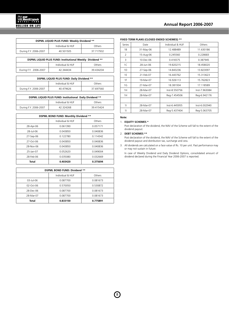| DSPML LIQUID PLUS FUND: Weekly Dividend ** |                  |           |
|--------------------------------------------|------------------|-----------|
|                                            | Individual & HUF | Others    |
| During F.Y. 2006-2007                      | 40.501505        | 37 717932 |

| DSPML LIQUID PLUS FUND: Institutional Weekly Dividend ** |                  |           |
|----------------------------------------------------------|------------------|-----------|
|                                                          | Individual & HUF | Others    |
| During F.Y. 2006-2007                                    | 42.344434        | 39 434204 |

| DSPML LIQUID PLUS FUND: Daily Dividend ** |                  |           |
|-------------------------------------------|------------------|-----------|
|                                           | Individual & HUF | Others    |
| During F.Y. 2006-2007                     | 40.479626        | 37.697560 |

| DSPML LIQUID PLUS FUND: Institutional Daily Dividend ** |                  |           |
|---------------------------------------------------------|------------------|-----------|
|                                                         | Individual & HUF | Others    |
| During F.Y. 2006-2007                                   | 42.324268        | 39 415424 |

|           | DSPML BOND FUND: Monthly Dividend ** |          |  |  |  |  |  |  |  |  |  |
|-----------|--------------------------------------|----------|--|--|--|--|--|--|--|--|--|
|           | Individual & HUF                     | Others   |  |  |  |  |  |  |  |  |  |
| 28-Apr-06 | 0.061390                             | 0.057171 |  |  |  |  |  |  |  |  |  |
| 28-Jul-06 | 0.043850                             | 0.040836 |  |  |  |  |  |  |  |  |  |
| 27-Sep-06 | 0.122780                             | 0.114342 |  |  |  |  |  |  |  |  |  |
| 27-Oct-06 | 0.043850                             | 0.040836 |  |  |  |  |  |  |  |  |  |
| 28-Nov-06 | 0.043850                             | 0.040836 |  |  |  |  |  |  |  |  |  |
| 25-Jan-07 | 0.052620                             | 0.049004 |  |  |  |  |  |  |  |  |  |
| 28-Feb-06 | 0.035080                             | 0.032669 |  |  |  |  |  |  |  |  |  |
| Total     | 0.403420                             | 0.375694 |  |  |  |  |  |  |  |  |  |

| DSPML BOND FUND: Dividend ** |                      |          |  |  |  |  |  |  |  |
|------------------------------|----------------------|----------|--|--|--|--|--|--|--|
|                              | Individual & HUF     | Others   |  |  |  |  |  |  |  |
| 03-Jul-06                    | 0.087700             | 0.081673 |  |  |  |  |  |  |  |
| $02 - Oct-06$                | 0.570050             | 0.530872 |  |  |  |  |  |  |  |
| 28-Dec-06                    | 0.087700             | 0.081673 |  |  |  |  |  |  |  |
| 28-Mar-07                    | 0.087700             | 0.081673 |  |  |  |  |  |  |  |
| Total                        | 0.833150<br>0.775891 |          |  |  |  |  |  |  |  |

## **FIXED TERM PLANS (CLOSED ENDED SCHEMES) \*\***

| Series         | Date      | Individual & HUF | Others        |
|----------------|-----------|------------------|---------------|
| 1B             | 31-May-06 | 12.488489        | 11.630186     |
| $\overline{2}$ | 15-Aug-06 | 0.245560         | 0.228683      |
| 3              | 10-Dec-06 | 0.416575         | 0.387945      |
| 1 <sup>C</sup> | 28-Jun-06 | 19.820215        | 18.458020     |
| 1D             | 27-Sep-06 | 14.843236        | 13.823097     |
| 1E             | 21-Feb-07 | 16.443762        | 15.313623     |
| 1F             | 19-Mar-07 | 16.926113        | 15.762823     |
| 1G             | 27-Mar-07 | 18.381934        | 17.118589     |
| 1H             | 28-Mar-07 | Inst-8.550756    | Inst-7.963084 |
| 1H             | 28-Mar-07 | Reg-7.454506     | Reg-6.942176  |
|                |           |                  |               |
| 11             | 28-Mar-07 | Inst-6.445955    | Inst-6.002940 |
| 11             | 28-Mar-07 | Reg-5.437404     | Reg-5.063705  |

## **Note:**

#### 1. **EQUITY SCHEMES \***

Post declaration of the dividend, the NAV of the Scheme will fall to the extent of the dividend payout.

### 2. **DEBT SCHEMES \*\***

Post declaration of the dividend, the NAV of the Scheme will fall to the extent of the dividend payout and distribution tax, surcharge and cess.

- 3. All dividends are calculated on a face value of Rs. 10 per unit. Past performance may or may not sustain in future.
	- In case of Weekly Dividend and Daily Dividend Options, consolidated amount of dividend declared during the Financial Year 2006-2007 is reported.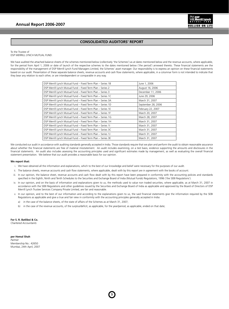### **CONSOLIDATED AUDITORS' REPORT**

To the Trustee of DSP MERRILL LYNCH MUTUAL FUND:

We have audited the attached balance sheets of the schemes mentioned below (collectively 'the Schemes') as at dates mentioned below and the revenue accounts, where applicable, for the period from April 1, 2006 or date of launch of the respective schemes to the dates mentioned below ('the period') annexed thereto. These financial statements are the responsibility of the management of DSP Merrill Lynch Fund Managers Limited, the Schemes' asset manager. Our responsibility is to express an opinion on these financial statements based on our audit. Presentation of these separate balance sheets, revenue accounts and cash flow statements, where applicable, in a columnar form is not intended to indicate that they bear any relation to each other, or are interdependent or comparable in any way.

| DSP Merrill Lynch Mutual Fund - Fixed Term Plan - Series 1B | June 1, 2006       |
|-------------------------------------------------------------|--------------------|
| DSP Merrill Lynch Mutual Fund - Fixed Term Plan - Series 2  | August 16, 2006    |
| DSP Merrill Lynch Mutual Fund - Fixed Term Plan - Series 3  | December 11, 2006  |
| DSP Merrill Lynch Mutual Fund - Fixed Term Plan - Series 1C | June 29, 2006      |
| DSP Merrill Lynch Mutual Fund - Fixed Term Plan - Series 3A | March 31, 2007     |
| DSP Merrill Lynch Mutual Fund - Fixed Term Plan - Series 1D | September 28, 2006 |
| DSP Merrill Lynch Mutual Fund - Fixed Term Plan - Series 1E | February 22, 2007  |
| DSP Merrill Lynch Mutual Fund - Fixed Term Plan - Series 1F | March 20, 2007     |
| DSP Merrill Lynch Mutual Fund - Fixed Term Plan - Series 1G | March 28, 2007     |
| DSP Merrill Lynch Mutual Fund - Fixed Term Plan - Series 1H | March 31, 2007     |
| DSP Merrill Lynch Mutual Fund - Fixed Term Plan - Series 11 | March 31, 2007     |
| DSP Merrill Lynch Mutual Fund - Fixed Term Plan - Series 3C | March 31, 2007     |
| DSP Merrill Lynch Mutual Fund - Fixed Term Plan - Series 1J | March 31, 2007     |
| DSP Merrill Lynch Mutual Fund - Fixed Term Plan - Series 3E | March 31, 2007     |

We conducted our audit in accordance with auditing standards generally accepted in India. Those standards require that we plan and perform the audit to obtain reasonable assurance about whether the financial statements are free of material misstatement. An audit includes examining, on a test basis, evidence supporting the amounts and disclosures in the financial statements. An audit also includes assessing the accounting principles used and significant estimates made by management, as well as evaluating the overall financial statement presentation. We believe that our audit provides a reasonable basis for our opinion.

#### **We report that:**

- i. We have obtained all the information and explanations, which to the best of our knowledge and belief were necessary for the purposes of our audit.
- ii. The balance sheets, revenue accounts and cash flow statements, where applicable, dealt with by this report are in agreement with the books of account.
- iii. In our opinion, the balance sheet, revenue accounts and cash flow dealt with by this report have been prepared in conformity with the accounting policies and standards specified in the Eighth, Ninth and Tenth Schedules to the Securities and Exchange Board of India (Mutual Funds) Regulations, 1996 ('the SEBI Regulations').
- iv. In our opinion, and on the basis of information and explanations given to us, the methods used to value non traded securities, where applicable, as at March 31, 2007 in accordance with the SEBI Regulations and other guidelines issued by the Securities and Exchange Board of India as applicable and approved by the Board of Directors of DSP Merrill Lynch Trustee Services Company Private Limited, are fair and reasonable.
- v. In our opinion, and to the best of our information and according to the explanations given to us, the said financial statements give the information required by the SEBI Regulations as applicable and give a true and fair view in conformity with the accounting principles generally accepted in India:
	- a) in the case of the balance sheets, of the state of affairs of the Schemes as at March 31, 2007;
	- b) in the case of the revenue accounts, of the surplus/deficit, as applicable, for the year/period, as applicable, ended on that date;

**For S. R. Batliboi & Co.** *Chartered Accountants*

**per Hemal Shah** *Partner* Membership No.: 42650 Mumbai, 24th April, 2007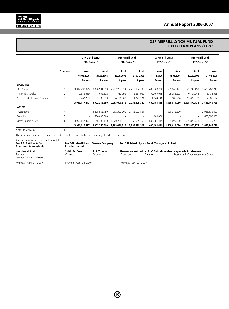## **DSP MERRILL LYNCH MUTUAL FUND FIXED TERM PLANS (FTP) :**

|                                           |          | <b>DSP Merrill Lynch</b><br>FTP-Series 1B |               |               | <b>DSP Merrill Lynch</b><br>FTP-Series 2 |               | <b>DSP Merrill Lynch</b><br>FTP-Series 3 | <b>DSP Merrill Lynch</b><br>FTP-Series 1C |               |  |
|-------------------------------------------|----------|-------------------------------------------|---------------|---------------|------------------------------------------|---------------|------------------------------------------|-------------------------------------------|---------------|--|
|                                           | Schedule | As at                                     | As at         | As at         | As at                                    | As at         | As at                                    | As at                                     | As at         |  |
|                                           |          | 01.06.2006                                | 31.03.2006    | 16.08.2006    | 31.03.2006                               | 11.12.2006    | 31.03.2006                               | 29.06.2006                                | 31.03.2006    |  |
|                                           |          | <b>Rupees</b>                             | <b>Rupees</b> | <b>Rupees</b> | <b>Rupees</b>                            | <b>Rupees</b> | Rupees                                   | <b>Rupees</b>                             | <b>Rupees</b> |  |
| <b>LIABILITIES</b>                        |          |                                           |               |               |                                          |               |                                          |                                           |               |  |
| Unit Capital                              |          | 3,917,298,925                             | 3,890,931,919 | 2,237,257,524 | 2,218,194,139                            | 1,499,068,286 | 1,539,066,171                            | 3,572,743,459                             | 3,639,767,217 |  |
| Reserves & Surplus                        |          | 9,556,319                                 | 7,638,632     | 11,712,792    | 3,661,969                                | 99,469,015    | 28,956,203                               | 10,101,942                                | 6,472,388     |  |
| <b>Current Liabilities and Provisions</b> | 3        | 9,262,233                                 | 3,785,339     | 34,120,502    | 11,273,221                               | 1,644,148     | 588,706                                  | 13,025,370                                | 2,506,124     |  |
|                                           |          | 3,936,117,477                             | 3,902,355,890 | 2,283,090,818 | 2,233,129,329                            | 1,600,181,449 | 1,568,611,080                            | 3,595,870,771                             | 3,648,745,729 |  |
| <b>ASSETS</b>                             |          |                                           |               |               |                                          |               |                                          |                                           |               |  |
| Investments                               | 4        |                                           | 3,205,563,750 | 962,302,000   | 2,165,093,561                            |               | 1,506,913,200                            |                                           | 2,936,175,000 |  |
| Deposits                                  | 5        |                                           | 650,000,000   |               |                                          | 100,000       |                                          |                                           | 650,000,000   |  |
| Other Current Assets                      | 6        | 3,936,117,477                             | 46,792,140    | 1,320,788,818 | 68,035,768                               | 1,600,081,449 | 61,697,880                               | 3,595,870,771                             | 62,570,729    |  |
|                                           |          | 3,936,117,477                             | 3,902,355,890 | 2,283,090,818 | 2,233,129,329                            | 1,600,181,449 | 1,568,611,080                            | 3,595,870,771                             | 3,648,745,729 |  |

Notes to Accounts 8

The schedules referred to the above and the notes to accounts form an integral part of the accounts.

| As per our attached report of even date<br>For S.R. Batliboi & Co.<br><b>Chartered Accountants</b> | For DSP Merrill Lynch Trustee Company<br><b>Private Limited</b> |                          | For DSP Merrill Lynch Fund Managers Limited |          |                                                                                                    |  |  |  |
|----------------------------------------------------------------------------------------------------|-----------------------------------------------------------------|--------------------------|---------------------------------------------|----------|----------------------------------------------------------------------------------------------------|--|--|--|
| per Hemal Shah<br>Partner<br>Membership No. 42650                                                  | Shitin D. Desai<br>Chairman                                     | S. S. Thakur<br>Director | Chairman                                    | Director | Hemendra Kothari K. R. V. Subrahmanian Naganath Sundaresan<br>President & Chief Investment Officer |  |  |  |
| Mumbai, April 24, 2007                                                                             | Mumbai, April 24, 2007                                          |                          | Mumbai, April 23, 2007                      |          |                                                                                                    |  |  |  |

 $\left( \begin{smallmatrix} 10 \end{smallmatrix} \right)$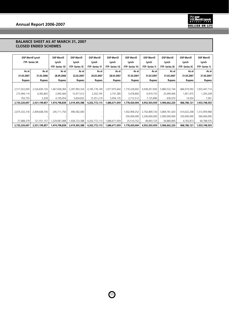## **BALANCE SHEET AS AT MARCH 31, 2007 CLOSED ENDED SCHEMES**

|               | <b>DSP Merrill Lynch</b> | <b>DSP Merrill</b> | <b>DSP Merrill</b> | <b>DSP Merrill</b> | <b>DSP Merrill</b>       | <b>DSP Merrill</b> | <b>DSP Merrill</b> | <b>DSP Merrill</b> | <b>DSP Merrill</b> | <b>DSP Merrill</b> |
|---------------|--------------------------|--------------------|--------------------|--------------------|--------------------------|--------------------|--------------------|--------------------|--------------------|--------------------|
|               | FTP-Series 3A            | Lynch              | Lynch              | Lynch              | Lynch                    | Lynch              | Lynch              | Lynch              | Lynch              | Lynch              |
|               | FTP-Series 1D            |                    | FTP-Series 1E      | FTP-Series 1F      | FTP-Series 1G            | FTP-Series 1H      | FTP-Series 11      | FTP-Series 3E      | FTP-Series 3C      | FTP-Series 1J      |
| As at         | As at                    | As at              | As at              | As at              | As at                    | As at              | As at              | As at              | As at              | As at              |
| 31.03.2007    | 31.03.2006               | 28.09.2006         | 22.02.2007         | 20.03.2007         | 28.03.2007               | 31.03.2007         | 31.03.2007         | 31.03.2007         | 31.03.2007         | 31.03.2007         |
| <b>Rupees</b> | <b>Rupees</b>            | Rupees             | <b>Rupees</b>      | <b>Rupees</b>      | <b>Rupees</b>            | <b>Rupees</b>      | <b>Rupees</b>      | <b>Rupees</b>      | <b>Rupees</b>      | <b>Rupees</b>      |
|               |                          |                    |                    |                    |                          |                    |                    |                    |                    |                    |
| 2,517,022,830 | 2,526,830,726            | 1,467,658,384      | 2,397,993,324      | 4,185,178,149      | 1,677,975,644            | 1,770,228,692      | 4,938,457,830      | 5,880,532,744      | 866,919,592        | 1,932,447,714      |
| 215,494,114   | 4,365,803                | 2,945,400          | 15,477,412         | 2,242,745          | 2,741,280                | 5,478,800          | 6,919,733          | 25,499,406         | 1,851,975          | 1,293,208          |
| 703,753       | 3,328                    | 4,195,054          | 5,834,652          | 15,351,219         | 5,954,135                | 2,712,512          | 7,125,896          | 630,070            | 14,554             | 7,581              |
| 2,733,220,697 | 2,531,199,857            | 1,474,798,838      | 2,419,305,388      | 4,202,772,113      | 1,686,671,059            | 1,778,420,004      | 4,952,503,459      | 5,906,662,220      | 868,786,121        | 1,933,748,503      |
|               |                          |                    |                    |                    |                          |                    |                    |                    |                    |                    |
| 2,675,332,318 | 2,409,648,700            | 245,711,750        | 490,582,000        |                    | $\overline{\phantom{a}}$ | 1,502,909,252      | 2,702,809,726      | 3,869,781,420      | 614,022,248        | 1,312,959,968      |
|               |                          |                    |                    |                    |                          | 250,000,000        | 2,200,000,000      | 2,000,000,000      | 250,000,000        | 560,000,000        |
| 57,888,379    | 121,551,157              | 1,229,087,088      | 1,928,723,388      | 4,202,772,113      | ,686,671,059             | 25,510,752         | 49,693,733         | 36,880,800         | 4,763,873          | 60,788,535         |
| 2,733,220,697 | 2,531,199,857            | 1,474,798,838      | 2,419,305,388      | 4,202,772,113      | 1,686,671,059            | 1,778,420,004      | 4,952,503,459      | 5,906,662,220      | 868,786,121        | 1,933,748,503      |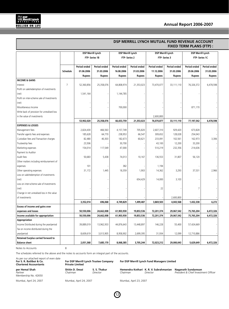ſ

|                                             |                |                          |               |                          |               |                          |               | <b>FIXED TERM PLANS (FTP):</b> |                          |  |  |  |  |  |  |  |  |
|---------------------------------------------|----------------|--------------------------|---------------|--------------------------|---------------|--------------------------|---------------|--------------------------------|--------------------------|--|--|--|--|--|--|--|--|
|                                             |                | <b>DSP Merrill Lynch</b> |               | <b>DSP Merrill Lynch</b> |               | <b>DSP Merrill Lynch</b> |               |                                | <b>DSP Merrill Lynch</b> |  |  |  |  |  |  |  |  |
|                                             |                | FTP- Series 1B           |               |                          | FTP-Series 2  |                          | FTP-Series 3  |                                | FTP-Series 1C            |  |  |  |  |  |  |  |  |
|                                             |                | <b>Period ended</b>      | Period ended  | Period ended             | Period ended  | Period ended             | Period ended  | Period ended                   | Period ended             |  |  |  |  |  |  |  |  |
|                                             | Schedule       | 01.06.2006               | 31.03.2006    | 16.08.2006               | 31.03.2006    | 11.12.2006               | 31.03.2006    | 29.06.2006                     | 31.03.2006               |  |  |  |  |  |  |  |  |
|                                             |                | <b>Rupees</b>            | <b>Rupees</b> | <b>Rupees</b>            | <b>Rupees</b> | <b>Rupees</b>            | <b>Rupees</b> | <b>Rupees</b>                  | <b>Rupees</b>            |  |  |  |  |  |  |  |  |
| <b>INCOME &amp; GAINS</b>                   |                |                          |               |                          |               |                          |               |                                |                          |  |  |  |  |  |  |  |  |
| Interest                                    | $\overline{7}$ | 52,360,856               | 25,358,076    | 64,808,974               | 21,353,023    | 73,470,077               | 33,111,110    | 76,326,372                     | 6,478,598                |  |  |  |  |  |  |  |  |
| Profit on sale/redemption of investments    |                |                          |               |                          |               |                          |               |                                |                          |  |  |  |  |  |  |  |  |
| (net)                                       |                | 1,541,164                |               | 1,144,785                |               |                          |               |                                |                          |  |  |  |  |  |  |  |  |
| Profit on inter-scheme sale of Investments  |                |                          |               |                          |               |                          |               |                                |                          |  |  |  |  |  |  |  |  |
| (net)                                       |                |                          |               |                          |               |                          |               |                                |                          |  |  |  |  |  |  |  |  |
| Miscellaneous Income                        |                |                          |               | 700,000                  |               |                          |               | 871,170                        |                          |  |  |  |  |  |  |  |  |
| Write back of provision for unrealised loss |                |                          |               |                          |               |                          |               |                                |                          |  |  |  |  |  |  |  |  |
| in the value of investments                 |                |                          |               |                          |               | 2,600,800                |               |                                |                          |  |  |  |  |  |  |  |  |
|                                             |                | 53,902,020               | 25,358,076    | 66,653,759               | 21,353,023    | 76,070,877               | 33,111,110    | 77,197,542                     | 6,478,598                |  |  |  |  |  |  |  |  |
| <b>EXPENSES &amp; LOSSES</b>                |                |                          |               |                          |               |                          |               |                                |                          |  |  |  |  |  |  |  |  |
| Management fees                             |                | 2,824,430                | 466,563       | 4,157,749                | 705,820       | 2,607,310                | 929,420       | 673,828                        |                          |  |  |  |  |  |  |  |  |
| Transfer agents fees and expenses           |                | 185,628                  | 64,770        | 238,953                  | 66,547        | 309,652                  | 128,028       | 254,043                        |                          |  |  |  |  |  |  |  |  |
| Custodian fees and Transaction charges      |                | 82,480                   | 40,303        | 182,673                  | 60,621        | 233,091                  | 102,561       | 162,973                        | 3,306                    |  |  |  |  |  |  |  |  |
| Trusteeship fees                            |                | 23,506                   |               | 30,700                   |               | 43,100                   | 12,200        | 33,200                         |                          |  |  |  |  |  |  |  |  |
| Marketing expenses                          |                | 154,014                  | 117,549       | 47,000                   |               | 510,219                  | 232,356       | 214,636                        |                          |  |  |  |  |  |  |  |  |
| Payment to Auditor                          |                |                          |               |                          |               |                          |               |                                |                          |  |  |  |  |  |  |  |  |
| Audit fees                                  |                | 50,683                   | 5,438         | 74,013                   | 10,167        | 136,553                  | 31,807        | 56,120                         |                          |  |  |  |  |  |  |  |  |
| Other matters including reimbursement of    |                |                          |               |                          |               |                          |               |                                |                          |  |  |  |  |  |  |  |  |
| expenses                                    |                | 101                      |               | 382                      |               | 1,194                    |               |                                |                          |  |  |  |  |  |  |  |  |
| Other operating expenses                    |                | 31,172                   | 1,445         | 18,359                   | 1,903         | 14,362                   | 3,293         | 37,531                         | 2,966                    |  |  |  |  |  |  |  |  |
| Loss on sale/redemption of investments      |                |                          |               |                          |               |                          |               |                                |                          |  |  |  |  |  |  |  |  |
| (net)                                       |                |                          |               |                          | 654,429       | 14,000                   | 3,103         |                                |                          |  |  |  |  |  |  |  |  |
| Loss on inter-scheme sale of Investments    |                |                          |               |                          |               |                          |               |                                |                          |  |  |  |  |  |  |  |  |
| (net)                                       |                |                          |               |                          |               | 22                       |               | 7                              |                          |  |  |  |  |  |  |  |  |
| Change in net unrealised loss in the value  |                |                          |               |                          |               |                          |               |                                |                          |  |  |  |  |  |  |  |  |
| of investments                              |                |                          |               |                          |               |                          | 2,600,800     |                                |                          |  |  |  |  |  |  |  |  |
|                                             |                | 3,352,014                | 696,068       | 4,749,829                | 1,499,487     | 3,869,503                | 4,043,568     | 1,432,338                      | 6,272                    |  |  |  |  |  |  |  |  |
| <b>Excess of income and gains over</b>      |                |                          |               |                          |               |                          |               |                                |                          |  |  |  |  |  |  |  |  |
| expenses and losses                         |                | 50,550,006               | 24,662,008    | 61,903,930               | 19,853,536    | 72,201,374               | 29,067,542    | 75,765,204                     | 6,472,326                |  |  |  |  |  |  |  |  |
| Income available for appropriation          |                | 50,550,006               | 24,662,008    | 61,903,930               | 19,853,536    | 72,201,374               | 29,067,542    | 75,765,204                     | 6,472,326                |  |  |  |  |  |  |  |  |
| Appropriation                               |                |                          |               |                          |               |                          |               |                                |                          |  |  |  |  |  |  |  |  |
| Income Distributed during the year/period   |                | 39,889,019               | 13,962,933    | 44,876,643               | 13,448,897    | 146,228                  | 55,400        | 57,424,669                     |                          |  |  |  |  |  |  |  |  |
| Tax on income distributed during the        |                |                          |               |                          |               |                          |               |                                |                          |  |  |  |  |  |  |  |  |
| year/period                                 |                | 8,609,619                | 3,013,905     | 8,958,902                | 2,699,395     | 31,934                   | 12,099        | 12,710,886                     |                          |  |  |  |  |  |  |  |  |
| <b>Retained Surplus carried forward to</b>  |                |                          |               |                          |               |                          |               |                                |                          |  |  |  |  |  |  |  |  |
| <b>Balance sheet</b>                        |                | 2,051,368                | 7,685,170     | 8,068,385                | 3,705,244     | 72,023,212               | 29,000,043    | 5,629,649                      | 6,472,326                |  |  |  |  |  |  |  |  |

# **DSP MERRILL LYNCH MUTUAL FUND REVENUE ACCOUNT**

Notes to Accounts 8

The schedules referred to the above and the notes to accounts form an integral part of the accounts.

As per our attached report of even date<br>For S. R. Batliboi & Co.  $$ 

Membership No. 42650

For DSP Merrill Lynch Trustee Company For DSP Merrill Lynch Fund Managers Limited<br>Private Limited

**per Hemal Shah Shitin D. Desai S. S. Thakur Hemendra Kothari K. R. V. Subrahmanian Naganath Sundaresan** *Partner Chairman Director Chairman Director President & Chief Investment Officer*

Mumbai, April 24, 2007 Mumbai, April 24, 2007 Mumbai, April 23, 2007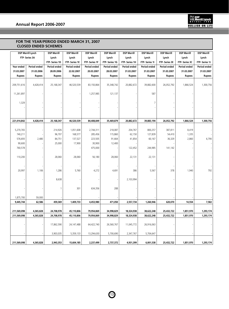## **FOR THE YEAR/PERIOD ENDED MARCH 31, 2007 CLOSED ENDED SCHEMES**

|               | <b>DSP Merrill Lynch</b><br><b>DSP Merrill</b><br><b>DSP Merrill</b><br><b>DSP Merrill</b><br><b>DSP Merrill</b><br>FTP- Series 3A<br>Lynch<br>Lynch<br>Lynch<br>Lynch<br>FTP- Series 1D<br>FTP- Series 1E<br>FTP- Series 1F<br>FTP- Series 1G |               | <b>DSP Merrill</b><br>Lynch<br>FTP- Series 1H | <b>DSP Merrill</b><br>Lynch<br>FTP- Series 1I | <b>DSP Merrill</b><br>Lynch<br>FTP-Series 3E | <b>DSP Merrill</b><br>Lynch<br>FTP- Series 3C | <b>DSP Merrill</b><br>Lynch<br>FTP- Series 1J |               |               |               |
|---------------|------------------------------------------------------------------------------------------------------------------------------------------------------------------------------------------------------------------------------------------------|---------------|-----------------------------------------------|-----------------------------------------------|----------------------------------------------|-----------------------------------------------|-----------------------------------------------|---------------|---------------|---------------|
| Year ended    | Period ended                                                                                                                                                                                                                                   | Period ended  | Period ended                                  | Period ended                                  | Period ended                                 | Period ended                                  | Period ended                                  | Period ended  | Period ended  | Period ended  |
| 31.03.2007    | 31.03.2006                                                                                                                                                                                                                                     | 28.09.2006    | 22.02.2007                                    | 20.03.2007                                    | 28.03.2007                                   | 31.03.2007                                    | 31.03.2007                                    | 31.03.2007    | 31.03.2007    | 31.03.2007    |
| <b>Rupees</b> | <b>Rupees</b>                                                                                                                                                                                                                                  | <b>Rupees</b> | <b>Rupees</b>                                 | <b>Rupees</b>                                 | <b>Rupees</b>                                | <b>Rupees</b>                                 | <b>Rupees</b>                                 | <b>Rupees</b> | <b>Rupees</b> | <b>Rupees</b> |
| 209,751,616   | 4,428,414                                                                                                                                                                                                                                      | 25,168,347    | 46,520,539                                    | 83,150,864                                    | 35,348,742                                   | 20,882,672                                    | 39,882,600                                    | 26,052,792    | 1,866,524     | 1,300,756     |
| 11,261,897    |                                                                                                                                                                                                                                                |               |                                               | 1,257,985                                     | 121,137                                      |                                               | 587                                           |               |               |               |
| 1,329         |                                                                                                                                                                                                                                                |               |                                               |                                               |                                              |                                               | 7                                             |               |               |               |
|               |                                                                                                                                                                                                                                                |               |                                               |                                               |                                              |                                               |                                               |               |               |               |
|               |                                                                                                                                                                                                                                                |               |                                               |                                               |                                              |                                               |                                               |               |               |               |
| 221,014,842   | 4,428,414                                                                                                                                                                                                                                      | 25,168,347    | 46,520,539                                    | 84,408,849                                    | 35,469,879                                   | 20,882,672                                    | 39,883,194                                    | 26,052,792    | 1,866,524     | 1,300,756     |
|               |                                                                                                                                                                                                                                                |               |                                               |                                               |                                              |                                               |                                               |               |               |               |
| 5,270,765     |                                                                                                                                                                                                                                                | 214,926       | 1,051,608                                     | 2,744,311                                     | 218,087                                      | 204,767                                       | 800,257                                       | 387,811       | 8,419         |               |
| 740,211       |                                                                                                                                                                                                                                                | 96,707        | 168,577                                       | 285,456                                       | 115,860                                      | 62,150                                        | 127,839                                       | 54,410        | 1,335         |               |
| 576,693       | 2,480                                                                                                                                                                                                                                          | 84,751        | 137,527                                       | 223,505                                       | 91,664                                       | 41,854                                        | 60,167                                        | 36,329        | 2,860         | 6,790         |
| 90,600        |                                                                                                                                                                                                                                                | 25,000        | 17,900                                        | 30,900                                        | 12,400                                       |                                               |                                               |               |               |               |
| 760,578       |                                                                                                                                                                                                                                                |               |                                               | 475,000                                       |                                              | 122,452                                       | 244,985                                       | 141,142       |               |               |
|               |                                                                                                                                                                                                                                                |               |                                               |                                               |                                              |                                               |                                               |               |               |               |
| 110,200       |                                                                                                                                                                                                                                                | 28,060        | 28,060                                        | 56,180                                        | 28,060                                       | 22,131                                        | 22,131                                        |               |               |               |
|               |                                                                                                                                                                                                                                                |               |                                               |                                               |                                              |                                               |                                               |               |               |               |
| 20,997        | 1,106                                                                                                                                                                                                                                          | 1,286         | 5,760                                         | 4,272                                         | 4,691                                        | 386                                           | 5,567                                         | 378           | 1,940         | 792           |
|               |                                                                                                                                                                                                                                                |               |                                               |                                               |                                              |                                               |                                               |               |               |               |
|               |                                                                                                                                                                                                                                                | 8,638         |                                               |                                               |                                              | 2,103,994                                     |                                               |               |               |               |
|               |                                                                                                                                                                                                                                                |               |                                               |                                               |                                              |                                               |                                               |               |               |               |
|               |                                                                                                                                                                                                                                                | $\mathbf{1}$  | 301                                           | 634,356                                       | 288                                          |                                               |                                               |               |               |               |
|               |                                                                                                                                                                                                                                                |               |                                               |                                               |                                              |                                               |                                               |               |               |               |
| 1,875,700     | 59,000                                                                                                                                                                                                                                         |               |                                               |                                               |                                              |                                               |                                               |               |               |               |
| 9,445,744     | 62,586                                                                                                                                                                                                                                         | 459,369       | 1,409,733                                     | 4,453,980                                     | 471,050                                      | 2,557,734                                     | 1,260,946                                     | 620,070       | 14,554        | 7,582         |
| 211,569,098   | 4,365,828                                                                                                                                                                                                                                      | 24,708,978    | 45,110,806                                    | 79,954,869                                    | 34,998,829                                   | 18,324,938                                    | 38,622,248                                    | 25,432,722    | 1,851,970     | 1,293,174     |
| 211,569,098   | 4,365,828                                                                                                                                                                                                                                      | 24,708,978    | 45,110,806                                    | 79,954,869                                    | 34,998,829                                   | 18,324,938                                    | 38,622,248                                    | 25,432,722    | 1,851,970     | 1,293,174     |
|               |                                                                                                                                                                                                                                                |               |                                               |                                               |                                              |                                               |                                               |               |               |               |
|               |                                                                                                                                                                                                                                                | 17,862,590    | 24,147,488                                    | 64,422,740                                    | 26,560,767                                   | 11,045,772                                    | 26,916,063                                    |               |               |               |
|               |                                                                                                                                                                                                                                                |               |                                               |                                               |                                              |                                               |                                               |               |               |               |
|               |                                                                                                                                                                                                                                                | 3,903,035     | 5,359,133                                     | 13,294,630                                    | 5,700,690                                    | 2,347,767                                     | 5,704,647                                     |               |               |               |
|               |                                                                                                                                                                                                                                                |               |                                               |                                               |                                              |                                               |                                               |               |               |               |
| 211,569,098   | 4,365,828                                                                                                                                                                                                                                      | 2,943,353     | 15,604,185                                    | 2,237,499                                     | 2,737,372                                    | 4,931,399                                     | 6,001,538                                     | 25,432,722    | 1,851,970     | 1,293,174     |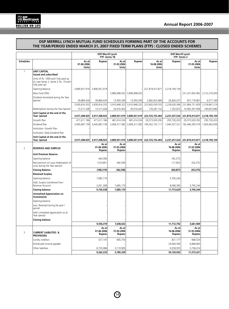|                  |                                                                                                    |                                      | <b>DSP Merrill Lynch</b><br>FTP- Series 1B |                                      |                             |                                             | <b>DSP Merrill Lynch</b><br>FTP- Series 2 |                                      |               |
|------------------|----------------------------------------------------------------------------------------------------|--------------------------------------|--------------------------------------------|--------------------------------------|-----------------------------|---------------------------------------------|-------------------------------------------|--------------------------------------|---------------|
| <b>Schedules</b> |                                                                                                    | As at<br>01.06.2006<br>Units         | <b>Rupees</b>                              | As at<br>31.03.2006<br>Units         | <b>Rupees</b>               | As at<br>16.08.2006<br>Units                | <b>Rupees</b>                             | As at<br>31.03.2006<br><b>Units</b>  | <b>Rupees</b> |
| 1                | UNIT CAPITAL<br>Issued and subscribed:                                                             |                                      |                                            |                                      |                             |                                             |                                           |                                      |               |
|                  | Units of Rs. 1000 each fully paid up<br>(in case Series 2, Series 3: Rs. 10 each<br>fully paid up) |                                      |                                            |                                      |                             |                                             |                                           |                                      |               |
|                  | Opening Balance                                                                                    | 3,890,931.919                        | 3,890,931,919                              |                                      |                             | 221,819,413.871                             | 2,218,194,139                             |                                      |               |
|                  | New Fund Offer                                                                                     |                                      |                                            |                                      | 3,896,998.032 3,896,998,032 |                                             |                                           | 231,227,002.962   2,312,270,030      |               |
|                  | Dividend reinvested during the Year<br>/period                                                     | 39,884.434                           | 39,884,434                                 | 13,950.290                           | 13,950,290                  | 2,082,625.684                               | 20,826,257                                | 657,718.867                          | 6,577,189     |
|                  |                                                                                                    | 3,930,816.353                        | 3,930,816,353                              |                                      | 3,910,948.322 3,910,948,322 | 223,902,039.555                             | 2,239,020,396                             | 231,884,721.829                      | 2,318,847,219 |
|                  | Redemptions during the Year /period                                                                | 13,517.428                           | 13,517,428                                 | 20,016.403                           | 20,016,403                  | 176,287.152                                 | 1,762,872                                 | 10,065,307.958                       | 100,653,080   |
|                  | Unit Capital at the end of the<br>Year /period                                                     | 3,917,298.925                        | 3,917,298,925                              |                                      |                             | 3,890,931.919 3,890,931,919 223,725,752.403 | 2,237,257,524                             | 221,819,413.871                      | 2,218,194,139 |
|                  | Growth Plan                                                                                        | 471,611.186                          | 471,611,186                                | 481,614.334                          | 481,614,334                 | 29,373,020.292                              | 293,730,203                               | 29,373,020.292                       | 293,730,203   |
|                  | Dividend Plan                                                                                      | 3,445,687.739                        | 3,445,687,739                              |                                      | 3,409,317.585 3,409,317,585 | 194,352,732.111                             | 1,943,527,321                             | 192,446,393.579                      | 1,924,463,936 |
|                  | Institution: Growth Plan                                                                           |                                      |                                            |                                      |                             |                                             |                                           |                                      |               |
|                  | Institution: Daily Dividend Plan                                                                   |                                      |                                            |                                      |                             |                                             |                                           |                                      |               |
|                  | Unit Capital at the end of the<br>Year /period                                                     | 3,917,298.925                        | 3,917,298,925                              |                                      |                             | 3,890,931.919 3,890,931,919 223,725,752.403 | 2,237,257,524                             | 221,819,413.871                      | 2,218,194,139 |
| $\overline{2}$   | <b>RESERVES AND SURPLUS</b>                                                                        | As at<br>01.06.2006<br><b>Rupees</b> |                                            | As at<br>31.03.2006<br><b>Rupees</b> |                             |                                             | As at<br>16.08.2006<br><b>Rupees</b>      | As at<br>31.03.2006<br><b>Rupees</b> |               |
|                  | Unit Premium Reserve                                                                               |                                      |                                            |                                      |                             |                                             |                                           |                                      |               |
|                  | Opening balance                                                                                    |                                      | (46, 538)                                  |                                      |                             | (43, 275)                                   |                                           |                                      |               |
|                  | Net premium on issue /redemption of<br>units during the Year /period                               |                                      | (133, 681)                                 | (46, 538)                            |                             | (17, 562)                                   |                                           | (43, 275)                            |               |
|                  | <b>Closing Balance</b>                                                                             |                                      | (180, 219)                                 | (46, 538)                            |                             |                                             | (60, 837)                                 | (43, 275)                            |               |
|                  | <b>Retained Surplus</b>                                                                            |                                      |                                            |                                      |                             |                                             |                                           |                                      |               |
|                  | Opening balance                                                                                    |                                      | 7,685,170                                  |                                      |                             |                                             | 3,705,244                                 |                                      |               |
|                  | Add: Surplus transferred from<br>Revenue Account                                                   |                                      | 2,051,368                                  | 7,685,170                            |                             | 8,068,385                                   |                                           | 3,705,244                            |               |
|                  | <b>Closing balance</b>                                                                             |                                      | 9,736,538                                  | 7,685,170                            |                             |                                             | 11,773,629                                | 3,705,244                            |               |
|                  | <b>Unrealised Appreciation on</b><br><b>Investments</b>                                            |                                      |                                            |                                      |                             |                                             |                                           |                                      |               |
|                  | Opening balance                                                                                    |                                      |                                            |                                      |                             |                                             |                                           |                                      |               |
|                  | Less: Reversed during the year /<br>period                                                         |                                      |                                            |                                      |                             |                                             |                                           |                                      |               |
|                  | Add: Unrealised appreciation as at<br>Year /period                                                 |                                      |                                            |                                      |                             |                                             |                                           |                                      |               |
|                  | <b>Closing balance</b>                                                                             |                                      |                                            |                                      |                             |                                             |                                           |                                      |               |
|                  |                                                                                                    |                                      | 9,556,319                                  | 7,638,632                            |                             |                                             | 11,712,792                                | 3,661,969                            |               |
| 3                | <b>CURRENT LIABILITIES &amp;</b><br><b>PROVISIONS</b>                                              | As at<br>01.06.2006<br>Rupees        |                                            | As at<br>31.03.2006<br><b>Rupees</b> |                             | As at<br>16.08.2006<br><b>Rupees</b>        |                                           | As at<br>31.03.2006<br><b>Rupees</b> |               |
|                  | Sundry creditors                                                                                   |                                      | 527,147                                    | 665,754                              |                             |                                             | 821,177                                   | 668,524                              |               |
|                  | Distributed income payable                                                                         |                                      |                                            |                                      |                             |                                             | 24,040,390                                | 6,868,683                            |               |
|                  | Other liabilities                                                                                  |                                      | 8,735,086                                  | 3,119,585                            |                             |                                             | 9,258,935                                 | 3,736,014                            |               |
|                  |                                                                                                    |                                      | 9,262,233                                  | 3,785,339                            |                             |                                             | 34,120,502                                | 11,273,221                           |               |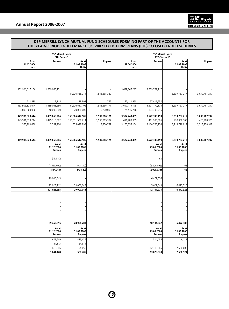|                     | <b>DSP Merrill Lynch</b><br>FTP-Series 3 |                             |               |                            | <b>DSP Merrill Lynch</b>    | FTP- Series 1C              |               |
|---------------------|------------------------------------------|-----------------------------|---------------|----------------------------|-----------------------------|-----------------------------|---------------|
| As at<br>11.12.2006 | <b>Rupees</b>                            | As at<br>31.03.2006         | <b>Rupees</b> | As at<br>29.06.2006        | <b>Rupees</b>               | As at<br>31.03.2006         | <b>Rupees</b> |
| <b>Units</b>        |                                          | Units                       |               | <b>Units</b>               |                             | Units                       |               |
|                     |                                          |                             |               |                            |                             |                             |               |
|                     |                                          |                             |               |                            |                             |                             |               |
|                     |                                          |                             |               |                            |                             |                             |               |
|                     |                                          |                             |               |                            |                             |                             |               |
| 153,906,617.106     | 1,539,066,171                            | 154,226,538.214             | 1,542,265,382 | 3,639,767.217              | 3,639,767,217               | 3,639,767.217               | 3,639,767,217 |
|                     |                                          |                             |               |                            |                             |                             |               |
| 211.538             | 2,115                                    | 78.892                      | 789           | 57,411.958                 | 57,411,958                  |                             |               |
| 153,906,828.644     | 1,539,068,286                            | 154,226,617.106             | 1,542,266,171 | 3,697,179.175              | 3,697,179,175               | 3,639,767.217               | 3,639,767,217 |
| 4,000,000.000       | 40,000,000                               | 320,000.000                 | 3,200,000     | 124,435.716                | 124,435,716                 |                             |               |
| 149,906,828.644     | 1,499,068,286                            | 153,906,617.106             | 1,539,066,171 | 3,572,743.459              | 3,572,743,459               | 3,639,767.217               | 3,639,767,217 |
| 149,531,538.214     | 1,495,315,382                            | 153,531,538.214             | 1,535,315,382 | 411,988.305<br>411,988,305 |                             | 420,988.305                 | 420,988,305   |
| 375,290.430         | 3,752,904                                | 375,078.892                 | 3,750,789     | 3,160,755.154              | 3,160,755,154               | 3,218,778.912               | 3,218,778,912 |
|                     |                                          |                             |               |                            |                             |                             |               |
|                     |                                          |                             |               |                            |                             |                             |               |
| 149,906,828.644     | 1,499,068,286                            | 153,906,617.106             | 1,539,066,171 | 3,572,743.459              | 3,572,743,459               | 3,639,767.217               | 3,639,767,217 |
|                     | As at                                    | As at                       |               |                            | As at                       | As at<br>31.03.2006         |               |
|                     | 11.12.2006<br><b>Rupees</b>              | 31.03.2006<br><b>Rupees</b> |               |                            | 29.06.2006<br><b>Rupees</b> |                             |               |
|                     |                                          |                             |               |                            |                             |                             |               |
|                     | (43, 840)                                |                             |               |                            | 62                          |                             |               |
|                     | (1,510,400)                              | (43, 840)                   |               |                            | (2,000,095)                 | 62                          |               |
|                     | (1,554,240)                              | (43, 840)                   |               |                            | (2,000,033)                 | 62                          |               |
|                     |                                          |                             |               |                            |                             |                             |               |
|                     | 29,000,043                               |                             |               |                            | 6,472,326                   |                             |               |
|                     |                                          |                             |               |                            |                             |                             |               |
|                     | 72,023,212                               | 29,000,043                  |               |                            | 5,629,649                   | 6,472,326                   |               |
|                     | 101,023,255                              | 29,000,043                  |               |                            | 12,101,975                  | 6,472,326                   |               |
|                     |                                          |                             |               |                            |                             |                             |               |
|                     |                                          |                             |               |                            |                             |                             |               |
|                     |                                          |                             |               |                            |                             |                             |               |
|                     |                                          |                             |               |                            |                             |                             |               |
|                     |                                          |                             |               |                            |                             |                             |               |
|                     |                                          |                             |               |                            |                             |                             |               |
|                     | 99,469,015                               | 28,956,203                  |               |                            | 10,101,942                  | 6,472,388                   |               |
|                     | As at                                    | As at                       |               |                            | As at                       | As at                       |               |
|                     | 11.12.2006<br><b>Rupees</b>              | 31.03.2006<br><b>Rupees</b> |               |                            | 29.06.2006<br><b>Rupees</b> | 31.03.2006<br><b>Rupees</b> |               |
|                     | 681,949                                  | 439,439                     |               |                            | 314,485                     | 6,121                       |               |
|                     | 144,113                                  | 54,611                      |               |                            |                             |                             |               |
|                     | 818,086                                  | 94,656                      |               |                            | 12,710,885                  | 2,500,003                   |               |
|                     | 1,644,148                                | 588,706                     |               |                            | 13,025,370                  | 2,506,124                   |               |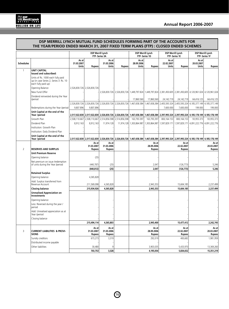#### **DSP Merrill Lynch FTP- Series 3A DSP Merrill Lynch FTP- Series 1D DSP Merrill Lynch FTP- Series 1E DSP Merrill Lynch FTP- Series 1F Schedules As at 31.03.2007 Units Rupees As at 31.03.2006 Units Rupees As at 28.09.2006 Rupees As at 22.02.2007** Units **Rupees As at 20.03.2007 Units Rupees** 1 **UNIT CAPITAL Issued and subscribed:** Units of Rs. 1000 each fully paid up (in case Series 2, Series 3: Rs. 10 each fully paid up) Opening Balance 2,526,830.726 2,526,830,726 New Fund Offer - - 2,526,830,726 2,526,830,726 1,449,797,824 1,449,797,824 2,381,450,605 2,381,450,605 4,120,961,024 4,120,961,024 2,120,961,024 Dividend reinvested during the Year<br>/period /period ---- 17,860.560 17,860,560 24,142.719 24,142,719 64,416.125 64,416,125 2,526,830.726 2,526,830,726 2,526,830.726 2,526,830,726 1,467,658.384 1,467,658,384 2,405,593.324 2,405,593,324 4,185,377.149 4,185,377,149 Redemptions during the Year /period | 9,807.896 9,807,896 - - - - - - - 7,600.000 7,600.000 199.000 199,000 - 1 **Unit Capital at the end of the** 2,517,022.830 2,517,022,830 2,526,830.726 2,526,830,726 1,467,658.384 1,467,658,384 2,397,993.324 2,397,993,324 4,185,178.149 4,185,178,149 Growth Plan 2,508,110.667 2,508,110,667 2,514,856.598 2,514,856,598 163,793.397 163,793.397 800,164.153 800,164,153 93,955.373 93,955.373 8,912.163 | 8,912.163 | 8,912.163 | 8,912.163 | 8,912.163 | 8,912.163 | 8,912.128 | 8,912.128 | 8,912.1287 | 8 Institution: Growth Plan - - - - - - - - - nstitution: Daily Dividend Plan **Unit Capital at the end of the** 2,517,022.830 2,517,022,830 2,526,830.726 2,526,830,726 1,467,658.384 1,467,658,384 2,397,993.324 2,397,993,324 4,185,178.149 4,185,178,149 **As at 31.03.2007 Rupees As at 31.03.2006 Rupees As at 28.09.2006 Rupees As at 22.02.2007 Rupees As at 20.03.2007** 2 **RESERVES AND SURPLUS Rupees Unit Premium Reserve** Opening balance (25) - - - Net premium on issue /redemption of units during the Year /period | (440,787) (25) (25) 2,047 (25) 2,047 (126,773) 5,246 **(440,812) (25) 2,047 (126,773) 5,246 Retained Surplus** Opening balance 4,365,828 - - - Add: Surplus transferred from<br>Revenue Account Revenue Account 211,569,098 4,365,828 2,943,353 15,604,185 2,237,499 **Closing balance 215,934,926 4,365,828 2,943,353 15,604,185 2,237,499 Unrealised Appreciation on Investments** Opening balance - - - - - Less: Reversed during the year /<br>period period in the second contract of the second contract of the second contract of the second contract of the second Add: Unrealised appreciation as at<br>Year /period Year /period - - - - - Closing balance - - - - - **215,494,114 4,365,803 2,945,400 15,477,412 2,242,745 As at 31.03.2007 Rupees As at 31.03.2006 Rupees As at 28.09.2006 Rupees As at 22.02.2007 Rupees As at 20.03.2007 Rupees** 3 **CURRENT LIABILITIES & PROVI-SIONS** Sundry creditors 673,273| 3,319| 292,019| 400,682| 1,981,959 Distributed income payable Other liabilities 30,480 | 9 | 3,903,035 | 5,433,970 | 13,369,260 **703,753 3,328 4,195,054 5,834,652 15,351,219 DSP MERRILL LYNCH MUTUAL FUND SCHEDULES FORMING PART OF THE ACCOUNTS FOR THE YEAR/PERIOD ENDED MARCH 31, 2007 FIXED TERM PLANS (FTP) : CLOSED ENDED SCHEMES**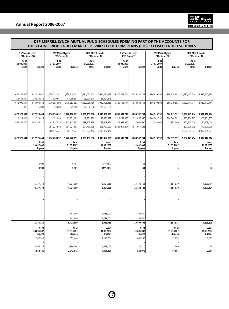| <b>DSP Merrill Lynch</b><br>FTP-Series 1G |                              | <b>DSP Merrill Lynch</b><br>FTP- Series 1H |                           | <b>DSP Merrill Lynch</b><br>FTP-Series 11 |                            | <b>DSP Merrill Lynch</b><br>FTP-Series 3E |                             | <b>DSP Merrill Lynch</b>            | FTP- Series 3C           | <b>DSP Merrill Lynch</b><br>FTP-Series 1J |                            |
|-------------------------------------------|------------------------------|--------------------------------------------|---------------------------|-------------------------------------------|----------------------------|-------------------------------------------|-----------------------------|-------------------------------------|--------------------------|-------------------------------------------|----------------------------|
| As at<br>28.03.2007<br><b>Units</b>       | <b>Rupees</b>                | As at<br>31.03.2007<br><b>Units</b>        | <b>Rupees</b>             | As at<br>31.03.2007<br><b>Units</b>       | <b>Rupees</b>              | As at<br>31.03.2007<br>Units              | <b>Rupees</b>               | As at<br>31.03.2007<br><b>Units</b> | <b>Rupees</b>            | As at<br>31.03.2007<br><b>Units</b>       | <b>Rupees</b>              |
|                                           |                              |                                            |                           |                                           |                            |                                           |                             |                                     |                          |                                           |                            |
|                                           |                              |                                            |                           |                                           |                            |                                           |                             |                                     |                          |                                           |                            |
|                                           |                              |                                            |                           |                                           |                            |                                           |                             |                                     |                          |                                           |                            |
|                                           |                              |                                            |                           |                                           |                            |                                           |                             |                                     |                          |                                           |                            |
| 1,651,536.030                             | 1,651,536,030                | 1,759,214.041                              | 1,759,214,041             | 4,934,091.918                             | 4,934,091,918              | 5,880,532.744                             | 5,880,532,744               | 866,919.592                         | 866,919,592              | 1,932,447.714                             | 1,932,447,714              |
| 26,554.614                                | 26,554,614                   | 11,039.651                                 | 11,039,651                | 26,904.548                                | 26,904,548                 |                                           |                             |                                     |                          |                                           |                            |
| 1,678,090.644                             | 1,678,090,644                | 1,770,253.692                              | 1,770,253,692             | 4,960,996.466                             | 4,960,996,466              | 5,880,532.744                             | 5,880,532,744               | 866,919.592                         | 866,919,592              | 1,932,447.714                             | 1,932,447,714              |
| 115.000                                   | 115,000                      | 25.000                                     | 25,000                    | 22,538.636                                | 22,538,636                 |                                           |                             |                                     |                          |                                           |                            |
|                                           |                              |                                            |                           |                                           |                            |                                           |                             |                                     |                          |                                           |                            |
| 1,677,975.644                             | 1,677,975,644                | 1,770,228.692                              | 1,770,228,692             | 4,938,457.830                             | 4,938,457,830              | 5,880,532.744                             | 5,880,532,744               | 866,919.592                         | 866,919,592              | 1,932,447.714                             | 1,932,447,714              |
| 112,229.414<br>1,565,746.230              | 112,229,414<br>1,565,746,230 | 13,151.083<br>142,317.835                  | 13,151,083<br>142,317,835 | 48,831.929<br>788,508.899                 | 48,831,929<br>788,508,899  | 1,312,457.950<br>27,062.990               | 1,312,457,950<br>27,062,990 | 864,564.592<br>2,355.000            | 864,564,592<br>2,355,000 | 100,964.207<br>320,503.004                | 100,964,207<br>320,503,004 |
|                                           |                              | 354,224.553                                | 354,224,553               | 301,789.560                               | 301,789,560                | 4,541,011.804                             | 4,541,011,804               |                                     |                          | 173,895.530                               | 173,895,530                |
|                                           |                              | 1,260,535.221                              | 1,260,535,221             | 3,799,327.442                             | 3,799,327,442              |                                           |                             |                                     |                          | 1,337,084.973                             | 1,337,084,973              |
|                                           |                              |                                            |                           |                                           |                            |                                           |                             |                                     |                          |                                           |                            |
| 1,677,975.644                             | 1,677,975,644                | 1,770,228.692                              | 1,770,228,692             | 4,938,457.830                             | 4,938,457,830              | 5,880,532.744                             | 5,880,532,744               | 866,919.592                         | 866,919,592              | 1,932,447.714                             | 1,932,447,714              |
|                                           | As at<br>28.03.2007          |                                            | As at<br>31.03.2007       |                                           | As at<br>31.03.2007        |                                           | As at<br>31.03.2007         |                                     | As at<br>31.03.2007      |                                           | As at<br>31.03.2007        |
|                                           | <b>Rupees</b>                |                                            | <b>Rupees</b>             |                                           | <b>Rupees</b>              |                                           | <b>Rupees</b>               |                                     | <b>Rupees</b>            |                                           | <b>Rupees</b>              |
|                                           |                              |                                            |                           |                                           |                            |                                           |                             |                                     |                          |                                           |                            |
|                                           |                              |                                            |                           |                                           |                            |                                           |                             |                                     |                          |                                           |                            |
|                                           | 3,908                        |                                            | 5,901                     |                                           | (119, 805)                 |                                           | 44                          |                                     |                          |                                           | 34                         |
|                                           | 3,908                        |                                            | 5,901                     |                                           | (119, 805)                 |                                           | 44                          |                                     | 5                        |                                           | 34                         |
|                                           |                              |                                            |                           |                                           |                            |                                           |                             |                                     |                          |                                           |                            |
|                                           |                              |                                            |                           |                                           |                            |                                           |                             |                                     |                          |                                           |                            |
|                                           | 2,737,372                    |                                            | 4,931,399                 |                                           | 6,001,538                  |                                           | 25,432,722                  |                                     | 1,851,970                |                                           | 1,293,174                  |
|                                           | 2,737,372                    |                                            | 4,931,399                 |                                           | 6,001,538                  |                                           | 25,432,722                  |                                     | 1,851,970                |                                           | 1,293,174                  |
|                                           |                              |                                            |                           |                                           |                            |                                           |                             |                                     |                          |                                           |                            |
|                                           |                              |                                            |                           |                                           |                            |                                           |                             |                                     |                          |                                           |                            |
|                                           |                              |                                            |                           |                                           |                            |                                           |                             |                                     |                          |                                           |                            |
|                                           |                              |                                            |                           |                                           |                            |                                           |                             |                                     |                          |                                           |                            |
|                                           |                              |                                            | 541,500                   |                                           | 1,038,000                  |                                           | 66,640                      |                                     |                          |                                           |                            |
|                                           |                              |                                            | 541,500                   |                                           | 1,038,000                  |                                           | 66,640                      |                                     |                          |                                           |                            |
|                                           | 2,741,280                    |                                            | 5,478,800                 |                                           | 6,919,733                  |                                           | 25,499,406                  |                                     | 1,851,975                |                                           | 1,293,208                  |
|                                           | As at                        |                                            | As at                     |                                           | As at                      |                                           | As at                       |                                     | As at                    |                                           | As at                      |
|                                           | 28.03.2007                   |                                            | 31.03.2007                |                                           | 31.03.2007                 |                                           | 31.03.2007<br><b>Rupees</b> |                                     | 31.03.2007               |                                           | 31.03.2007                 |
|                                           | <b>Rupees</b><br>247,946     |                                            | <b>Rupees</b><br>352,446  |                                           | <b>Rupees</b><br>1,197,804 |                                           | 605,260                     |                                     | Rupees<br>13,994         |                                           | <b>Rupees</b><br>7,571     |
|                                           |                              |                                            |                           |                                           |                            |                                           |                             |                                     |                          |                                           |                            |
|                                           | 5,706,189                    |                                            | 2,360,066                 |                                           | 5,928,092                  |                                           | 24,810                      |                                     | 560                      |                                           | 10                         |
|                                           | 5,954,135                    |                                            | 2,712,512                 |                                           | 7,125,896                  |                                           | 630,070                     |                                     | 14,554                   |                                           | 7,581                      |

 $\left( \overline{17}\right)$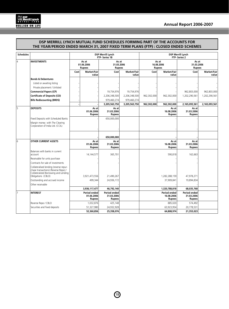| <b>Schedules</b> |                                                                                                                                              |      |                                             | <b>DSP Merrill Lynch</b><br>FTP- Series 1B         |                             |                                      |                                             | <b>DSP Merrill Lynch</b><br>FTP-Series 2    |                             |
|------------------|----------------------------------------------------------------------------------------------------------------------------------------------|------|---------------------------------------------|----------------------------------------------------|-----------------------------|--------------------------------------|---------------------------------------------|---------------------------------------------|-----------------------------|
| 4                | <b>INVESTMENTS</b>                                                                                                                           |      | As at<br>01.06.2006<br><b>Rupees</b>        | As at<br>31.03.2006<br><b>Rupees</b>               |                             | As at<br>16.08.2006<br><b>Rupees</b> |                                             | As at<br>31.03.2006<br><b>Rupees</b>        |                             |
|                  |                                                                                                                                              | Cost | <b>Market/Fair</b><br>value                 | Cost                                               | <b>Market/Fair</b><br>value | Cost                                 | <b>Market/Fair</b><br>value                 | Cost                                        | <b>Market/Fair</b><br>value |
|                  | <b>Bonds &amp; Debentures</b>                                                                                                                |      |                                             |                                                    |                             |                                      |                                             |                                             |                             |
|                  | Listed or awaiting listing                                                                                                                   |      |                                             |                                                    |                             |                                      |                                             |                                             |                             |
|                  | Private placement / Unlisted                                                                                                                 |      |                                             |                                                    |                             |                                      |                                             |                                             |                             |
|                  | <b>Commercial Papers (CP)</b>                                                                                                                |      |                                             | 19,754,976                                         | 19,754,976                  |                                      |                                             | 962,803,000                                 | 962,803,000                 |
|                  | <b>Certificate of Deposits (CD)</b>                                                                                                          |      |                                             | 2,206,348,500                                      | 2,206,348,500               | 962,302,000                          | 962,302,000                                 | 1,202,290,561                               | 1,202,290,561               |
|                  | <b>Bills Rediscounting (BRDS)</b>                                                                                                            |      |                                             | 979,460,274                                        | 979,460,274                 |                                      |                                             |                                             |                             |
|                  |                                                                                                                                              |      |                                             | 3,205,563,750                                      | 3,205,563,750               | 962,302,000                          | 962,302,000                                 | 2,165,093,561                               | 2,165,093,561               |
| 5                | <b>DEPOSITS</b>                                                                                                                              |      | As at<br>01.06.2006<br><b>Rupees</b>        | As at<br>31.03.2006<br><b>Rupees</b>               |                             |                                      | As at<br>16.08.2006<br><b>Rupees</b>        | As at<br>31.03.2006<br><b>Rupees</b>        |                             |
|                  | Fixed Deposits with Scheduled Banks                                                                                                          |      |                                             | 650,000,000                                        |                             |                                      |                                             |                                             |                             |
|                  | Margin money with The Clearing<br>Corporation of India Ltd. (CCIL)                                                                           |      |                                             |                                                    |                             |                                      |                                             |                                             |                             |
|                  |                                                                                                                                              |      |                                             |                                                    |                             |                                      |                                             |                                             |                             |
|                  |                                                                                                                                              |      |                                             | 650,000,000                                        |                             |                                      |                                             |                                             |                             |
| 6                | <b>OTHER CURRENT ASSETS</b>                                                                                                                  |      | As at<br>01.06.2006<br><b>Rupees</b>        | As at<br>31.03.2006<br><b>Rupees</b>               |                             |                                      | As at<br>16.08.2006<br><b>Rupees</b>        | As at<br>31.03.2006<br><b>Rupees</b>        |                             |
|                  | Balances with banks in current<br>account                                                                                                    |      | 14,144,577                                  | 365,701                                            |                             |                                      | 590,818                                     | 162,663                                     |                             |
|                  | Receivable for units purchase                                                                                                                |      |                                             |                                                    |                             |                                      |                                             |                                             |                             |
|                  | Contracts for sale of investments                                                                                                            |      |                                             |                                                    |                             |                                      |                                             |                                             |                             |
|                  | Collateralised lending (reverse repur-<br>chase transactions) (Reverse Repo) /<br>Collateralized Borrowing and Lending<br>Obligations (CBLO) |      | 3,921,473,556                               | 21,490,267                                         |                             |                                      | 1,282,288,159                               | 47,978,271                                  |                             |
|                  | Outstanding and accrued income                                                                                                               |      | 499,344                                     | 24,936,172                                         |                             |                                      | 37,909,841                                  | 19,894,834                                  |                             |
|                  | Other receivable                                                                                                                             |      |                                             |                                                    |                             |                                      |                                             |                                             |                             |
|                  |                                                                                                                                              |      | 3,936,117,477                               | 46,792,140                                         |                             |                                      | 1,320,788,818                               | 68,035,768                                  |                             |
| 17               | <b>INTEREST</b>                                                                                                                              |      | Period ended<br>01.06.2006<br><b>Rupees</b> | <b>Period ended</b><br>31.03.2006<br><b>Rupees</b> |                             |                                      | Period ended<br>16.08.2006<br><b>Rupees</b> | Period ended<br>31.03.2006<br><b>Rupees</b> |                             |
|                  | Reverse Repo / CBLO                                                                                                                          |      | 1,032,876                                   | 425,148                                            |                             |                                      | 885,020                                     | 574,492                                     |                             |
|                  | Securities and fixed deposits                                                                                                                |      | 51,327,980                                  | 24,932,928                                         |                             |                                      | 63,923,954                                  | 20,778,531                                  |                             |
|                  |                                                                                                                                              |      | 52,360,856                                  | 25,358,076                                         |                             |                                      | 64,808,974                                  | 21,353,023                                  |                             |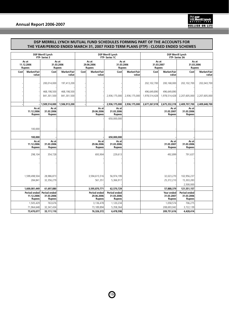|                          |                                      | <b>DSP Merrill Lynch</b><br>FTP-Series 3 |                                      |            |                                      | <b>DSP Merrill Lynch</b><br>FTP-Series 1C |                      | <b>DSP Merrill Lynch</b><br>FTP- Series 3A |                             |                                      |                             |
|--------------------------|--------------------------------------|------------------------------------------|--------------------------------------|------------|--------------------------------------|-------------------------------------------|----------------------|--------------------------------------------|-----------------------------|--------------------------------------|-----------------------------|
|                          | As at<br>11.12.2006<br><b>Rupees</b> |                                          | As at<br>31.03.2006<br><b>Rupees</b> |            | As at<br>29.06.2006<br><b>Rupees</b> | As at<br>31.03.2006<br><b>Rupees</b>      |                      | As at<br>31.03.2007<br><b>Rupees</b>       |                             | As at<br>31.03.2006<br><b>Rupees</b> |                             |
| Cost                     | Market/Fair<br>value                 | Cost                                     | Market/Fair<br>value                 | Cost       | Market/Fair<br>value                 | Cost                                      | Market/Fair<br>value | Cost                                       | <b>Market/Fair</b><br>value | Cost                                 | <b>Market/Fair</b><br>value |
|                          |                                      | 200,014,000                              | 197,413,200                          |            |                                      |                                           |                      | 202,102,700                                | 200,168,000                 | 202,102,700                          | 202,043,700                 |
|                          |                                      |                                          |                                      |            |                                      |                                           |                      |                                            |                             |                                      |                             |
|                          |                                      | 468,198,500                              | 468,198,500                          |            |                                      |                                           |                      | 496,649,890                                | 496,649,890                 |                                      |                             |
|                          |                                      | 841,301,500                              | 841,301,500                          |            |                                      | 2,936,175,000                             | 2,936,175,000        | 1,978,514,428                              | 1,978,514,428               | 2,207,605,000                        | 2,207,605,000               |
|                          |                                      |                                          |                                      |            |                                      |                                           |                      |                                            |                             |                                      |                             |
|                          |                                      | 1,509,514,000                            | 1,506,913,200                        |            | As at                                | 2,936,175,000                             | 2,936,175,000        | 2,677,267,018                              | 2,675,332,318               | 2,409,707,700                        | 2,409,648,700               |
|                          | As at<br>11.12.2006<br><b>Rupees</b> | As at<br>31.03.2006<br><b>Rupees</b>     |                                      |            | 29.06.2006<br><b>Rupees</b>          | As at<br>31.03.2006<br><b>Rupees</b>      |                      | As at<br>31.03.2007<br><b>Rupees</b>       |                             | As at<br>31.03.2006<br><b>Rupees</b> |                             |
|                          |                                      |                                          |                                      |            |                                      | 650,000,000                               |                      |                                            |                             |                                      |                             |
|                          |                                      |                                          |                                      |            |                                      |                                           |                      |                                            |                             |                                      |                             |
|                          | 100,000                              |                                          |                                      |            |                                      |                                           |                      |                                            |                             |                                      |                             |
|                          |                                      |                                          |                                      |            |                                      | 650,000,000                               |                      |                                            |                             |                                      |                             |
|                          | 100,000<br>As at                     | As at                                    |                                      |            | As at                                | As at                                     |                      |                                            | As at                       | As at                                |                             |
|                          | 11.12.2006<br><b>Rupees</b>          | 31.03.2006<br><b>Rupees</b>              |                                      |            | 29.06.2006<br><b>Rupees</b>          | 31.03.2006<br><b>Rupees</b>               |                      |                                            | 31.03.2007<br><b>Rupees</b> | 31.03.2006<br><b>Rupees</b>          |                             |
|                          |                                      |                                          |                                      |            |                                      |                                           |                      |                                            |                             |                                      |                             |
|                          | 298,104                              | 354,728                                  |                                      |            | 693,904                              | 229,613                                   |                      |                                            | 492,899                     | 791,637                              |                             |
|                          |                                      |                                          |                                      |            |                                      |                                           |                      |                                            |                             |                                      |                             |
|                          |                                      |                                          |                                      |            |                                      |                                           |                      |                                            |                             |                                      |                             |
|                          |                                      |                                          |                                      |            |                                      |                                           |                      |                                            |                             |                                      |                             |
|                          | 1,599,498,504                        | 28,986,873                               |                                      |            | 3,594,615,516                        | 56,974,199                                |                      |                                            | 32,023,270                  | 102,956,237                          |                             |
|                          | 284,841                              | 32,356,279                               |                                      |            | 561,351                              | 5,366,917                                 |                      |                                            | 25,372,210                  | 15,303,283                           |                             |
|                          |                                      |                                          |                                      |            |                                      |                                           |                      |                                            |                             | 2,500,000                            |                             |
|                          | 1,600,081,449                        | 61,697,880                               |                                      |            | 3,595,870,771                        | 62,570,729                                |                      |                                            | 57,888,379                  | 121,551,157                          |                             |
|                          | Period ended                         | Period ended                             |                                      |            | Period ended                         | Period ended                              |                      |                                            | Year ended                  | Period ended                         |                             |
|                          | 11.12.2006<br><b>Rupees</b>          | 31.03.2006<br><b>Rupees</b>              |                                      |            | 29.06.2006<br><b>Rupees</b>          | 31.03.2006<br><b>Rupees</b>               |                      |                                            | 31.03.2007<br><b>Rupees</b> | 31.03.2006<br><b>Rupees</b>          |                             |
|                          | 1,505,429                            | 763,676                                  |                                      |            | 3,136,478                            | 1,120,234                                 |                      |                                            | 1,058,574                   | 706,275                              |                             |
|                          | 71,964,648                           | 32,347,434                               |                                      |            | 73,189,894                           | 5,358,364                                 |                      |                                            | 208,693,042                 | 3,722,139                            |                             |
| 73,470,077<br>33,111,110 |                                      |                                          |                                      | 76,326,372 | 6,478,598                            |                                           |                      | 209,751,616                                | 4,428,414                   |                                      |                             |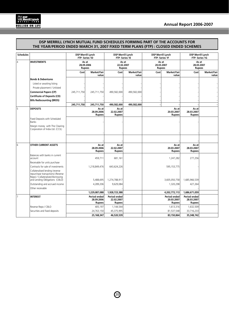| <b>Schedules</b> |                                                                                                                                            | <b>DSP Merrill Lynch</b><br>FTP-Series 1D |                                             | <b>DSP Merrill Lynch</b><br>FTP-Series 1E   |                             | <b>DSP Merrill Lynch</b><br>FTP- Series 1F |                                             | <b>DSP Merrill Lynch</b>                    | FTP-Series 1G               |
|------------------|--------------------------------------------------------------------------------------------------------------------------------------------|-------------------------------------------|---------------------------------------------|---------------------------------------------|-----------------------------|--------------------------------------------|---------------------------------------------|---------------------------------------------|-----------------------------|
| $\overline{4}$   | <b>INVESTMENTS</b>                                                                                                                         | As at<br>28.09.2006<br><b>Rupees</b>      |                                             | As at<br>22.02.2007<br><b>Rupees</b>        |                             | As at<br>20.03.2007<br><b>Rupees</b>       |                                             | As at<br>28.03.2007<br><b>Rupees</b>        |                             |
|                  |                                                                                                                                            | Cost                                      | Market/Fair<br>value                        | Cost                                        | <b>Market/Fair</b><br>value | Cost                                       | Market/Fair<br>value                        | Cost                                        | <b>Market/Fair</b><br>value |
|                  | <b>Bonds &amp; Debentures</b>                                                                                                              |                                           |                                             |                                             |                             |                                            |                                             |                                             |                             |
|                  | Listed or awaiting listing                                                                                                                 |                                           |                                             |                                             |                             |                                            |                                             |                                             |                             |
|                  | Private placement / Unlisted                                                                                                               |                                           |                                             |                                             |                             |                                            |                                             |                                             |                             |
|                  | <b>Commercial Papers (CP)</b>                                                                                                              | 245,711,750                               | 245,711,750                                 | 490,582,000                                 | 490,582,000                 |                                            |                                             |                                             |                             |
|                  | <b>Certificate of Deposits (CD)</b>                                                                                                        |                                           |                                             |                                             |                             |                                            |                                             |                                             |                             |
|                  | <b>Bills Rediscounting (BRDS)</b>                                                                                                          |                                           |                                             |                                             |                             |                                            |                                             |                                             |                             |
|                  |                                                                                                                                            | 245,711,750                               | 245,711,750                                 | 490,582,000                                 | 490,582,000                 |                                            |                                             |                                             |                             |
| 5                | <b>DEPOSITS</b>                                                                                                                            |                                           | As at<br>28.09.2006<br><b>Rupees</b>        | As at<br>22.02.2007<br><b>Rupees</b>        |                             |                                            | As at<br>20.03.2007<br><b>Rupees</b>        | As at<br>28.03.2007<br><b>Rupees</b>        |                             |
|                  | Fixed Deposits with Scheduled<br><b>Banks</b>                                                                                              |                                           |                                             |                                             |                             |                                            |                                             |                                             |                             |
|                  | Margin money with The Clearing<br>Corporation of India Ltd. (CCIL)                                                                         |                                           |                                             |                                             |                             |                                            |                                             |                                             |                             |
|                  |                                                                                                                                            |                                           |                                             |                                             |                             |                                            |                                             |                                             |                             |
| 6                | <b>OTHER CURRENT ASSETS</b>                                                                                                                |                                           | As at<br>28.09.2006<br><b>Rupees</b>        | As at<br>22.02.2007<br><b>Rupees</b>        |                             |                                            | As at<br>20.03.2007<br><b>Rupees</b>        | As at<br>28.03.2007<br><b>Rupees</b>        |                             |
|                  | Balances with banks in current<br>account                                                                                                  |                                           | 459,711                                     | 681,161                                     |                             |                                            | 1,247,282                                   | 277,256                                     |                             |
|                  | Receivable for units purchase                                                                                                              |                                           |                                             |                                             |                             |                                            |                                             |                                             |                             |
|                  | Contracts for sale of investments                                                                                                          |                                           | 1,218,849,476                               | 643,624,226                                 |                             |                                            | 595, 153, 775                               |                                             |                             |
|                  | Collateralised lending (reverse<br>repurchase transactions) (Reverse<br>Repo) / Collateralized Borrowing<br>and Lending Obligations (CBLO) |                                           | 5,488,695                                   | 1,274,788,917                               |                             |                                            | 3,605,050,758                               | 1,685,966,539                               |                             |
|                  | Outstanding and accrued income                                                                                                             |                                           | 4,289,206                                   | 9,629,084                                   |                             |                                            | 1,320,298                                   | 427,264                                     |                             |
|                  | Other receivable                                                                                                                           |                                           |                                             |                                             |                             |                                            |                                             |                                             |                             |
|                  |                                                                                                                                            |                                           | 1,229,087,088                               | 1,928,723,388                               |                             |                                            | 4,202,772,113                               | 1,686,671,059                               |                             |
| $\overline{7}$   | <b>INTEREST</b>                                                                                                                            |                                           | Period ended<br>28.09.2006<br><b>Rupees</b> | Period ended<br>22.02.2007<br><b>Rupees</b> |                             |                                            | Period ended<br>20.03.2007<br><b>Rupees</b> | Period ended<br>28.03.2007<br><b>Rupees</b> |                             |
|                  | Reverse Repo / CBLO                                                                                                                        |                                           | 405,197                                     | 1,144,544                                   |                             |                                            | 1,613,316                                   | 1,632,509                                   |                             |
|                  | Securities and fixed deposits                                                                                                              |                                           | 24,763,150                                  | 45,375,995                                  |                             |                                            | 81,537,548                                  | 33,716,233                                  |                             |
|                  |                                                                                                                                            |                                           | 25, 168, 347                                | 46,520,539                                  |                             |                                            | 83,150,864                                  | 35,348,742                                  |                             |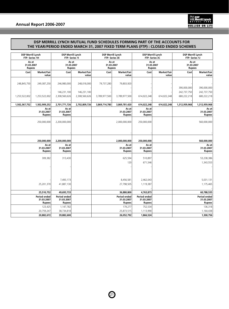| <b>DSP Merrill Lynch</b><br>FTP- Series 1H |                                      | <b>DSP Merrill Lynch</b><br>FTP-Series 1I |                             | <b>DSP Merrill Lynch</b><br>FTP-Series 3E |                                      | <b>DSP Merrill Lynch</b><br>FTP- Series 3C |                             | <b>DSP Merrill Lynch</b><br>FTP- Series 1J |                                      |
|--------------------------------------------|--------------------------------------|-------------------------------------------|-----------------------------|-------------------------------------------|--------------------------------------|--------------------------------------------|-----------------------------|--------------------------------------------|--------------------------------------|
| As at<br>31.03.2007<br><b>Rupees</b>       |                                      | As at<br>31.03.2007<br><b>Rupees</b>      |                             | As at<br>31.03.2007<br><b>Rupees</b>      |                                      | As at<br>31.03.2007<br><b>Rupees</b>       |                             | As at<br>31.03.2007<br><b>Rupees</b>       |                                      |
| Cost                                       | <b>Market/Fair</b><br>value          | Cost                                      | <b>Market/Fair</b><br>value | Cost                                      | <b>Market/Fair</b><br>value          | Cost                                       | <b>Market/Fair</b><br>value | Cost                                       | <b>Market/Fair</b><br>value          |
|                                            |                                      |                                           |                             |                                           |                                      |                                            |                             |                                            |                                      |
| 248,845,750                                | 249,387,250                          | 246,980,000                               | 248,018,000                 | 79,737,280                                | 79,803,920                           |                                            |                             |                                            |                                      |
|                                            |                                      | 146,231,100                               | 146,231,100                 |                                           |                                      |                                            |                             | 390,000,000<br>242,737,750                 | 390,000,000<br>242,737,750           |
| 1,253,522,002                              | 1,253,522,002                        | 2,308,560,626                             | 2,308,560,626               | 3,789,977,500                             | 3,789,977,500                        | 614,022,248                                | 614,022,248                 | 680,222,218                                | 680,222,218                          |
|                                            |                                      |                                           |                             |                                           |                                      |                                            |                             |                                            |                                      |
| 1,502,367,752                              | 1,502,909,252                        | 2,701,771,726                             | 2,702,809,726               | 3,869,714,780                             | 3,869,781,420                        | 614,022,248                                | 614,022,248                 | 1,312,959,968                              | 1,312,959,968                        |
| As at<br>31.03.2007<br><b>Rupees</b>       |                                      | As at<br>31.03.2007<br><b>Rupees</b>      |                             |                                           | As at<br>31.03.2007<br><b>Rupees</b> | As at<br>31.03.2007<br><b>Rupees</b>       |                             |                                            | As at<br>31.03.2007<br><b>Rupees</b> |
| 250,000,000                                |                                      | 2,200,000,000                             |                             |                                           | 2,000,000,000                        | 250,000,000                                |                             |                                            | 560,000,000                          |
|                                            |                                      |                                           |                             |                                           |                                      |                                            |                             |                                            |                                      |
|                                            | 250,000,000                          | 2,200,000,000                             |                             |                                           | 2,000,000,000                        | 250,000,000                                |                             |                                            | 560,000,000                          |
|                                            | As at<br>31.03.2007<br><b>Rupees</b> | As at<br>31.03.2007<br><b>Rupees</b>      |                             |                                           | As at<br>31.03.2007<br><b>Rupees</b> | As at<br>31.03.2007<br><b>Rupees</b>       |                             |                                            | As at<br>31.03.2007<br><b>Rupees</b> |
|                                            | 309,382                              | 313,430                                   |                             |                                           | 625,594                              |                                            |                             |                                            | 53,238,386                           |
|                                            |                                      |                                           |                             |                                           | 120                                  | 510,897<br>671,546                         |                             | 1,343,553                                  |                                      |
|                                            |                                      |                                           |                             |                                           |                                      |                                            |                             |                                            |                                      |
|                                            |                                      | 7,493,173                                 |                             |                                           | 8,456,581                            | 2,462,043                                  |                             |                                            | 5,031,131                            |
|                                            | 25,201,370                           | 41,887,130                                |                             |                                           | 27,798,505                           | 1,119,387                                  |                             |                                            | 1,175,465                            |
|                                            | 25,510,752                           | 49,693,733                                |                             |                                           | 36,880,800                           | 4,763,873                                  |                             |                                            | 60,788,535                           |
| Period ended<br>31.03.2007                 |                                      | <b>Period ended</b><br>31.03.2007         |                             |                                           | Period ended<br>31.03.2007           | <b>Period ended</b><br>31.03.2007          |                             |                                            | <b>Period ended</b><br>31.03.2007    |
|                                            | <b>Rupees</b><br>123,425             | <b>Rupees</b><br>1,147,782                |                             |                                           | <b>Rupees</b><br>179,277             | <b>Rupees</b><br>752,534                   |                             |                                            | <b>Rupees</b><br>136,318             |
|                                            | 20,759,247                           | 38,734,818                                |                             |                                           | 25,873,515                           | 1,113,990                                  |                             |                                            | 1,164,438                            |
|                                            | 20,882,672                           | 39,882,600                                |                             |                                           | 26,052,792                           | 1,866,524                                  |                             |                                            | 1,300,756                            |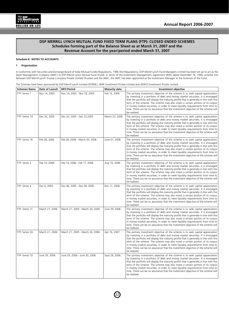## **DSP MERRILL LYNCH MUTUAL FUND FIXED TERM PLANS (FTP): CLOSED ENDED SCHEMES Schedules forming part of the Balance Sheet as at March 31, 2007 and the Revenue Account for the year/period ended March 31, 2007**

## **Schedule 8: NOTES TO ACCOUNTS**

#### **1 Organisation**

In conformity with Securities and Exchange Board of India (Mutual Funds) Regulations, 1996 (the Regulations), DSP Merrill Lynch Fund Managers Limited has been set up to act as the Asset Management Company (AMC) to DSP Merrill Lynch Mutual Fund (Fund). In terms of the Investment Management Agreement (IMA) dated December 16, 1996, entered into between DSP Merrill Lynch Trustee Company Private Limited (Trustee) and the AMC, the AMC has been appointed as the Investment Manager to the Schemes of the Fund.

The Schemes have been sponsored by DSP Merrill Lynch Limited (DSPML), HMK Investment Private Limited and ADIKO Investment Private Limited.

| <b>Schemes Name</b> | Date of Launch | <b>NFO Period</b>               | <b>Maturity date</b> | <b>Investment objective</b>                                                                                                                                                                                                                                                                                                                                                                                                                                                                                                             |
|---------------------|----------------|---------------------------------|----------------------|-----------------------------------------------------------------------------------------------------------------------------------------------------------------------------------------------------------------------------------------------------------------------------------------------------------------------------------------------------------------------------------------------------------------------------------------------------------------------------------------------------------------------------------------|
| FTP- Series 1       | Nov 14, 2005   | Nov 14, 2005 - Nov 18, 2005     | Feb 16, 2006         | The primary investment objective of the scheme is to seek capital appreciation<br>by investing in a portfolio of debt and money market securities. It is envisaged<br>that the portfolio will display the maturity profile that is generally in line with the<br>term of the scheme. The scheme may also invest a certain portion of its corpus<br>in money market securities, in order to meet liquidity requirements from time to<br>time. There can be no assurance that the investment objective of the scheme will<br>be realised. |
| FTP- Series 1A      | Dec 20, 2005   | Dec 20, 2005 - Dec 22,2005      | March 23, 2006       | The primary investment objective of the scheme is to seek capital appreciation<br>by investing in a portfolio of debt and money market securities. It is envisaged<br>that the portfolio will display the maturity profile that is generally in line with the<br>term of the scheme. The scheme may also invest a certain portion of its corpus<br>in money market securities, in order to meet liquidity requirements from time to<br>time. There can be no assurance that the investment objective of the scheme will<br>be realised. |
| FTP- Series 1B      | Feb 28, 2006   | Feb 28, 2006 - March 03, 2006   | June 01, 2006        | The primary investment objective of the scheme is to seek capital appreciation<br>by investing in a portfolio of debt and money market securities. It is envisaged<br>that the portfolio will display the maturity profile that is generally in line with the<br>term of the scheme. The scheme may also invest a certain portion of its corpus<br>in money market securities, in order to meet liquidity requirements from time to<br>time. There can be no assurance that the investment objective of the scheme will<br>be realised. |
| FTP- Series 2       | Feb 14, 2006   | Feb 14, 2006 - Feb 17, 2006     | Aug 16, 2006         | The primary investment objective of the scheme is to seek capital appreciation<br>by investing in a portfolio of debt and money market securities. It is envisaged<br>that the portfolio will display the maturity profile that is generally in line with the<br>term of the scheme. The scheme may also invest a certain portion of its corpus<br>in money market securities, in order to meet liquidity requirements from time to<br>time. There can be no assurance that the investment objective of the scheme will<br>be realised. |
| FTP- Series 3       | Dec 6, 2005    | Dec 06, 2005 - Dec 09, 2005     | Dec 11, 2006         | The primary investment objective of the scheme is to seek capital appreciation<br>by investing in a portfolio of debt and money market securities. It is envisaged<br>that the portfolio will display the maturity profile that is generally in line with the<br>term of the scheme. The scheme may also invest a certain portion of its corpus<br>in money market securities, in order to meet liquidity requirements from time to<br>time. There can be no assurance that the investment objective of the scheme will<br>be realised. |
| FTP- Series 1C      | March 21, 2006 | March 21, 2005 - March 24, 2006 | June 29, 2006        | The primary investment objective of the scheme is to seek capital appreciation<br>by investing in a portfolio of debt and money market securities. It is envisaged<br>that the portfolio will display the maturity profile that is generally in line with the<br>term of the scheme. The scheme may also invest a certain portion of its corpus<br>in money market securities, in order to meet liquidity requirements from time to<br>time. There can be no assurance that the investment objective of the scheme will<br>be realised. |
| FTP- Series 3A      | March 21, 2006 | March 21, 2005 - March 24, 2006 | Apr 16, 2007         | The primary investment objective of the scheme is to seek capital appreciation<br>by investing in a portfolio of debt and money market securities. It is envisaged<br>that the portfolio will display the maturity profile that is generally in line with the<br>term of the scheme. The scheme may also invest a certain portion of its corpus<br>in money market securities, in order to meet liquidity requirements from time to<br>time. There can be no assurance that the investment objective of the scheme will<br>be realised. |
| FTP- Series 1D      | June 29, 2006  | June 29, 2006 - June 30, 2006   | Sept 28, 2006        | The primary investment objective of the scheme is to seek capital appreciation<br>by investing in a portfolio of debt and money market securities. It is envisaged<br>that the portfolio will display the maturity profile that is generally in line with the<br>term of the scheme. The scheme may also invest a certain portion of its corpus<br>in money market securities, in order to meet liquidity requirements from time to<br>time. There can be no assurance that the investment objective of the scheme will<br>be realised. |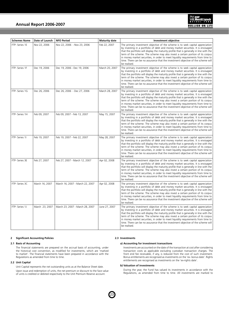| <b>Schemes Name</b> | Date of Launch | <b>NFO Period</b>               | <b>Maturity date</b> | <b>Investment objective</b>                                                                                                                                                                                                                                                                                                                                                                                                                                                                                                             |
|---------------------|----------------|---------------------------------|----------------------|-----------------------------------------------------------------------------------------------------------------------------------------------------------------------------------------------------------------------------------------------------------------------------------------------------------------------------------------------------------------------------------------------------------------------------------------------------------------------------------------------------------------------------------------|
| FTP- Series 1E      | Nov 22, 2006   | Nov 22, 2006 - Nov 23, 2006     | Feb 22, 2007         | The primary investment objective of the scheme is to seek capital appreciation<br>by investing in a portfolio of debt and money market securities. It is envisaged<br>that the portfolio will display the maturity profile that is generally in line with the<br>term of the scheme. The scheme may also invest a certain portion of its corpus<br>in money market securities, in order to meet liquidity requirements from time to<br>time. There can be no assurance that the investment objective of the scheme will<br>be realised. |
| FTP- Series 1F      | Dec 19, 2006   | Dec 19, 2006 - Dec 19, 2006     | March 20, 2007       | The primary investment objective of the scheme is to seek capital appreciation<br>by investing in a portfolio of debt and money market securities. It is envisaged<br>that the portfolio will display the maturity profile that is generally in line with the<br>term of the scheme. The scheme may also invest a certain portion of its corpus<br>in money market securities, in order to meet liquidity requirements from time to<br>time. There can be no assurance that the investment objective of the scheme will<br>be realised. |
| FTP- Series 1G      | Dec 26, 2006   | Dec 26, 2006 - Dec 27, 2006     | March 28, 2007       | The primary investment objective of the scheme is to seek capital appreciation<br>by investing in a portfolio of debt and money market securities. It is envisaged<br>that the portfolio will display the maturity profile that is generally in line with the<br>term of the scheme. The scheme may also invest a certain portion of its corpus<br>in money market securities, in order to meet liquidity requirements from time to<br>time. There can be no assurance that the investment objective of the scheme will<br>be realised. |
| FTP- Series 1H      | Feb 09, 2007   | Feb 09, 2007 - Feb 13, 2007     | May 15, 2007         | The primary investment objective of the scheme is to seek capital appreciation<br>by investing in a portfolio of debt and money market securities. It is envisaged<br>that the portfolio will display the maturity profile that is generally in line with the<br>term of the scheme. The scheme may also invest a certain portion of its corpus<br>in money market securities, in order to meet liquidity requirements from time to<br>time. There can be no assurance that the investment objective of the scheme will<br>be realised. |
| FTP- Series 1I      | Feb 19, 2007   | Feb 19, 2007 - Feb 22, 2007     | May 28, 2007         | The primary investment objective of the scheme is to seek capital appreciation<br>by investing in a portfolio of debt and money market securities. It is envisaged<br>that the portfolio will display the maturity profile that is generally in line with the<br>term of the scheme. The scheme may also invest a certain portion of its corpus<br>in money market securities, in order to meet liquidity requirements from time to<br>time. There can be no assurance that the investment objective of the scheme will<br>be realised. |
| FTP- Series 3E      | Feb 27, 2007   | Feb 27, 2007 - March 12, 2007   | Apr 02, 2008         | The primary investment objective of the scheme is to seek capital appreciation<br>by investing in a portfolio of debt and money market securities. It is envisaged<br>that the portfolio will display the maturity profile that is generally in line with the<br>term of the scheme. The scheme may also invest a certain portion of its corpus<br>in money market securities, in order to meet liquidity requirements from time to<br>time. There can be no assurance that the investment objective of the scheme will<br>be realised. |
| FTP- Series 3C      | March 16, 2007 | March 16, 2007 - March 22, 2007 | Apr 02, 2008         | The primary investment objective of the scheme is to seek capital appreciation<br>by investing in a portfolio of debt and money market securities. It is envisaged<br>that the portfolio will display the maturity profile that is generally in line with the<br>term of the scheme. The scheme may also invest a certain portion of its corpus<br>in money market securities, in order to meet liquidity requirements from time to<br>time. There can be no assurance that the investment objective of the scheme will<br>be realised. |
| FTP- Series 1J      | March 23, 2007 | March 23, 2007 - March 28, 2007 | June 27, 2007        | The primary investment objective of the scheme is to seek capital appreciation<br>by investing in a portfolio of debt and money market securities. It is envisaged<br>that the portfolio will display the maturity profile that is generally in line with the<br>term of the scheme. The scheme may also invest a certain portion of its corpus<br>in money market securities, in order to meet liquidity requirements from time to<br>time. There can be no assurance that the investment objective of the scheme will<br>be realised. |

#### **2 Significant Accounting Policies**

#### **2.1 Basis of Accounting**

The financial statements are prepared on the accrual basis of accounting, under the historical cost convention, as modified for investments, which are 'marked to market'. The financial statements have been prepared in accordance with the Regulations as amended from time to time.

#### **2.2 Unit Capital**

Unit Capital represents the net outstanding units as at the Balance Sheet date.

Upon issue and redemption of units, the net premium or discount to the face value of units is credited or debited respectively to the Unit Premium Reserve account.

#### **2.3 Investments**

23

#### **a) Accounting for investment transactions**

Investments are accounted on the date of the transaction at cost after considering transaction costs as applicable excluding custodian transaction charges. The front end fee receivable, if any, is reduced from the cost of such investment. Bonus entitlements are recognised as investments on the 'ex- bonus date'. Rights entitlements are recognised as investments on the 'ex-rights date'.

#### **b) Valuation of investments**

During the year, the Fund has valued its investments in accordance with the Regulations, as amended from time to time. All investments are marked to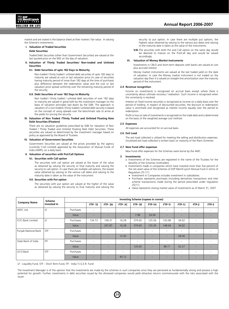

market and are stated in the balance sheet at their market / fair value. In valuing the Scheme's investments:

#### **I. Valuation of Traded Securities**

#### **Debt Securities**

Traded Debt Securities (other than Government Securities) are valued at the last quoted price on the NSE on the day of valuation.

#### **II. Valuation of Thinly Traded Securities/ Non-traded and Unlisted Securities**

#### **II.I. Debt Securities of upto 182 Days to Maturity**

Non-traded / thinly traded / unlisted debt securities of upto 182 days to maturity are valued at cost or last valuation price (in case of securities having maturity period of more than 182 days at the time of purchase) plus difference between the redemption value and the cost or last valuation price spread uniformly over the remaining maturity period of the security.

#### **II.II. Debt Securities of over 182 Days to Maturity**

Non traded / thinly traded / unlisted debt securities of over 182 days to maturity are valued in good faith by the investment manager on the basis of valuation principles laid down by the SEBI. The approach in valuation of a non-traded / thinly traded / unlisted debt security is based on the concept of using spreads over the benchmark rate to arrive at the yields for pricing the security.

#### **III. Valuation of Non Traded /Thinly Traded and Unlisted Floating Rate Debt Securities (Floaters)**

There are no valuation guidelines prescribed by SEBI for Valuation of Non Traded / Thinly Traded and Unlisted Floating Rate Debt Securities. These securities are valued as determined by the investment manager based on policy as approved by the Board of Trustees.

#### **IV. Valuation of Government Securities**

Government Securities are valued at the prices provided by the agency (currently Crisil Limited) approved by the Association of Mutual Funds of India (AMFI), on a daily basis.

#### **V. Valuation of securities with Put/Call Options**

#### **V.I. Securities with Call option**

The securities with call option are valued at the lower of the value as obtained by valuing the security to final maturity and valuing the security to call option. In case there are multiple call options, the lowest value obtained by valuing to the various call dates and valuing to the maturity date is taken as the value of the instrument.

#### **V.II. Securities with Put option**

The securities with put option are valued at the higher of the value as obtained by valuing the security to final maturity and valuing the

security to put option. In case there are multiple put options, the highest value obtained by valuing to the various put dates and valuing to the maturity date is taken as the value of the instruments.

**V.III.**The securities with both Put and Call option on the same day would be deemed to mature on the Put/Call day and would be valued accordingly.

#### **VI. Valuation of Money Market Instruments**

Investments in CBLO and short-term deposits with banks are valued at cost plus accrued interest.

Money market instruments are valued at the last traded yield on the date of valuation. In case the Money market instrument is not traded on the valuation day then it is valued on straight-line amortization over the maturity period of the instrument.

#### **2.4 Revenue recognition**

Income on investments is recognised on accrual basis except where there is uncertainty about ultimate recovery / realisation. Such income is recognised when the uncertainty is resolved.

Interest on fixed income securities is recognised as income on a daily basis over the period of holding. In respect of discounted securities, the discount to redemption value is amortised and recognised as interest income equally over the period to redemption.

Profit or loss on sale of investments is recognised on the trade date and is determined on the basis of the weighted average cost method.

#### **2.5 Expenses**

All expenses are accounted for on accrual basis.

#### **2.6 Exit Load**

The exit load collected is utilised for meeting the selling and distribution expenses. Unutilized exit load collected is written back on maturity of the Plans (Scheme).

#### **2.7 New Fund offer expenses**

New Fund offer expenses for the Schemes were borne by the AMC.

#### **3 Investments**

- a. Investments of the Schemes are registered in the name of the Trustees for the benefits of the Schemes Unitholders.
- b. Investments made in companies which have invested more than five percent of the net asset value of the Schemes of DSP Merrill Lynch Mutual Fund in terms of Regulation 25 (11)
	- Investment in Companies includes investment in subsidiaries.
	- Purchases represents purchases (including derivatives transactions and inter scheme transactions) made during the period prescribed under regulation 25(11).
	- Value represents closing market value of investments as of March 31, 2007

|                           | Scheme      |           |                          |                          |                          | Investing Scheme (rupees in crores) |                          |                          |                          |                          |                          |
|---------------------------|-------------|-----------|--------------------------|--------------------------|--------------------------|-------------------------------------|--------------------------|--------------------------|--------------------------|--------------------------|--------------------------|
| <b>Company Name</b>       | invested in |           | <b>FTP-1E</b>            | FTP-3A                   | FTP-3C                   | FTP-3E                              | FTP-1H                   | <b>FTP-11</b>            | <b>FTP-1J</b>            | FTP-2                    | FTP-3                    |
| HDFC Ltd                  | LF          | Purchases | $\overline{\phantom{a}}$ | $\overline{\phantom{a}}$ | $\overline{\phantom{a}}$ | $\overline{\phantom{a}}$            | $\sim$                   | $\overline{\phantom{a}}$ | $\overline{\phantom{a}}$ | $\overline{\phantom{a}}$ | $\overline{\phantom{a}}$ |
|                           |             | Value     | н.                       |                          | ۰                        | 7.98                                | 24.94                    | ٠                        | ۰                        | ۰                        |                          |
| <b>ICICI Bank Limited</b> | LF          | Purchases | 134.73                   | 199.31                   | 16.28                    | 379.00                              | 125.56                   | 150.98                   | 34.02                    | ٠                        | $\overline{\phantom{a}}$ |
|                           |             | Value     | н.                       | 207.87                   | 16.28                    | 379.00                              | 125.35                   | 148.04                   | 34.02                    | ٠                        |                          |
| Punjab National Bank      | <b>STF</b>  | Purchases | $\overline{\phantom{a}}$ | $\overline{\phantom{a}}$ | ٠                        | $\overline{\phantom{a}}$            | $\overline{\phantom{a}}$ | $\overline{\phantom{a}}$ | $\overline{\phantom{a}}$ |                          | $\overline{\phantom{a}}$ |
|                           |             | Value     | -                        | -                        | 12.50                    |                                     |                          | -                        | 28.00                    | ٠                        |                          |
| State Bank of India       | <b>ITF</b>  | Purchases | $\overline{\phantom{a}}$ | $\overline{\phantom{a}}$ | ٠                        | $\overline{\phantom{a}}$            | $\overline{\phantom{a}}$ | $\blacksquare$           | $\overline{\phantom{a}}$ | $\overline{\phantom{a}}$ | $\sim$                   |
|                           |             | Value     | н.                       | ۰                        | ۰                        | 120.00                              | ۰                        | 98.71                    | 52.27                    |                          | ۰                        |
| <b>UCO Bank</b>           | <b>STF</b>  | Purchases | $\overline{\phantom{a}}$ | $\overline{\phantom{a}}$ | ٠                        | $\overline{\phantom{a}}$            | ٠                        | $\overline{\phantom{a}}$ | $\overline{\phantom{a}}$ | $\blacksquare$           | ٠                        |
|                           |             | Value     | ٠                        | -                        | 45.12                    |                                     |                          | ۰                        |                          |                          |                          |

LF - Liquidity Fund, STF – Short Term Fund, ITF - India T.I.G.E.R. Fund

The Investment Manager is of the opinion that the investments are made by the schemes in such companies since they are perceived as fundamentally strong and possess a high potential for growth. Further, investments in debt securities issued by the aforesaid companies would yield attractive returns commensurate with the risks associated with the issuer.

.<br>24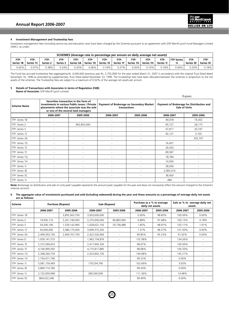#### **4 Investment Management and Trusteeship fees**

Investment management fees (including service tax and education cess) have been charged by the Schemes pursuant to an agreement with DSP Merrill Lynch Fund Managers Limited (AMC), as under:

|                   | SCHEMES (Average rate in percentage per annum on daily average net assets) |                  |                  |            |                                                                               |          |          |          |          |                   |                  |                   |                   |
|-------------------|----------------------------------------------------------------------------|------------------|------------------|------------|-------------------------------------------------------------------------------|----------|----------|----------|----------|-------------------|------------------|-------------------|-------------------|
| FTP-<br>Series 1B | FTP-<br>Series 1C                                                          | FTP-<br>Series 2 | FTP-<br>Series 3 | FTP-       | FTP-<br>Series 3A   Series 1D   Series 1E   Series 1F   Series 1G   Series 1H | FTP-     | FTP-     | FTP-     | FTP-     | FTP-<br>Series 11 | FTP Series<br>11 | FTP-<br>Series 3E | FTP-<br>Series 3C |
| 0.42%             | 0.07%                                                                      | 0.38%            | $0.24\%$         | $0.20\%$ 1 | $0.06\%$                                                                      | $0.19\%$ | $0.27\%$ | $0.05\%$ | $0.10\%$ | 0.18%             | $0.00\%$         | $0.20\%$          | $0.18\%$ I        |

The Fund has accrued trusteeship fees aggregating Rs. 4,040,640 (previous year Rs. 2,755,000) for the year ended March 31, 2007 in accordance with the original Trust Deed dated December 16, 1996 as amended by supplementary Trust Deed dated December 23, 1999. The trusteeship fees have been allocated between the schemes in proportion to the net assets of the schemes. The Trusteeship fees are subject to a maximum of 0.02% of the average net assets per annum.

#### **5 Details of Transactions with Associates in terms of Regulation 25(8):**

**Name of Associate:** DSP Merrill Lynch Limited

|                    |           |                                                                                                                                                                               |                        |                                                          |                                                                   | Rupees    |  |
|--------------------|-----------|-------------------------------------------------------------------------------------------------------------------------------------------------------------------------------|------------------------|----------------------------------------------------------|-------------------------------------------------------------------|-----------|--|
| <b>Scheme Name</b> |           | Securities transaction in the form of<br>investments in various Public issues / Private<br>placements where the associate was the sole<br>or one of the several lead managers |                        | Payment of Brokerage on Secondary Market<br>transactions | Payment of Brokerage for Distribution and<br><b>Sale of Units</b> |           |  |
|                    | 2006-2007 | 2005-2006                                                                                                                                                                     | 2006-2007<br>2005-2006 |                                                          | 2006-2007                                                         | 2005-2006 |  |
| FTP- Series 1B     |           | ٠                                                                                                                                                                             |                        | ٠                                                        | 49,078                                                            | 19,302    |  |
| FTP- Series 2      |           | 962,803,000                                                                                                                                                                   |                        |                                                          | 90,727                                                            | 28,173    |  |
| FTP- Series 3      |           |                                                                                                                                                                               |                        |                                                          | 47,817                                                            | 20,747    |  |
| FTP- Series 1C     |           | ٠                                                                                                                                                                             |                        |                                                          | 92,121                                                            | 3,103     |  |
| FTP- Series 3A     |           | ٠                                                                                                                                                                             |                        | ۰                                                        | $\sim$                                                            | 255,707   |  |
| FTP- Series 1D     |           | $\overline{\phantom{a}}$                                                                                                                                                      |                        | ٠                                                        | 16,457                                                            | ۰         |  |
| FTP- Series 1E     |           | ٠                                                                                                                                                                             |                        | ٠                                                        | 26,420                                                            | ٠         |  |
| FTP- Series 1F     |           |                                                                                                                                                                               |                        | ä,                                                       | 89,587                                                            |           |  |
| FTP- Series 1G     |           |                                                                                                                                                                               |                        |                                                          | 18,784                                                            |           |  |
| FTP- Series 1H     |           | ٠                                                                                                                                                                             |                        |                                                          | 14,500                                                            |           |  |
| FTP- Series 11     |           | ٠                                                                                                                                                                             |                        |                                                          | 28,206                                                            |           |  |
| FTP- Series 3E     |           | ۰                                                                                                                                                                             |                        |                                                          | 2,083,014                                                         |           |  |
| FTP- Series 3C     |           | ٠                                                                                                                                                                             |                        |                                                          | 38,450                                                            |           |  |
| FTP- Series 1J     |           |                                                                                                                                                                               |                        |                                                          | 484                                                               |           |  |

Note: Brokerage on distribution and sale of units paid / payable represents the amount paid / payable for the year and does not necessarily reflect the amount charged to the Scheme's revenue account.

| 6 The aggregate value of investments purchased and sold (including redeemed) during the year and these amounts as a percentage of average daily net assets |
|------------------------------------------------------------------------------------------------------------------------------------------------------------|
| are as follows:                                                                                                                                            |

| Scheme<br><b>Purchase (Rupees)</b> |               |                          | Sale (Rupees) |                          | Purchase as a % to average<br>daily net assets |           | Sale as % to average daily net<br>assets |           |  |
|------------------------------------|---------------|--------------------------|---------------|--------------------------|------------------------------------------------|-----------|------------------------------------------|-----------|--|
|                                    | 2006-2007     | 2005-2006                | 2006-2007     | 2005-2006                | 2006-2007                                      | 2005-2006 | 2006-2007                                | 2005-2006 |  |
| FTP- Series 1B                     |               | 3,855,563,750            | 3,920,000,000 |                          | $0.00\%$                                       | 98.85%    | 100.09%                                  | $0.00\%$  |  |
| FTP- Series 2                      | 19,950,110    | 2,261,740,950            | 2,270,000,000 | 96,883,900               | 0.88%                                          | 97.48%    | 100.13%                                  | 4.18%     |  |
| FTP- Series 3                      | 29,200,140    | 1,539,142,960            | 1,628,622,150 | 29,738,488               | 1.85%                                          | 98.91%    | 103.11%                                  | 1.91%     |  |
| FTP- Series 1C                     | 50,000,000    | 3,586,175,000            | 3,699,372,292 |                          | 1.37%                                          | 98.37%    | 101.50%                                  | $0.00\%$  |  |
| FTP- Series 3A                     | 2,499,593,756 | 2,409,707,700            | 2,422,526,064 |                          | 94.85%                                         | 95.23%    | 91.92%                                   | $0.00\%$  |  |
| FTP- Series D                      | 1,939,141,510 |                          | 1,963,734,876 |                          | 132.58%                                        |           | 134.26%                                  |           |  |
| FTP- Series 1E                     | 2,372,569,633 |                          | 2,417,945,326 |                          | 98.67%                                         |           | 100.56%                                  |           |  |
| FTP- Series 1F                     | 4,106,995,050 | ٠                        | 4,175,817,885 |                          | 98.68%                                         |           | 100.33%                                  |           |  |
| FTP- Series 1G                     | 2,348,260,734 | ٠                        | 2,423,842,726 |                          | 140.68%                                        |           | 145.21%                                  |           |  |
| FTP- Series 1H                     | 1,754,471,746 | ٠                        |               | ٠                        | 99.22%                                         |           | $0.00\%$                                 |           |  |
| FTP- Series 1I                     | 5,081,159,469 | $\overline{\phantom{a}}$ | 179,534,790   | $\overline{\phantom{a}}$ | 102.69%                                        |           | 3.63%                                    |           |  |
| FTP- Series 3E                     | 5,869,714,780 | ٠                        |               | ٠                        | 99.54%                                         |           | $0.00\%$                                 |           |  |
| FTP- Series 1J                     | 2,152,959,968 |                          | 280,000,000   |                          | 111.36%                                        |           | 14.48%                                   |           |  |
| FTP- Series 3C                     | 864,022,248   |                          |               |                          | 99.49%                                         |           | 0.00%                                    |           |  |

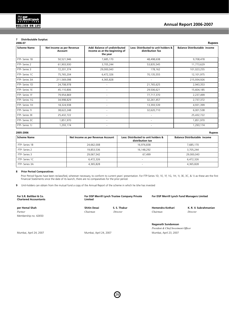#### **7 Distributable Surplus:**

| 2006-07            |                                      |                                                                            |                                                         | <b>Rupees</b>                       |
|--------------------|--------------------------------------|----------------------------------------------------------------------------|---------------------------------------------------------|-------------------------------------|
| <b>Scheme Name</b> | Net Income as per Revenue<br>Account | Add: Balance of undistributed<br>income as at the beginning of<br>the year | Less: Distributed to unit holders &<br>distribution Tax | <b>Balance Distributable income</b> |
| FTP- Series 1B     | 50,521,946                           | 7,685,170                                                                  | 48,498,638                                              | 9,708,478                           |
| FTP- Series 2      | 61,903,930                           | 3,705,244                                                                  | 53,835,545                                              | 11,773,629                          |
| FTP- Series 3      | 72,201,374                           | 29,000,043                                                                 | 178,162                                                 | 101,023,255                         |
| FTP- Series 1C     | 75,765,204                           | 6,472,326                                                                  | 70,135,555                                              | 12,101,975                          |
| FTP- Series 3A     | 211,569,098                          | 4,365,828                                                                  |                                                         | 215,934,926                         |
| FTP- Series 1D     | 24,708,978                           |                                                                            | 21,765,625                                              | 2,943,353                           |
| FTP- Series 1E     | 45,110,806                           | $\overline{\phantom{a}}$                                                   | 29,506,621                                              | 15,604,185                          |
| FTP- Series 1F     | 79,954,869                           |                                                                            | 77,717,370                                              | 2,237,499                           |
| FTP- Series 1G     | 34,998,829                           |                                                                            | 32,261,457                                              | 2,737,372                           |
| FTP- Series 1H     | 18,324,938                           |                                                                            | 13,393,539                                              | 4,931,399                           |
| FTP- Series 11     | 38,622,248                           |                                                                            | 32,620,710                                              | 6,001,538                           |
| FTP- Series 3E     | 25,432,722                           | ٠                                                                          | ٠                                                       | 25,432,722                          |
| FTP- Series 3C     | 1,851,970                            |                                                                            |                                                         | 1,851,970                           |
| FTP- Series 1J     | 1,293,174                            |                                                                            |                                                         | 1,293,174                           |

#### **2005-2006 Rupees**

| <b>Scheme Name</b> | Net Income as per Revenue Account | Less: Distributed to unit holders &<br>distribution tax | <b>Balance Distributable income</b> |
|--------------------|-----------------------------------|---------------------------------------------------------|-------------------------------------|
| FTP- Series 1B     | 24.662.008                        | 16,976,838                                              | 7,685,170                           |
| FTP- Series 2      | 19,853,536                        | 16,148,292                                              | 3.705.244                           |
| FTP- Series 3      | 29,067,542                        | 67.499                                                  | 29,000,043                          |
| FTP- Series 1C     | 6.472.326                         | $\overline{\phantom{a}}$                                | 6,472,326                           |
| FTP- Series 3A     | 4,365,828                         |                                                         | 4,365,828                           |

#### **8 Prior Period Comparatives**

Prior Period figures have been reclassified, wherever necessary, to conform to current years' presentation. For FTP-Series 1D, 1E, 1F, 1G, 1H, 1I, 3E, 3C, & 1J as these are the first Financial Statements since the date of its launch, there are no comparatives for the prior period.

**9** Unit-holders can obtain from the mutual fund a copy of the Annual Report of the scheme in which he /she has invested

| For S.R. Batliboi & Co.<br><b>Chartered Accountants</b> | Limited                | For DSP Merrill Lynch Trustee Company Private |                                      | For DSP Merrill Lynch Fund Managers Limited |  |  |
|---------------------------------------------------------|------------------------|-----------------------------------------------|--------------------------------------|---------------------------------------------|--|--|
| per Hemal Shah                                          | <b>Shitin Desai</b>    | S. S. Thakur                                  | Hemendra Kothari                     | K. R. V. Subrahmanian                       |  |  |
| Partner                                                 | Chairman               | Director                                      | Chairman                             | Director                                    |  |  |
| Membership no. 42650                                    |                        |                                               |                                      |                                             |  |  |
|                                                         |                        |                                               | Naganath Sundaresan                  |                                             |  |  |
|                                                         |                        |                                               | President & Chief Investment Officer |                                             |  |  |
| Mumbai, April 24, 2007                                  | Mumbai, April 24, 2007 |                                               | Mumbai, April 23, 2007               |                                             |  |  |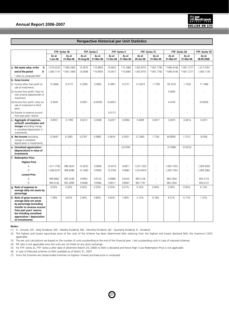## **Perspective Historical per Unit Statistics**

|                                                                                                                                                                                                                               |                   | <b>FTP-Series 1B</b> |                    | <b>FTP-Series 2</b> |                    | FTP-Series 3       |                    | FTP-Series 1C      | FTP- Series 3A     |                    | FTP-Series 1D       |
|-------------------------------------------------------------------------------------------------------------------------------------------------------------------------------------------------------------------------------|-------------------|----------------------|--------------------|---------------------|--------------------|--------------------|--------------------|--------------------|--------------------|--------------------|---------------------|
|                                                                                                                                                                                                                               | As at<br>1-Jun-06 | As at<br>31-Mar-06   | As at<br>16-Aug-06 | As at<br>31-Mar-06  | As at<br>11-Dec-06 | As at<br>31-Mar-06 | As at<br>29-Jun-06 | As at<br>31-Mar-06 | As at<br>31-Mar-07 | As at<br>31-Mar-06 | As at<br>28.09.2006 |
|                                                                                                                                                                                                                               |                   |                      |                    |                     |                    |                    |                    |                    |                    |                    |                     |
| a. Net assets value, at the<br>G                                                                                                                                                                                              | 1,019.4222        | *1006.3462           | 10.3670            | *10.0859            | 10.6652            | *10.1886           | 1,002.8701         | *1001.7782         | *1085.6146         | *1001.7277         | 1,017.0781          |
| D<br>end of the period                                                                                                                                                                                                        | 1,000.1151        | *1001.3440           | 10.0048            | *10.0059            | 10.0017            | *10.0085           | 1,002.8701         | *1001.7782         | *1085.6146         | *1001.7277         | 1,000.1136          |
| * refers to computed NAV                                                                                                                                                                                                      |                   |                      |                    |                     |                    |                    |                    |                    |                    |                    |                     |
| b. Gross Income                                                                                                                                                                                                               |                   |                      |                    |                     |                    |                    |                    |                    |                    |                    |                     |
| (i) Income other than profit on<br>sale of investments                                                                                                                                                                        | 13.3666           | 6.5172               | 0.2928             | 0.0963              | 0.4901             | 0.2151             | 21.6074            | 1.7799             | 83.3332            | 1.7526             | 17.1486             |
| (ii) Income from profit / (loss) on<br>inter scheme sales/transfer of<br>investment                                                                                                                                           |                   |                      |                    |                     |                    |                    |                    |                    | 0.0005             |                    |                     |
| (iii) Income from profit / (loss) on<br>sale of investment to third<br>party                                                                                                                                                  | 0.3934            |                      | 0.0051             | (0.0030)            | (0.0001)           |                    |                    |                    | 4.4743             |                    | (0.0059)            |
| (iv) Transfer to revenue account<br>from past years' reserve                                                                                                                                                                  |                   |                      |                    |                     | 0.0173             |                    |                    |                    |                    |                    |                     |
| c. Aggregate of expenses,<br>writeoff, amortisation and<br>charges (excluding change<br>in unrealised depreciation in<br>investments)                                                                                         | 0.8557            | 0.1789               | 0.0212             | 0.0038              | 0.0257             | 0.0094             | 0.4009             | 0.0017             | 3.0075             | 0.0014             | 0.3071              |
| d. Net Income (excluding<br>change in unrealised<br>depreciation in investments)                                                                                                                                              | 12.9043           | 6.3383               | 0.2767             | 0.0895              | 0.4816             | 0.2057             | 21.2065            | 1.7782             | 84.8005            | 1.7512             | 16.836              |
| e. Unrealised appreciation /<br>(depreciation) in value of<br>investments                                                                                                                                                     | ×.                | $\sim$               | ä,                 | $\sim$              | ×.                 | (0.0169)           | $\omega$           | à.                 | (0.7686)           | (0.0233)           |                     |
| f. Redemption Price:                                                                                                                                                                                                          |                   |                      |                    |                     |                    |                    |                    |                    |                    |                    |                     |
| <b>Highest Price</b>                                                                                                                                                                                                          |                   |                      |                    |                     |                    |                    |                    |                    |                    |                    |                     |
| G                                                                                                                                                                                                                             | 1,011.7765        | 998.3624             | 10.2633            | 9.9838              | 10.4519            | 9.9811             | 1,015.1502         |                    | 1,063.1933         | ä,                 | 1,009.4500          |
| D                                                                                                                                                                                                                             | 1,006.6337        | 996.8388             | 10.1660            | 9.9695              | 10.2593            | 9.9683             | 1,014.9476         | ä,                 | 1,063.1933         | ÷.                 | 1,009.2982          |
| <b>Lowest Price</b>                                                                                                                                                                                                           |                   |                      |                    |                     |                    |                    |                    |                    |                    |                    |                     |
| G                                                                                                                                                                                                                             | 999.8963          | 995.5338             | 9.9953             | 9.9123              | 9.9988             | 9.8102             | 995.4128           |                    | 983.2304           | ×,                 | 993.5733            |
| D                                                                                                                                                                                                                             | 992.6142          | 993.3999             | 9.9048             | 9.9046              | 9.8017             | 9.8047             | 992.7197           |                    | 983.2304           |                    | 992.6127            |
| g. Ratio of expenses to<br>average daily net assets by<br>percentage                                                                                                                                                          | 0.50%             | 0.30%                | 0.43%              | 0.35%               | 0.35%              | 0.31%              | 0.16%              | 0.06%              | 0.29%              | 0.05%              | 0.13%               |
| h. Ratio of gross income to<br>average daily net assets<br>by percentage (excluding<br>transfer to revenue account<br>from past years' reserve<br>but including unrealised<br>appreciation / depreciation<br>on investments). | 1.38%             | 0.65%                | 2.94%              | 0.89%               | 4.65%              | 1.96%              | 2.12%              | 0.18%              | 8.31%              | 0.17%              | 1.72%               |

#### **Notes :**

(1) G - Growth, DD - Daily Dividend, WD - Weekly Dividend, MD - Monthly Dividend, QD - Quarterly Dividend, D - Dividend.

(2) The highest and lowest repurchase price of the units of the Scheme has been determined after reducing from the highest and lowest declared NAV, the maximum CDSC applicable.

27

(3) The per unit calculations are based on the number of units outstanding at the end of the financial year / last outstanding units in case of matured schemes.

(4) P/E ratio is not applicable since the units are not listed on any stock exchange.

(5) For FTP- Series 3c, FTP- Series ij after date of allotment (March 29, 2006) no NAV is declared and hence High / Low Redemption Price is not applicable.

(6) In case of Matured schemes no NAV available as of March 31, 2007.

(7) Since the Schemes are closed ended schemes no highest / lowest purchase price is computed.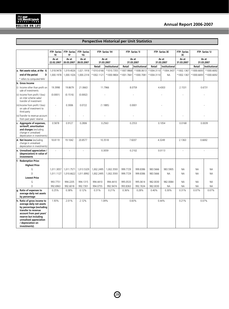## **Perspective Historical per Unit Statistics**

|                                                                                                                                                                                                                                  | <b>FTP-Series</b><br><b>1E</b> | <b>FTP-Series</b><br>1F | <b>FTP-Series</b><br>1G | FTP- Series 1H |                     |            | FTP-Series 11       |            | FTP-Series 3E       | <b>FTP-Series</b><br>3C |            | FTP- Series 1J      |
|----------------------------------------------------------------------------------------------------------------------------------------------------------------------------------------------------------------------------------|--------------------------------|-------------------------|-------------------------|----------------|---------------------|------------|---------------------|------------|---------------------|-------------------------|------------|---------------------|
|                                                                                                                                                                                                                                  | As at<br>22.02.2007            | As at<br>20.03.2007     | As at<br>28.03.2007     |                | As at<br>31.03.2007 |            | As at<br>31.03.2007 |            | As at<br>31.03.2007 | As at<br>31.03.2007     |            | As at<br>31.03.2007 |
|                                                                                                                                                                                                                                  |                                |                         |                         | Retail         | Institutional       | Retail     | Institutional       | Retail     | Institutional       |                         | Retail     | Institutional       |
| a. Net assets value, at the G                                                                                                                                                                                                    | 1,018.9478                     | 1,019.4026              | 1,021.1918              | *1010.6166     | *1010.7355          | *1007.9868 | *1008.0613          | *1004.3110 | *1004.3437          | *1002.1367              | *1000.6693 | *1000.6692          |
| D<br>end of the period                                                                                                                                                                                                           | 1.000.1978                     | 1,000.1026              | 1,000.2318              | *1002.1121     | *1000.9804          | *1001.7841 | *1000.7081          | *1004.3110 | <b>NA</b>           | *1002.1367              | *1000.6693 | *1000.6692          |
| * refers to computed NAV                                                                                                                                                                                                         |                                |                         |                         |                |                     |            |                     |            |                     |                         |            |                     |
| b. Gross Income                                                                                                                                                                                                                  |                                |                         |                         |                |                     |            |                     |            |                     |                         |            |                     |
| (i) Income other than profit on<br>sale of investments                                                                                                                                                                           | 19.3998                        | 19.8679                 | 21.0663                 |                | 11.7966             |            | 8.0759              |            | 4.4303              | 2.1531                  |            | 0.6731              |
| (ii) Income from profit / (loss)<br>on inter scheme sales/<br>transfer of investment                                                                                                                                             | (0.0001)                       | (0.1516)                | (0.0002)                |                |                     |            |                     |            |                     |                         |            |                     |
| (iii) Income from profit / (loss)<br>on sale of investment to<br>third party                                                                                                                                                     |                                | 0.3006                  | 0.0722                  |                | (1.1885)            |            | 0.0001              |            |                     |                         |            |                     |
| (iv) Transfer to revenue account<br>from past years' reserve                                                                                                                                                                     |                                |                         |                         |                |                     |            |                     |            |                     |                         |            |                     |
| c. Aggregate of expenses,<br>writeoff, amortisation<br>and charges (excluding<br>change in unrealised<br>depreciation in investments)                                                                                            | 0.5878                         | 0.9127                  | 0.2806                  |                | 0.2563              |            | 0.2553              |            | 0.1054              | 0.0168                  |            | 0.0039              |
| d. Net Income (excluding<br>change in unrealised<br>depreciation in investments)                                                                                                                                                 | 18.8119                        | 19.1042                 | 20.8577                 |                | 10.3518             |            | 7.8207              |            | 4.3249              | 2.1363                  |            | 0.6692              |
| e. Unrealised appreciation /<br>(depreciation) in value of<br>investments                                                                                                                                                        | ×,                             |                         |                         |                | 0.3059              |            | 0.2102              |            | 0.0113              | ×,                      |            |                     |
| f. Redemption Price:                                                                                                                                                                                                             |                                |                         |                         |                |                     |            |                     |            |                     |                         |            |                     |
| <b>Highest Price</b>                                                                                                                                                                                                             |                                |                         |                         |                |                     |            |                     |            |                     |                         |            |                     |
| G                                                                                                                                                                                                                                | 1,011.3057                     | 1,011.7571              | 1,013.5329              | 1,002.2495     | 1,002.3593          | 999.7729   | 999.8386            | 983.5666   | 983.5905            | ΝA                      | <b>NA</b>  | ΝA                  |
| D                                                                                                                                                                                                                                | 1,011.1127                     | 1,010.6622              | 1,011.8992              | 1,002.2495     | 1,002.3593          | 999.7729   | 999.8386            | 983.5666   | <b>NA</b>           | <b>NA</b>               | <b>NA</b>  | <b>NA</b>           |
| <b>Lowest Price</b>                                                                                                                                                                                                              |                                |                         |                         |                |                     |            |                     |            |                     |                         |            |                     |
| G                                                                                                                                                                                                                                | 993.7751                       | 994.2205                | 994.1315                | 994.4410       | 994.4410            | 995.0533   | 995.0614            | 982.0030   | 982.0084            | ΝA                      | <b>NA</b>  | <b>NA</b>           |
| D                                                                                                                                                                                                                                | 992.6963                       | 992.6018                | 992.7301                | 994.0755       | 992.9474            | 993.8363   | 992.7634            | 982.0030   | <b>NA</b>           | <b>NA</b>               | <b>NA</b>  | ΝA                  |
| g. Ratio of expenses to<br>average daily net assets<br>by percentage                                                                                                                                                             | 0.25%                          | 0.38%                   | 0.12%                   | 0.31%          | 0.21%               | 0.36%      | 0.28%               | 0.40%      | 0.30%               | 0.31%                   | 0.07%      | 0.07%               |
| h. Ratio of gross income to<br>average daily net assets<br>by percentage (excluding<br>transfer to revenue<br>account from past years'<br>reserve but including<br>unrealised appreciation<br>/ depreciation on<br>investments). | 1.93%                          | 2.01%                   | 2.12%                   |                | 1.09%               |            | 0.83%               |            | 0.44%               | 0.21%                   |            | 0.07%               |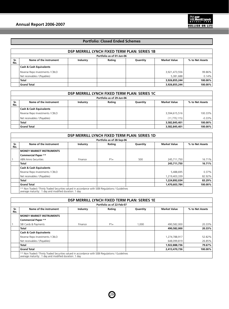|            | DSP MERRILL LYNCH FIXED TERM PLAN: SERIES 1B |          |        |          |                     |                 |  |  |  |  |
|------------|----------------------------------------------|----------|--------|----------|---------------------|-----------------|--|--|--|--|
|            | Portfolio as of 01-Jun-06                    |          |        |          |                     |                 |  |  |  |  |
| Sr.<br>No. | Name of the instrument                       | Industry | Rating | Quantity | <b>Market Value</b> | % to Net Assets |  |  |  |  |
|            | <b>Cash &amp; Cash Equivalents</b>           |          |        |          |                     |                 |  |  |  |  |
|            | Reverse Repo Investments / CBLO              |          |        |          | 3,921,473,556       | 99.86%          |  |  |  |  |
|            | Net receivables / (Payables)                 |          |        |          | 5,381,688           | 0.14%           |  |  |  |  |
|            | Total                                        |          |        |          | 3,926,855,244       | 100.00%         |  |  |  |  |
|            | <b>Grand Total</b>                           |          |        |          | 3,926,855,244       | 100.00%         |  |  |  |  |

|            | DSP MERRILL LYNCH FIXED TERM PLAN: SERIES 1C |          |        |          |                     |                 |  |  |  |  |
|------------|----------------------------------------------|----------|--------|----------|---------------------|-----------------|--|--|--|--|
|            | Portfolio as of 29-Jun-06                    |          |        |          |                     |                 |  |  |  |  |
| Sr.<br>No. | Name of the instrument                       | Industry | Rating | Quantity | <b>Market Value</b> | % to Net Assets |  |  |  |  |
|            | <b>Cash &amp; Cash Equivalents</b>           |          |        |          |                     |                 |  |  |  |  |
|            | Reverse Repo Investments / CBLO              |          |        |          | 3,594,615,516       | 100.33%         |  |  |  |  |
|            | Net receivables / (Payables)                 |          |        |          | (11, 770, 115)      | $-0.33%$        |  |  |  |  |
|            | <b>Total</b>                                 |          |        |          | 3,582,845,401       | 100.00%         |  |  |  |  |
|            | <b>Grand Total</b>                           |          |        |          | 3,582,845,401       | 100.00%         |  |  |  |  |

|            | DSP MERRILL LYNCH FIXED TERM PLAN: SERIES 1D                                                                                                             |          |        |          |                     |                 |  |  |  |  |  |
|------------|----------------------------------------------------------------------------------------------------------------------------------------------------------|----------|--------|----------|---------------------|-----------------|--|--|--|--|--|
|            | Portfolio as of 28-Sep-06                                                                                                                                |          |        |          |                     |                 |  |  |  |  |  |
| Sr.<br>No. | Name of the instrument                                                                                                                                   | Industry | Rating | Quantity | <b>Market Value</b> | % to Net Assets |  |  |  |  |  |
|            | <b>MONEY MARKET INSTRUMENTS</b>                                                                                                                          |          |        |          |                     |                 |  |  |  |  |  |
|            | <b>Commercial Paper **</b>                                                                                                                               |          |        |          |                     |                 |  |  |  |  |  |
|            | <b>ABN Amro Securities</b>                                                                                                                               | Finance  | $P1+$  | 500      | 245,711,750         | 16.71%          |  |  |  |  |  |
|            | Total                                                                                                                                                    |          |        |          | 245,711,750         | 16.71%          |  |  |  |  |  |
|            | <b>Cash &amp; Cash Equivalents</b>                                                                                                                       |          |        |          |                     |                 |  |  |  |  |  |
|            | Reverse Repo Investments / CBLO                                                                                                                          |          |        |          | 5,488,695           | $0.37\%$        |  |  |  |  |  |
|            | Net receivables / (Payables)                                                                                                                             |          |        |          | 1,219,403,339       | 82.92%          |  |  |  |  |  |
|            | Total                                                                                                                                                    |          |        |          | 1,224,892,034       | 83.29%          |  |  |  |  |  |
|            | <b>Grand Total</b>                                                                                                                                       |          |        |          | 1,470,603,784       | 100.00%         |  |  |  |  |  |
|            | ** Non Traded / Thinly Traded Securities valued in accordance with SEBI Regulations / Guidelines<br>average maturity: 1 day and modified duration: 1 day |          |        |          |                     |                 |  |  |  |  |  |

|            | DSP MERRILL LYNCH FIXED TERM PLAN: SERIES 1E                                                                                                             |          |        |          |                     |                 |  |  |  |  |  |
|------------|----------------------------------------------------------------------------------------------------------------------------------------------------------|----------|--------|----------|---------------------|-----------------|--|--|--|--|--|
|            | Portfolio as of 22-Feb-07                                                                                                                                |          |        |          |                     |                 |  |  |  |  |  |
| Sr.<br>No. | Name of the instrument                                                                                                                                   | Industry | Rating | Quantity | <b>Market Value</b> | % to Net Assets |  |  |  |  |  |
|            | <b>MONEY MARKET INSTRUMENTS</b>                                                                                                                          |          |        |          |                     |                 |  |  |  |  |  |
|            | <b>Commercial Paper **</b>                                                                                                                               |          |        |          |                     |                 |  |  |  |  |  |
|            | SBI Cards & Payments                                                                                                                                     | Finance  | $P1+$  | 1.000    | 490,582,000         | 20.33%          |  |  |  |  |  |
|            | Total                                                                                                                                                    |          |        |          | 490,582,000         | 20.33%          |  |  |  |  |  |
|            | <b>Cash &amp; Cash Equivalents</b>                                                                                                                       |          |        |          |                     |                 |  |  |  |  |  |
|            | Reverse Repo Investments / CBLO                                                                                                                          |          |        |          | 1,274,788,917       | 52.82%          |  |  |  |  |  |
|            | Net receivables / (Payables)                                                                                                                             |          |        |          | 648,099,819         | 26.85%          |  |  |  |  |  |
|            | Total                                                                                                                                                    |          |        |          | 1,922,888,736       | 79.67%          |  |  |  |  |  |
|            | <b>Grand Total</b>                                                                                                                                       |          |        |          | 2,413,470,736       | 100.00%         |  |  |  |  |  |
|            | ** Non Traded / Thinly Traded Securities valued in accordance with SEBI Requlations / Guidelines<br>average maturity: 1 day and modified duration: 1 day |          |        |          |                     |                 |  |  |  |  |  |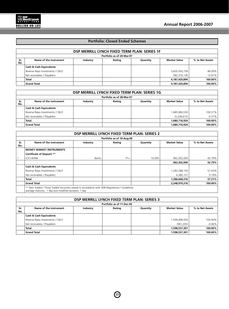|            | DSP MERRILL LYNCH FIXED TERM PLAN: SERIES 1F |          |        |          |                     |                 |  |  |  |  |
|------------|----------------------------------------------|----------|--------|----------|---------------------|-----------------|--|--|--|--|
|            | Portfolio as of 20-Mar-07                    |          |        |          |                     |                 |  |  |  |  |
| Sr.<br>No. | Name of the instrument                       | Industry | Rating | Quantity | <b>Market Value</b> | % to Net Assets |  |  |  |  |
|            | <b>Cash &amp; Cash Equivalents</b>           |          |        |          |                     |                 |  |  |  |  |
|            | Reverse Repo Investments / CBLO              |          |        |          | 3,605,050,758       | 86.09%          |  |  |  |  |
|            | Net receivables / (Payables)                 |          |        |          | 582,370,136         | 13.91%          |  |  |  |  |
|            | Total                                        |          |        |          | 4,187,420,894       | 100.00%         |  |  |  |  |
|            | <b>Grand Total</b>                           |          |        |          | 4,187,420,894       | 100.00%         |  |  |  |  |

|            | DSP MERRILL LYNCH FIXED TERM PLAN: SERIES 1G |          |        |          |                     |                 |  |  |  |  |
|------------|----------------------------------------------|----------|--------|----------|---------------------|-----------------|--|--|--|--|
|            | Portfolio as of 28-Mar-07                    |          |        |          |                     |                 |  |  |  |  |
| Sr.<br>No. | Name of the instrument                       | Industry | Rating | Quantity | <b>Market Value</b> | % to Net Assets |  |  |  |  |
|            | <b>Cash &amp; Cash Equivalents</b>           |          |        |          |                     |                 |  |  |  |  |
|            | Reverse Repo Investments / CBLO              |          |        |          | 1,685,966,539       | 100.31%         |  |  |  |  |
|            | Net receivables / (Payables)                 |          |        |          | (5,249,615)         | $-0.31%$        |  |  |  |  |
|            | Total                                        |          |        |          | 1,680,716,924       | 100.00%         |  |  |  |  |
|            | <b>Grand Total</b>                           |          |        |          | 1,680,716,924       | 100.00%         |  |  |  |  |

|            | DSP MERRILL LYNCH FIXED TERM PLAN: SERIES 2                                                                                                              |          |        |          |                     |                 |  |  |  |  |  |
|------------|----------------------------------------------------------------------------------------------------------------------------------------------------------|----------|--------|----------|---------------------|-----------------|--|--|--|--|--|
|            | Portfolio as of 16-Aug-06                                                                                                                                |          |        |          |                     |                 |  |  |  |  |  |
| Sr.<br>No. | Name of the instrument                                                                                                                                   | Industry | Rating | Quantity | <b>Market Value</b> | % to Net Assets |  |  |  |  |  |
|            | <b>MONEY MARKET INSTRUMENTS</b>                                                                                                                          |          |        |          |                     |                 |  |  |  |  |  |
|            | Certificate of Deposit **                                                                                                                                |          |        |          |                     |                 |  |  |  |  |  |
|            | <b>ICICI BANK</b>                                                                                                                                        | Banks    | $P1+$  | 10,000   | 962,302,000         | 42.79%          |  |  |  |  |  |
|            |                                                                                                                                                          |          |        |          | 962,302,000         | 42.79%          |  |  |  |  |  |
|            | <b>Cash &amp; Cash Equivalents</b>                                                                                                                       |          |        |          |                     |                 |  |  |  |  |  |
|            | Reverse Repo Investments / CBLO                                                                                                                          |          |        |          | 1,282,288,159       | 57.02%          |  |  |  |  |  |
|            | Net receivables / (Payables)                                                                                                                             |          |        |          | 4,380,157           | 0.19%           |  |  |  |  |  |
|            | <b>Total</b>                                                                                                                                             |          |        |          | 1,286,668,316       | 57.21%          |  |  |  |  |  |
|            | <b>Grand Total</b>                                                                                                                                       |          |        |          | 2,248,970,316       | 100.00%         |  |  |  |  |  |
|            | ** Non Traded / Thinly Traded Securities valued in accordance with SEBI Regulations / Guidelines<br>average maturity: 1 day and modified duration: 1 day |          |        |          |                     |                 |  |  |  |  |  |

**DSP MERRILL LYNCH FIXED TERM PLAN: SERIES 3 Portfolio as of 11-Dec-06 Sr. No. Name of the instrument Industry Rating Quantity Market Value % to Net Assets Cash & Cash Equivalents** Reverse Repo Investments / CBLO 100.06% Net receivables / (Payables)  $\sim$  -0.06% **Total 1,598,537,301 100.00% Grand Total 1,598,537,301 100.00%**

 $\left( 30 \right)$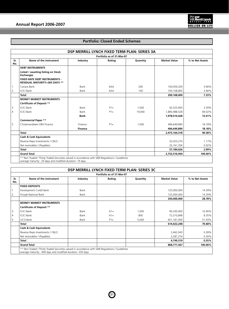|                | DSP MERRILL LYNCH FIXED TERM PLAN: SERIES 3A                                                                                                                 |                |                           |          |                     |                 |  |  |  |  |
|----------------|--------------------------------------------------------------------------------------------------------------------------------------------------------------|----------------|---------------------------|----------|---------------------|-----------------|--|--|--|--|
|                |                                                                                                                                                              |                | Portfolio as of 31-Mar-07 |          |                     |                 |  |  |  |  |
| Sr.<br>No.     | Name of the instrument                                                                                                                                       | Industry       | Rating                    | Quantity | <b>Market Value</b> | % to Net Assets |  |  |  |  |
|                | <b>DEBT INSTRUMENTS</b>                                                                                                                                      |                |                           |          |                     |                 |  |  |  |  |
|                | Listed / awaiting listing on Stock<br><b>Exchanges</b>                                                                                                       |                |                           |          |                     |                 |  |  |  |  |
|                | FIXED RATE DEBT INSTRUMENTS -<br><b>RESIDUAL MATURITY&lt;365 DAYS **</b>                                                                                     |                |                           |          |                     |                 |  |  |  |  |
| $\overline{1}$ | Canara Bank                                                                                                                                                  | Bank           | AAA                       | 200      | 100,059,200         | $3.66\%$        |  |  |  |  |
| 2              | <b>ICICI Bank</b>                                                                                                                                            | Bank           | AAA                       | 100      | 100,108,800         | 3.66%           |  |  |  |  |
|                | Total                                                                                                                                                        |                |                           |          | 200,168,000         | 7.33%           |  |  |  |  |
|                | <b>MONEY MARKET INSTRUMENTS</b>                                                                                                                              |                |                           |          |                     |                 |  |  |  |  |
|                | <b>Certificate of Deposit **</b>                                                                                                                             |                |                           |          |                     |                 |  |  |  |  |
| 3              | <b>ICICI Bank</b>                                                                                                                                            | Bank           | $P1+$                     | 1,000    | 92,525,900          | 3.39%           |  |  |  |  |
| $\overline{4}$ | <b>ICICI Bank</b>                                                                                                                                            | Bank           | $P1+$                     | 19,000   | 1,885,988,528       | 69.02%          |  |  |  |  |
|                |                                                                                                                                                              | <b>Bank</b>    |                           |          | 1,978,514,428       | 72.41%          |  |  |  |  |
|                | <b>Commercial Paper **</b>                                                                                                                                   |                |                           |          |                     |                 |  |  |  |  |
| 5              | Cholamandalam DBS Finance                                                                                                                                    | Finance        | $P1+$                     | 1,000    | 496,649,890         | 18.18%          |  |  |  |  |
|                |                                                                                                                                                              | <b>Finance</b> |                           |          | 496,649,890         | 18.18%          |  |  |  |  |
|                | Total                                                                                                                                                        |                |                           |          | 2,475,164,318       | 90.58%          |  |  |  |  |
|                | <b>Cash &amp; Cash Equivalents</b>                                                                                                                           |                |                           |          |                     |                 |  |  |  |  |
|                | Reverse Repo Investments / CBLO                                                                                                                              |                |                           |          | 32,023,270          | 1.17%           |  |  |  |  |
|                | Net receivables / (Payables)                                                                                                                                 |                |                           |          | 25,161,356          | 0.92%           |  |  |  |  |
|                | Total                                                                                                                                                        |                |                           |          | 57,184,626          | 2.09%           |  |  |  |  |
|                | <b>Grand Total</b>                                                                                                                                           |                |                           |          | 2,732,516,944       | 100.00%         |  |  |  |  |
|                | ** Non Traded / Thinly Traded Securities valued in accordance with SEBI Regulations / Guidelines<br>average maturity: 20 days and modified duration: 19 days |                |                           |          |                     |                 |  |  |  |  |

| DSP MERRILL LYNCH FIXED TERM PLAN: SERIES 3C |                                                                                                                                                                |          |        |          |                     |                 |
|----------------------------------------------|----------------------------------------------------------------------------------------------------------------------------------------------------------------|----------|--------|----------|---------------------|-----------------|
| Portfolio as of 31-Mar-07                    |                                                                                                                                                                |          |        |          |                     |                 |
| Sr.<br>No.                                   | Name of the instrument                                                                                                                                         | Industry | Rating | Quantity | <b>Market Value</b> | % to Net Assets |
|                                              | <b>FIXED DEPOSITS</b>                                                                                                                                          |          |        |          |                     |                 |
| 1                                            | Development Credit Bank                                                                                                                                        | Bank     |        |          | 125,000,000         | 14.39%          |
| 2                                            | Punjab National Bank                                                                                                                                           | Bank     |        |          | 125,000,000         | 14.39%          |
|                                              |                                                                                                                                                                |          |        |          | 250,000,000         | 28.78%          |
|                                              | <b>MONEY MARKET INSTRUMENTS</b>                                                                                                                                |          |        |          |                     |                 |
|                                              | <b>Certificate of Deposit **</b>                                                                                                                               |          |        |          |                     |                 |
| 3                                            | <b>ICICI Bank</b>                                                                                                                                              | Bank     | $A1+$  | 1,000    | 90,330,400          | 10.40%          |
| 4                                            | <b>ICICI Bank</b>                                                                                                                                              | Bank     | $A1+$  | 800      | 72,510,848          | 8.35%           |
| 5                                            | <b>UCO Bank</b>                                                                                                                                                | Bank     | $P1+$  | 5,000    | 451,181,000         | 51.93%          |
|                                              | <b>Total</b>                                                                                                                                                   |          |        |          | 614,022,248         | 70.68%          |
|                                              | <b>Cash &amp; Cash Equivalents</b>                                                                                                                             |          |        |          |                     |                 |
|                                              | Reverse Repo Investments / CBLO                                                                                                                                |          |        |          | 2,462,043           | 0.28%           |
|                                              | Net receivables / (Payables)                                                                                                                                   |          |        |          | 2,287,276           | 0.26%           |
|                                              | Total                                                                                                                                                          |          |        |          | 4,749,319           | 0.55%           |
|                                              | <b>Grand Total</b>                                                                                                                                             |          |        |          | 868,771,567         | 100.00%         |
|                                              | ** Non Traded / Thinly Traded Securities valued in accordance with SEBI Regulations / Guidelines<br>average maturity: 369 days and modified duration: 330 days |          |        |          |                     |                 |

 $\bigodot$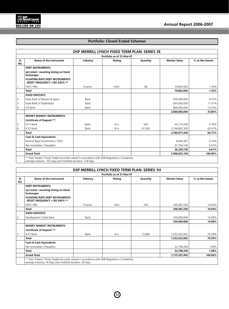|                           | DSP MERRILL LYNCH FIXED TERM PLAN: SERIES 3E                                                                                                                   |          |        |          |                     |                 |
|---------------------------|----------------------------------------------------------------------------------------------------------------------------------------------------------------|----------|--------|----------|---------------------|-----------------|
| Portfolio as of 31-Mar-07 |                                                                                                                                                                |          |        |          |                     |                 |
| Sr.<br>No.                | Name of the instrument                                                                                                                                         | Industry | Rating | Quantity | <b>Market Value</b> | % to Net Assets |
|                           | <b>DEBT INSTRUMENTS</b>                                                                                                                                        |          |        |          |                     |                 |
|                           | (a) Listed / awaiting listing on Stock<br><b>Exchanges</b>                                                                                                     |          |        |          |                     |                 |
|                           | <b>FLOATING RATE DEBT INSTRUMENTS</b><br>- RESET FREQUENCY <182 DAYS **                                                                                        |          |        |          |                     |                 |
|                           | <b>HDFC FRN</b>                                                                                                                                                | Finance  | AAA    | 80       | 79,803,920          | 1.35%           |
|                           | <b>Total</b>                                                                                                                                                   |          |        |          | 79,803,920          | 1.35%           |
|                           | <b>FIXED DEPOSITS</b>                                                                                                                                          |          |        |          |                     |                 |
| $\overline{2}$            | State Bank of Bikaner & Jaipur                                                                                                                                 | Bank     |        |          | 550,000,000         | 9.31%           |
| 3                         | State Bank of Hyderabad                                                                                                                                        | Bank     |        |          | 650,000,000         | 11.01%          |
| $\overline{4}$            | UTI Bank                                                                                                                                                       | Bank     |        |          | 800,000,000         | 13.55%          |
|                           |                                                                                                                                                                |          |        |          | 2,000,000,000       | 33.86%          |
|                           | <b>MONEY MARKET INSTRUMENTS</b>                                                                                                                                |          |        |          |                     |                 |
|                           | <b>Certificate of Deposit **</b>                                                                                                                               |          |        |          |                     |                 |
| 5                         | <b>ICICI Bank</b>                                                                                                                                              | Bank     | $A1+$  | 500      | 45,175,200          | 0.76%           |
| 6                         | <b>ICICI Bank</b>                                                                                                                                              | Bank     | $A1+$  | 41,500   | 3,744,802,300       | 63.41%          |
|                           | <b>Total</b>                                                                                                                                                   |          |        |          | 3,789,977,500       | 64.17%          |
|                           | <b>Cash &amp; Cash Equivalents</b>                                                                                                                             |          |        |          |                     |                 |
|                           | Reverse Repo Investments / CBLO                                                                                                                                |          |        |          | 8,456,581           | 0.14%           |
|                           | Net receivables / (Payables)                                                                                                                                   |          |        |          | 27,794,149          | 0.47%           |
|                           | Total                                                                                                                                                          |          |        |          | 36,250,730          | 0.61%           |
|                           | <b>Grand Total</b>                                                                                                                                             |          |        |          | 5,906,032,150       | 100.00%         |
|                           | ** Non Traded / Thinly Traded Securities valued in accordance with SEBI Regulations / Guidelines<br>average maturity: 352 days and modified duration: 318 days |          |        |          |                     |                 |

|            | DSP MERRILL LYNCH FIXED TERM PLAN: SERIES 1H<br>Portfolio as of 31-Mar-07                                                                                    |          |            |          |                     |                 |  |
|------------|--------------------------------------------------------------------------------------------------------------------------------------------------------------|----------|------------|----------|---------------------|-----------------|--|
|            |                                                                                                                                                              |          |            |          |                     |                 |  |
| Sr.<br>No. | Name of the instrument                                                                                                                                       | Industry | Rating     | Quantity | <b>Market Value</b> | % to Net Assets |  |
|            | <b>DEBT INSTRUMENTS</b>                                                                                                                                      |          |            |          |                     |                 |  |
|            | (a) Listed / awaiting listing on Stock<br><b>Exchanges</b>                                                                                                   |          |            |          |                     |                 |  |
|            | <b>FLOATING RATE DEBT INSTRUMENTS</b><br>- RESET FREQUENCY <182 DAYS **                                                                                      |          |            |          |                     |                 |  |
|            | <b>HDFC FRN</b>                                                                                                                                              | Finance  | <b>AAA</b> | 250      | 249,387,250         | 14.04%          |  |
|            | Total                                                                                                                                                        |          |            |          | 249,387,250         | 14.04%          |  |
|            | <b>FIXED DEPOSITS</b>                                                                                                                                        |          |            |          |                     |                 |  |
| 2          | Development Credit Bank                                                                                                                                      | Bank     |            |          | 250,000,000         | 14.08%          |  |
|            |                                                                                                                                                              |          |            |          | 250,000,000         | 14.08%          |  |
|            | <b>MONEY MARKET INSTRUMENTS</b>                                                                                                                              |          |            |          |                     |                 |  |
|            | <b>Certificate of Deposit **</b>                                                                                                                             |          |            |          |                     |                 |  |
| 3          | <b>ICICI Bank</b>                                                                                                                                            | Bank     | $A1+$      | 12,860   | 1,253,522,002       | 70.59%          |  |
|            | Total                                                                                                                                                        |          |            |          | 1,253,522,002       | 70.59%          |  |
|            | <b>Cash &amp; Cash Equivalents</b>                                                                                                                           |          |            |          |                     |                 |  |
|            | Net receivables / (Payables)                                                                                                                                 |          |            |          | 22,798,240          | 1.28%           |  |
|            | <b>Total</b>                                                                                                                                                 |          |            |          | 22,798,240          | 1.28%           |  |
|            | <b>Grand Total</b>                                                                                                                                           |          |            |          | 1,775,707,492       | 100.00%         |  |
|            | ** Non Traded / Thinly Traded Securities valued in accordance with SEBI Regulations / Guidelines<br>average maturity: 45 days and modified duration: 42 days |          |            |          |                     |                 |  |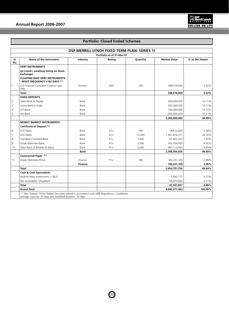|                           | DSP MERRILL LYNCH FIXED TERM PLAN: SERIES 11                                                                                                                 |                |        |          |                     |                 |
|---------------------------|--------------------------------------------------------------------------------------------------------------------------------------------------------------|----------------|--------|----------|---------------------|-----------------|
| Portfolio as of 31-Mar-07 |                                                                                                                                                              |                |        |          |                     |                 |
| Sr.<br>No.                | Name of the instrument                                                                                                                                       | Industry       | Rating | Quantity | <b>Market Value</b> | % to Net Assets |
|                           | <b>DEBT INSTRUMENTS</b>                                                                                                                                      |                |        |          |                     |                 |
|                           | (a) Listed / awaiting listing on Stock<br><b>Exchanges</b>                                                                                                   |                |        |          |                     |                 |
|                           | <b>FLOATING RATE DEBT INSTRUMENTS</b><br>- RESET FREOUENCY <182 DAYS **                                                                                      |                |        |          |                     |                 |
| $\mathbf{1}$              | Citi Financial Consumer Finance India<br><b>FRN</b>                                                                                                          | Finance        | AAA    | 250      | 248,018,000         | 5.02%           |
|                           | <b>Total</b>                                                                                                                                                 |                |        |          | 248,018,000         | 5.02%           |
|                           | <b>FIXED DEPOSITS</b>                                                                                                                                        |                |        |          |                     |                 |
| $\overline{2}$            | State Bank of Patiala                                                                                                                                        | Bank           |        |          | 500,000,000         | 10.11%          |
| $\overline{3}$            | Union Bank of India                                                                                                                                          | Bank           |        |          | 500,000,000         | 10.11%          |
| $\overline{4}$            | UTI Bank                                                                                                                                                     | Bank           |        |          | 700,000,000         | 14.15%          |
| 5                         | Yes Bank                                                                                                                                                     | Bank           |        |          | 500,000,000         | 10.11%          |
|                           |                                                                                                                                                              |                |        |          | 2,200,000,000       | 44.49%          |
|                           | <b>MONEY MARKET INSTRUMENTS</b>                                                                                                                              |                |        |          |                     |                 |
|                           | <b>Certificate of Deposit **</b>                                                                                                                             |                |        |          |                     |                 |
| 6                         | <b>ICICI Bank</b>                                                                                                                                            | Bank           | $A1+$  | 190      | 18,612,609          | 0.38%           |
| $\overline{7}$            | <b>ICICI Bank</b>                                                                                                                                            | Bank           | $A1+$  | 15,000   | 1,461,816,317       | 29.56%          |
| 8                         | <b>Standard Chartered Bank</b>                                                                                                                               | Bank           | $P1+$  | 1,000    | 97,462,200          | 1.97%           |
| 9                         | Kotak Mahindra Bank                                                                                                                                          | Bank           | $P1+$  | 2,500    | 243,556,500         | 4.92%           |
| 10                        | State Bank of Bikaner & Jaipur                                                                                                                               | Bank           | $P1+$  | 5,000    | 487,113,000         | 9.85%           |
|                           |                                                                                                                                                              | <b>Bank</b>    |        |          | 2,308,560,626       | 46.68%          |
|                           | <b>Commercial Paper **</b>                                                                                                                                   |                |        |          |                     |                 |
| 11                        | Kotak Mahindra Prime                                                                                                                                         | Finance        | $P1+$  | 300      | 146,231,100         | 2.96%           |
|                           |                                                                                                                                                              | <b>Finance</b> |        |          | 146,231,100         | 2.96%           |
|                           | <b>Total</b>                                                                                                                                                 |                |        |          | 2,454,791,726       | 49.64%          |
|                           | <b>Cash &amp; Cash Equivalents</b>                                                                                                                           |                |        |          |                     |                 |
|                           | Reverse Repo Investments / CBLO                                                                                                                              |                |        |          | 7,493,173           | 0.15%           |
|                           | Net receivables / (Payables)                                                                                                                                 |                |        |          | 35,074,664          | 0.71%           |
|                           | Total                                                                                                                                                        |                |        |          | 42,567,837          | $0.86\%$        |
|                           | <b>Grand Total</b>                                                                                                                                           |                |        |          | 4,945,377,563       | 100.00%         |
|                           | ** Non Traded / Thinly Traded Securities valued in accordance with SEBI Regulations / Guidelines<br>average maturity: 53 days and modified duration: 50 days |                |        |          |                     |                 |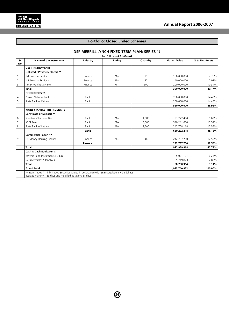|                           | DSP MERRILL LYNCH FIXED TERM PLAN: SERIES 1J                                                                                                                 |                |        |          |                     |                 |
|---------------------------|--------------------------------------------------------------------------------------------------------------------------------------------------------------|----------------|--------|----------|---------------------|-----------------|
| Portfolio as of 31-Mar-07 |                                                                                                                                                              |                |        |          |                     |                 |
| Sr.<br>No.                | Name of the instrument                                                                                                                                       | Industry       | Rating | Quantity | <b>Market Value</b> | % to Net Assets |
|                           | <b>DEBT INSTRUMENTS</b>                                                                                                                                      |                |        |          |                     |                 |
|                           | Unlisted / Privately Placed **                                                                                                                               |                |        |          |                     |                 |
| $\mathbf{1}$              | <b>JM Financial Products</b>                                                                                                                                 | Finance        | $P1+$  | 15       | 150,000,000         | 7.76%           |
| $\overline{2}$            | <b>JM Financial Products</b>                                                                                                                                 | Finance        | $P1+$  | 40       | 40,000,000          | 2.07%           |
| $\overline{3}$            | Kotak Mahindra Prime                                                                                                                                         | Finance        | $P1+$  | 200      | 200,000,000         | 10.34%          |
|                           | <b>Total</b>                                                                                                                                                 |                |        |          | 390,000,000         | 20.17%          |
|                           | <b>FIXED DEPOSITS</b>                                                                                                                                        |                |        |          |                     |                 |
| $\overline{4}$            | Punjab National Bank                                                                                                                                         | Bank           |        |          | 280,000,000         | 14.48%          |
| 5                         | State Bank of Patiala                                                                                                                                        | Bank           |        |          | 280,000,000         | 14.48%          |
|                           |                                                                                                                                                              |                |        |          | 560,000,000         | 28.96%          |
|                           | <b>MONEY MARKET INSTRUMENTS</b>                                                                                                                              |                |        |          |                     |                 |
|                           | <b>Certificate of Deposit **</b>                                                                                                                             |                |        |          |                     |                 |
| 6                         | Standard Chartered Bank                                                                                                                                      | Bank           | $P1+$  | 1,000    | 97,272,400          | 5.03%           |
| $\overline{7}$            | <b>ICICI Bank</b>                                                                                                                                            | Bank           | $P1+$  | 3,500    | 340,241,650         | 17.59%          |
| 8                         | State Bank of Patiala                                                                                                                                        | Bank           | $P1+$  | 2,500    | 242,708,168         | 12.55%          |
|                           |                                                                                                                                                              | <b>Bank</b>    |        |          | 680,222,218         | 35.18%          |
|                           | <b>Commercial Paper **</b>                                                                                                                                   |                |        |          |                     |                 |
| 9                         | GE Money Housing Finance                                                                                                                                     | Finance        | $P1+$  | 500      | 242,737,750         | 12.55%          |
|                           |                                                                                                                                                              | <b>Finance</b> |        |          | 242,737,750         | 12.55%          |
|                           | <b>Total</b>                                                                                                                                                 |                |        |          | 922,959,968         | 47.73%          |
|                           | <b>Cash &amp; Cash Equivalents</b>                                                                                                                           |                |        |          |                     |                 |
|                           | Reverse Repo Investments / CBLO                                                                                                                              |                |        |          | 5,031,131           | 0.26%           |
|                           | Net receivables / (Payables)                                                                                                                                 |                |        |          | 55,749,823          | 2.88%           |
|                           | <b>Total</b>                                                                                                                                                 |                |        |          | 60,780,954          | 3.14%           |
|                           | <b>Grand Total</b>                                                                                                                                           |                |        |          | 1,933,740,922       | 100.00%         |
|                           | ** Non Traded / Thinly Traded Securities valued in accordance with SEBI Regulations / Guidelines<br>average maturity: 89 days and modified duration: 81 days |                |        |          |                     |                 |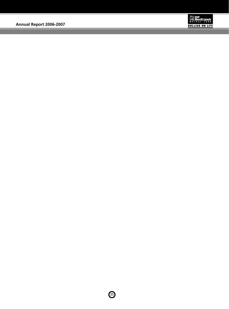